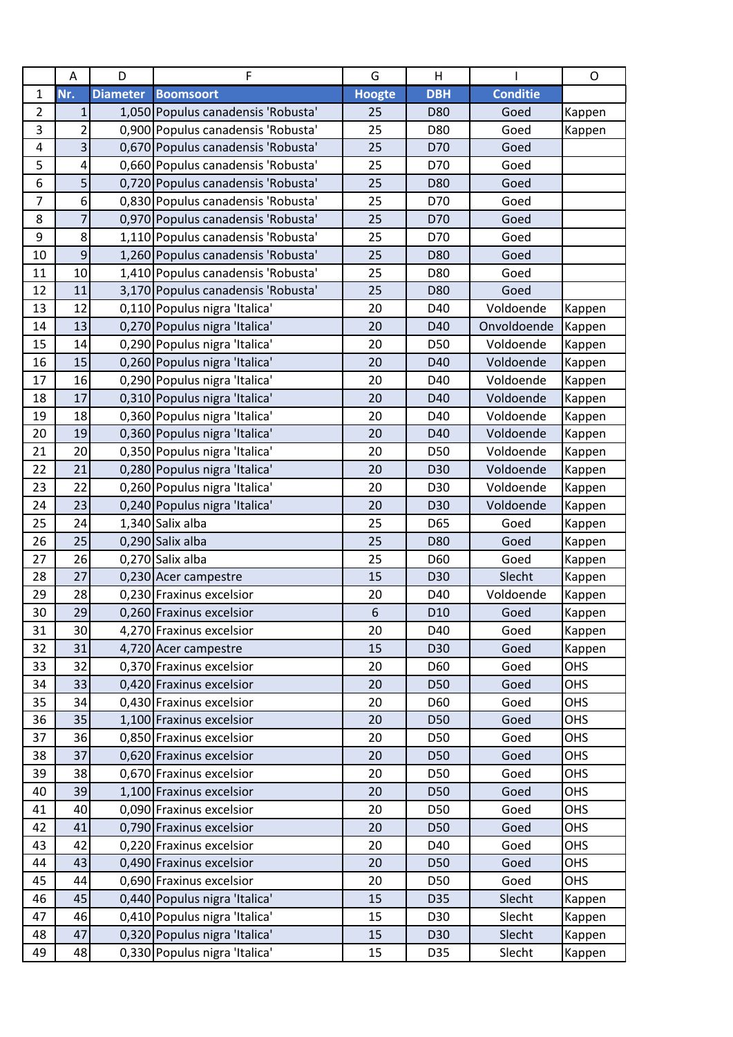|                | A              | D               | F                                  | G             | H               |                 | $\mathsf{O}$ |
|----------------|----------------|-----------------|------------------------------------|---------------|-----------------|-----------------|--------------|
| $\mathbf{1}$   | Nr.            | <b>Diameter</b> | <b>Boomsoort</b>                   | <b>Hoogte</b> | <b>DBH</b>      | <b>Conditie</b> |              |
| $\overline{2}$ | 1              |                 | 1,050 Populus canadensis 'Robusta' | 25            | D80             | Goed            | Kappen       |
| 3              | $\overline{2}$ |                 | 0,900 Populus canadensis 'Robusta' | 25            | D80             | Goed            | Kappen       |
| 4              | 3              |                 | 0,670 Populus canadensis 'Robusta' | 25            | D70             | Goed            |              |
| 5              | 4              |                 | 0,660 Populus canadensis 'Robusta' | 25            | D70             | Goed            |              |
| 6              | 5              |                 | 0,720 Populus canadensis 'Robusta' | 25            | D80             | Goed            |              |
| $\overline{7}$ | 6              |                 | 0,830 Populus canadensis 'Robusta' | 25            | D70             | Goed            |              |
| 8              | $\overline{7}$ |                 | 0,970 Populus canadensis 'Robusta' | 25            | D70             | Goed            |              |
| 9              | 8              |                 | 1,110 Populus canadensis 'Robusta' | 25            | D70             | Goed            |              |
| 10             | 9              |                 | 1,260 Populus canadensis 'Robusta' | 25            | D80             | Goed            |              |
| 11             | 10             |                 | 1,410 Populus canadensis 'Robusta' | 25            | D80             | Goed            |              |
| 12             | 11             |                 | 3,170 Populus canadensis 'Robusta' | 25            | D80             | Goed            |              |
| 13             | 12             |                 | 0,110 Populus nigra 'Italica'      | 20            | D40             | Voldoende       | Kappen       |
| 14             | 13             |                 | 0,270 Populus nigra 'Italica'      | 20            | D40             | Onvoldoende     | Kappen       |
| 15             | 14             |                 | 0,290 Populus nigra 'Italica'      | 20            | D50             | Voldoende       | Kappen       |
| 16             | 15             |                 | 0,260 Populus nigra 'Italica'      | 20            | D40             | Voldoende       | Kappen       |
| 17             | 16             |                 | 0,290 Populus nigra 'Italica'      | 20            | D40             | Voldoende       | Kappen       |
| 18             | 17             |                 | 0,310 Populus nigra 'Italica'      | 20            | D40             | Voldoende       | Kappen       |
| 19             | 18             |                 | 0,360 Populus nigra 'Italica'      | 20            | D40             | Voldoende       | Kappen       |
| 20             | 19             |                 | 0,360 Populus nigra 'Italica'      | 20            | D40             | Voldoende       | Kappen       |
| 21             | 20             |                 | 0,350 Populus nigra 'Italica'      | 20            | D50             | Voldoende       | Kappen       |
| 22             | 21             |                 | 0,280 Populus nigra 'Italica'      | 20            | D30             | Voldoende       | Kappen       |
| 23             | 22             |                 | 0,260 Populus nigra 'Italica'      | 20            | D30             | Voldoende       | Kappen       |
| 24             | 23             |                 | 0,240 Populus nigra 'Italica'      | 20            | D30             | Voldoende       | Kappen       |
| 25             | 24             |                 | 1,340 Salix alba                   | 25            | D65             | Goed            | Kappen       |
| 26             | 25             |                 | 0,290 Salix alba                   | 25            | D80             | Goed            | Kappen       |
| 27             | 26             |                 | 0,270 Salix alba                   | 25            | D60             | Goed            | Kappen       |
| 28             | 27             |                 | 0,230 Acer campestre               | 15            | D30             | Slecht          | Kappen       |
| 29             | 28             |                 | 0,230 Fraxinus excelsior           | 20            | D40             | Voldoende       | Kappen       |
| 30             | 29             |                 | 0,260 Fraxinus excelsior           | 6             | D <sub>10</sub> | Goed            | Kappen       |
| 31             | 30             |                 | 4,270 Fraxinus excelsior           | 20            | D40             | Goed            | Kappen       |
| 32             | 31             |                 | 4,720 Acer campestre               | 15            | D30             | Goed            | Kappen       |
| 33             | 32             |                 | 0,370 Fraxinus excelsior           | 20            | D60             | Goed            | OHS          |
| 34             | 33             |                 | 0,420 Fraxinus excelsior           | 20            | D50             | Goed            | OHS          |
| 35             | 34             |                 | 0,430 Fraxinus excelsior           | 20            | D60             | Goed            | OHS          |
| 36             | 35             |                 | 1,100 Fraxinus excelsior           | 20            | D50             | Goed            | OHS          |
| 37             | 36             |                 | 0,850 Fraxinus excelsior           | 20            | D50             | Goed            | OHS          |
| 38             | 37             |                 | 0,620 Fraxinus excelsior           | 20            | D50             | Goed            | OHS          |
| 39             | 38             |                 | 0,670 Fraxinus excelsior           | 20            | D50             | Goed            | OHS          |
| 40             | 39             |                 | 1,100 Fraxinus excelsior           | 20            | D50             | Goed            | OHS          |
| 41             | 40             |                 | 0,090 Fraxinus excelsior           | 20            | D50             | Goed            | OHS          |
| 42             | 41             |                 | 0,790 Fraxinus excelsior           | 20            | <b>D50</b>      | Goed            | OHS          |
| 43             | 42             |                 | 0,220 Fraxinus excelsior           | 20            | D40             | Goed            | OHS          |
| 44             | 43             |                 | 0,490 Fraxinus excelsior           | 20            | <b>D50</b>      | Goed            | OHS          |
| 45             | 44             |                 | 0,690 Fraxinus excelsior           | 20            | D50             | Goed            | OHS          |
| 46             | 45             |                 | 0,440 Populus nigra 'Italica'      | 15            | D35             | Slecht          | Kappen       |
| 47             | 46             |                 | 0,410 Populus nigra 'Italica'      | 15            | D30             | Slecht          | Kappen       |
| 48             | 47             |                 | 0,320 Populus nigra 'Italica'      | 15            | D30             | Slecht          | Kappen       |
| 49             | 48             |                 | 0,330 Populus nigra 'Italica'      | 15            | D35             | Slecht          | Kappen       |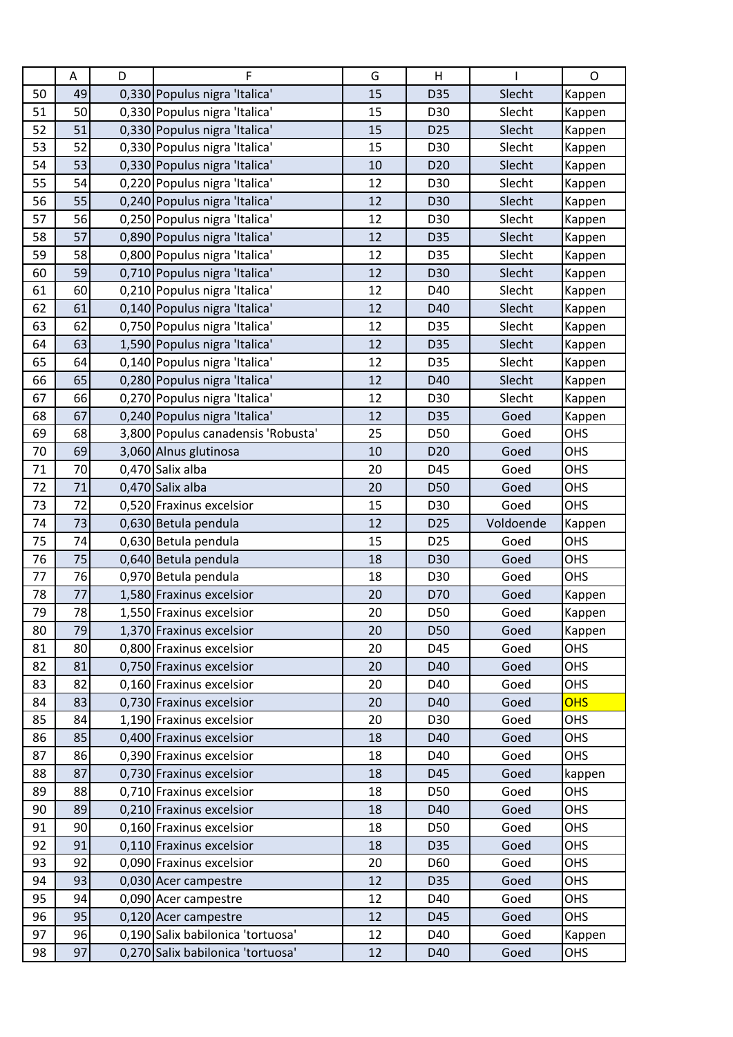|    | Α  | D | F                                  | G  | Н               |           | O          |
|----|----|---|------------------------------------|----|-----------------|-----------|------------|
| 50 | 49 |   | 0,330 Populus nigra 'Italica'      | 15 | D35             | Slecht    | Kappen     |
| 51 | 50 |   | 0,330 Populus nigra 'Italica'      | 15 | D30             | Slecht    | Kappen     |
| 52 | 51 |   | 0,330 Populus nigra 'Italica'      | 15 | D <sub>25</sub> | Slecht    | Kappen     |
| 53 | 52 |   | 0,330 Populus nigra 'Italica'      | 15 | D30             | Slecht    | Kappen     |
| 54 | 53 |   | 0,330 Populus nigra 'Italica'      | 10 | D <sub>20</sub> | Slecht    | Kappen     |
| 55 | 54 |   | 0,220 Populus nigra 'Italica'      | 12 | D30             | Slecht    | Kappen     |
| 56 | 55 |   | 0,240 Populus nigra 'Italica'      | 12 | D30             | Slecht    | Kappen     |
| 57 | 56 |   | 0,250 Populus nigra 'Italica'      | 12 | D30             | Slecht    | Kappen     |
| 58 | 57 |   | 0,890 Populus nigra 'Italica'      | 12 | D35             | Slecht    | Kappen     |
| 59 | 58 |   | 0,800 Populus nigra 'Italica'      | 12 | D35             | Slecht    | Kappen     |
| 60 | 59 |   | 0,710 Populus nigra 'Italica'      | 12 | D30             | Slecht    | Kappen     |
| 61 | 60 |   | 0,210 Populus nigra 'Italica'      | 12 | D40             | Slecht    | Kappen     |
| 62 | 61 |   | 0,140 Populus nigra 'Italica'      | 12 | D40             | Slecht    | Kappen     |
| 63 | 62 |   | 0,750 Populus nigra 'Italica'      | 12 | D35             | Slecht    | Kappen     |
| 64 | 63 |   | 1,590 Populus nigra 'Italica'      | 12 | D35             | Slecht    | Kappen     |
| 65 | 64 |   | 0,140 Populus nigra 'Italica'      | 12 | D35             | Slecht    | Kappen     |
| 66 | 65 |   | 0,280 Populus nigra 'Italica'      | 12 | D40             | Slecht    | Kappen     |
| 67 | 66 |   | 0,270 Populus nigra 'Italica'      | 12 | D30             | Slecht    | Kappen     |
| 68 | 67 |   | 0,240 Populus nigra 'Italica'      | 12 | D35             | Goed      | Kappen     |
| 69 | 68 |   | 3,800 Populus canadensis 'Robusta' | 25 | D50             | Goed      | <b>OHS</b> |
| 70 | 69 |   | 3,060 Alnus glutinosa              | 10 | D <sub>20</sub> | Goed      | <b>OHS</b> |
| 71 | 70 |   | 0,470 Salix alba                   | 20 | D45             | Goed      | OHS        |
| 72 | 71 |   | 0,470 Salix alba                   | 20 | D50             | Goed      | OHS        |
| 73 | 72 |   | 0,520 Fraxinus excelsior           | 15 | D30             | Goed      | OHS        |
|    |    |   |                                    |    |                 |           |            |
| 74 | 73 |   | 0,630 Betula pendula               | 12 | D <sub>25</sub> | Voldoende | Kappen     |
| 75 | 74 |   | 0,630 Betula pendula               | 15 | D <sub>25</sub> | Goed      | OHS        |
| 76 | 75 |   | 0,640 Betula pendula               | 18 | D30             | Goed      | OHS        |
| 77 | 76 |   | 0,970 Betula pendula               | 18 | D30             | Goed      | OHS        |
| 78 | 77 |   | 1,580 Fraxinus excelsior           | 20 | D70             | Goed      | Kappen     |
| 79 | 78 |   | 1,550 Fraxinus excelsior           | 20 | D50             | Goed      | Kappen     |
| 80 | 79 |   | 1,370 Fraxinus excelsior           | 20 | D50             | Goed      | Kappen     |
| 81 | 80 |   | 0,800 Fraxinus excelsior           | 20 | D45             | Goed      | OHS        |
| 82 | 81 |   | 0,750 Fraxinus excelsior           | 20 | D40             | Goed      | <b>OHS</b> |
| 83 | 82 |   | 0,160 Fraxinus excelsior           | 20 | D40             | Goed      | OHS        |
| 84 | 83 |   | 0,730 Fraxinus excelsior           | 20 | D40             | Goed      | <b>OHS</b> |
| 85 | 84 |   | 1,190 Fraxinus excelsior           | 20 | D30             | Goed      | OHS        |
| 86 | 85 |   | 0,400 Fraxinus excelsior           | 18 | D40             | Goed      | OHS        |
| 87 | 86 |   | 0,390 Fraxinus excelsior           | 18 | D40             | Goed      | <b>OHS</b> |
| 88 | 87 |   | 0,730 Fraxinus excelsior           | 18 | D45             | Goed      | kappen     |
| 89 | 88 |   | 0,710 Fraxinus excelsior           | 18 | D50             | Goed      | OHS        |
| 90 | 89 |   | 0,210 Fraxinus excelsior           | 18 | D40             | Goed      | OHS        |
| 91 | 90 |   | 0,160 Fraxinus excelsior           | 18 | D50             | Goed      | OHS        |
| 92 | 91 |   | 0,110 Fraxinus excelsior           | 18 | D35             | Goed      | OHS        |
| 93 | 92 |   | 0,090 Fraxinus excelsior           | 20 | D60             | Goed      | OHS        |
| 94 | 93 |   | 0,030 Acer campestre               | 12 | D35             | Goed      | OHS        |
| 95 | 94 |   | 0,090 Acer campestre               | 12 | D40             | Goed      | OHS        |
| 96 | 95 |   | 0,120 Acer campestre               | 12 | D45             | Goed      | OHS        |
| 97 | 96 |   | 0,190 Salix babilonica 'tortuosa'  | 12 | D40             | Goed      | Kappen     |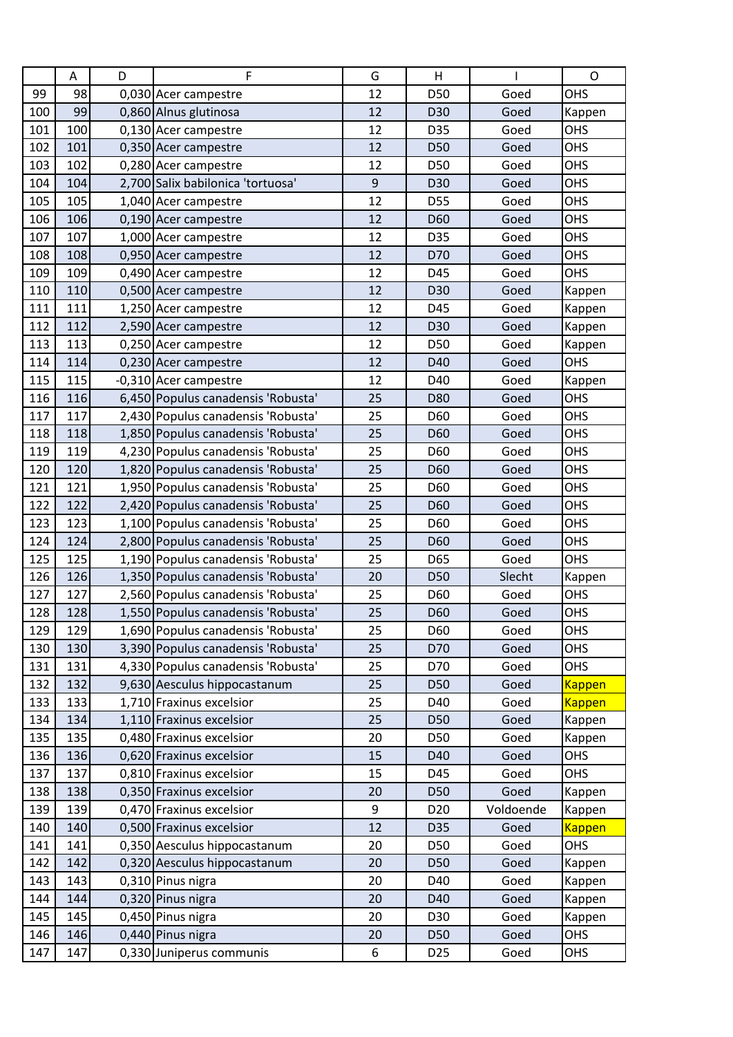|     | А   | D | F                                  | G                | Н               |           | O             |
|-----|-----|---|------------------------------------|------------------|-----------------|-----------|---------------|
| 99  | 98  |   | 0,030 Acer campestre               | 12               | D50             | Goed      | <b>OHS</b>    |
| 100 | 99  |   | 0,860 Alnus glutinosa              | 12               | D30             | Goed      | Kappen        |
| 101 | 100 |   | 0,130 Acer campestre               | 12               | D35             | Goed      | OHS           |
| 102 | 101 |   | 0,350 Acer campestre               | 12               | D50             | Goed      | OHS           |
| 103 | 102 |   | 0,280 Acer campestre               | 12               | D50             | Goed      | OHS           |
| 104 | 104 |   | 2,700 Salix babilonica 'tortuosa'  | $\boldsymbol{9}$ | D30             | Goed      | <b>OHS</b>    |
| 105 | 105 |   | 1,040 Acer campestre               | 12               | D55             | Goed      | <b>OHS</b>    |
| 106 | 106 |   | 0,190 Acer campestre               | 12               | D60             | Goed      | <b>OHS</b>    |
| 107 | 107 |   | 1,000 Acer campestre               | 12               | D35             | Goed      | OHS           |
| 108 | 108 |   | 0,950 Acer campestre               | 12               | D70             | Goed      | <b>OHS</b>    |
| 109 | 109 |   | 0,490 Acer campestre               | 12               | D45             | Goed      | OHS           |
| 110 | 110 |   | 0,500 Acer campestre               | 12               | D30             | Goed      | Kappen        |
| 111 | 111 |   | 1,250 Acer campestre               | 12               | D45             | Goed      | Kappen        |
| 112 | 112 |   | 2,590 Acer campestre               | 12               | D30             | Goed      | Kappen        |
| 113 | 113 |   | 0,250 Acer campestre               | 12               | D50             | Goed      | Kappen        |
| 114 | 114 |   | 0,230 Acer campestre               | 12               | D40             | Goed      | OHS           |
| 115 | 115 |   | -0,310 Acer campestre              | 12               | D40             | Goed      | Kappen        |
| 116 | 116 |   | 6,450 Populus canadensis 'Robusta' | 25               | D80             | Goed      | OHS           |
| 117 | 117 |   | 2,430 Populus canadensis 'Robusta' | 25               | D60             | Goed      | <b>OHS</b>    |
| 118 | 118 |   | 1,850 Populus canadensis 'Robusta' | 25               | D60             | Goed      | <b>OHS</b>    |
| 119 | 119 |   | 4,230 Populus canadensis 'Robusta' | 25               | D60             | Goed      | OHS           |
| 120 | 120 |   | 1,820 Populus canadensis 'Robusta' | 25               | D60             | Goed      | <b>OHS</b>    |
| 121 | 121 |   | 1,950 Populus canadensis 'Robusta' | 25               | D60             | Goed      | OHS           |
| 122 | 122 |   | 2,420 Populus canadensis 'Robusta' | 25               | D60             | Goed      | OHS           |
| 123 | 123 |   | 1,100 Populus canadensis 'Robusta' | 25               | D60             | Goed      | OHS           |
| 124 | 124 |   | 2,800 Populus canadensis 'Robusta' | 25               | D60             | Goed      | <b>OHS</b>    |
| 125 | 125 |   | 1,190 Populus canadensis 'Robusta' | 25               | D65             | Goed      | OHS           |
| 126 | 126 |   | 1,350 Populus canadensis 'Robusta' | 20               | D50             | Slecht    | Kappen        |
| 127 | 127 |   | 2,560 Populus canadensis 'Robusta' | 25               | D60             | Goed      | <b>OHS</b>    |
| 128 | 128 |   | 1,550 Populus canadensis 'Robusta' | 25               | D60             | Goed      | OHS           |
| 129 | 129 |   | 1,690 Populus canadensis 'Robusta' | 25               | D60             | Goed      | OHS           |
| 130 | 130 |   | 3,390 Populus canadensis 'Robusta' | 25               | D70             | Goed      | <b>OHS</b>    |
| 131 | 131 |   | 4,330 Populus canadensis 'Robusta' | 25               | D70             | Goed      | OHS           |
| 132 | 132 |   | 9,630 Aesculus hippocastanum       | 25               | D50             | Goed      | <b>Kappen</b> |
| 133 | 133 |   | 1,710 Fraxinus excelsior           | 25               | D40             | Goed      | <b>Kappen</b> |
| 134 | 134 |   | 1,110 Fraxinus excelsior           | 25               | D50             | Goed      | Kappen        |
| 135 | 135 |   | 0,480 Fraxinus excelsior           | 20               | D50             | Goed      | Kappen        |
| 136 | 136 |   | 0,620 Fraxinus excelsior           | 15               | D40             | Goed      | OHS           |
| 137 | 137 |   | 0,810 Fraxinus excelsior           | 15               | D45             | Goed      | <b>OHS</b>    |
| 138 | 138 |   | 0,350 Fraxinus excelsior           | 20               | D50             | Goed      | Kappen        |
| 139 | 139 |   | 0,470 Fraxinus excelsior           | 9                | D <sub>20</sub> | Voldoende | Kappen        |
| 140 | 140 |   | 0,500 Fraxinus excelsior           | 12               | D35             | Goed      | <b>Kappen</b> |
| 141 | 141 |   | 0,350 Aesculus hippocastanum       | 20               | D50             | Goed      | OHS           |
| 142 | 142 |   | 0,320 Aesculus hippocastanum       | 20               | D50             | Goed      | Kappen        |
| 143 | 143 |   | 0,310 Pinus nigra                  | 20               | D40             | Goed      | Kappen        |
| 144 | 144 |   | 0,320 Pinus nigra                  | 20               | D40             | Goed      | Kappen        |
| 145 | 145 |   | 0,450 Pinus nigra                  | 20               | D30             | Goed      | Kappen        |
| 146 | 146 |   | 0,440 Pinus nigra                  | 20               | D50             | Goed      | <b>OHS</b>    |
| 147 | 147 |   | 0,330 Juniperus communis           | 6                | D <sub>25</sub> | Goed      | OHS           |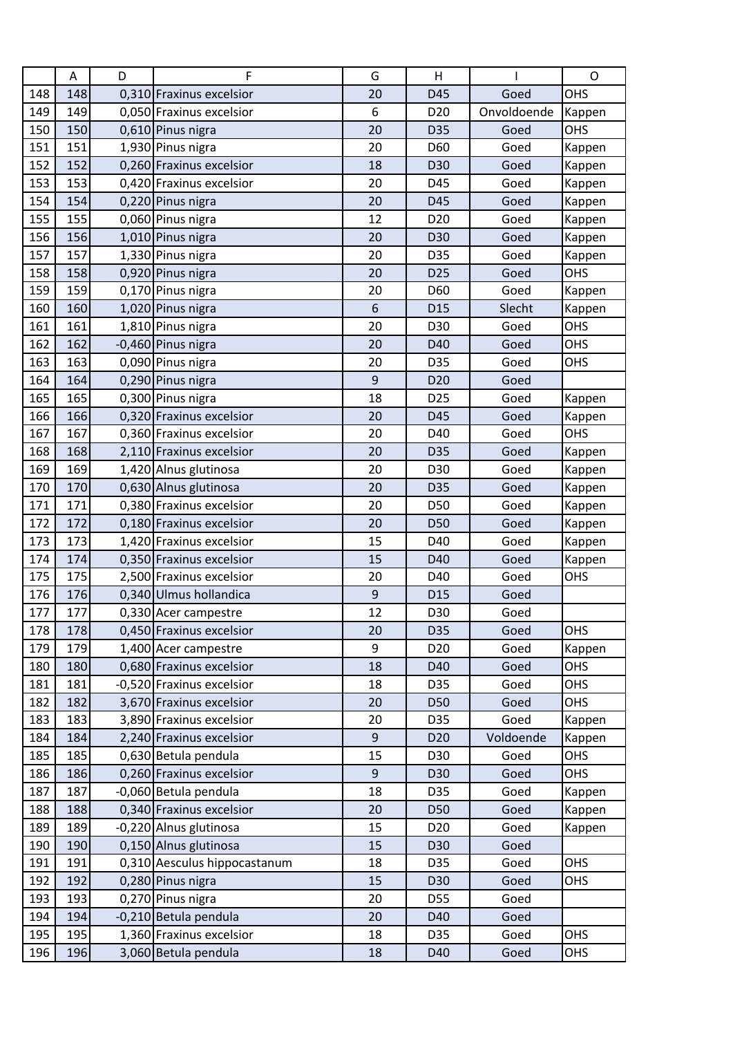|     | A   | D | F                            | G                | Н               |             | $\mathsf O$ |
|-----|-----|---|------------------------------|------------------|-----------------|-------------|-------------|
| 148 | 148 |   | 0,310 Fraxinus excelsior     | 20               | D45             | Goed        | OHS         |
| 149 | 149 |   | 0,050 Fraxinus excelsior     | 6                | D <sub>20</sub> | Onvoldoende | Kappen      |
| 150 | 150 |   | 0,610 Pinus nigra            | 20               | D35             | Goed        | OHS         |
| 151 | 151 |   | 1,930 Pinus nigra            | 20               | D60             | Goed        | Kappen      |
| 152 | 152 |   | 0,260 Fraxinus excelsior     | 18               | D30             | Goed        | Kappen      |
| 153 | 153 |   | 0,420 Fraxinus excelsior     | 20               | D45             | Goed        | Kappen      |
| 154 | 154 |   | 0,220 Pinus nigra            | 20               | D45             | Goed        | Kappen      |
| 155 | 155 |   | 0,060 Pinus nigra            | 12               | D <sub>20</sub> | Goed        | Kappen      |
| 156 | 156 |   | 1,010 Pinus nigra            | 20               | D30             | Goed        | Kappen      |
| 157 | 157 |   | 1,330 Pinus nigra            | 20               | D35             | Goed        | Kappen      |
| 158 | 158 |   | 0,920 Pinus nigra            | 20               | D <sub>25</sub> | Goed        | OHS         |
| 159 | 159 |   | 0,170 Pinus nigra            | 20               | D60             | Goed        | Kappen      |
| 160 | 160 |   | 1,020 Pinus nigra            | 6                | D <sub>15</sub> | Slecht      | Kappen      |
| 161 | 161 |   | 1,810 Pinus nigra            | 20               | D30             | Goed        | OHS         |
| 162 | 162 |   | -0,460 Pinus nigra           | 20               | D40             | Goed        | OHS         |
| 163 | 163 |   | 0,090 Pinus nigra            | 20               | D35             | Goed        | OHS         |
| 164 | 164 |   | 0,290 Pinus nigra            | 9                | D <sub>20</sub> | Goed        |             |
| 165 | 165 |   | 0,300 Pinus nigra            | 18               | D <sub>25</sub> | Goed        | Kappen      |
| 166 | 166 |   | 0,320 Fraxinus excelsior     | 20               | D45             | Goed        | Kappen      |
| 167 | 167 |   | 0,360 Fraxinus excelsior     | 20               | D40             | Goed        | <b>OHS</b>  |
| 168 | 168 |   | 2,110 Fraxinus excelsior     | 20               | D35             | Goed        | Kappen      |
| 169 | 169 |   | 1,420 Alnus glutinosa        | 20               | D30             | Goed        | Kappen      |
| 170 | 170 |   | 0,630 Alnus glutinosa        | 20               | D35             | Goed        | Kappen      |
| 171 | 171 |   | 0,380 Fraxinus excelsior     | 20               | D50             | Goed        | Kappen      |
| 172 | 172 |   | 0,180 Fraxinus excelsior     | 20               | D50             | Goed        | Kappen      |
| 173 | 173 |   | 1,420 Fraxinus excelsior     | 15               | D40             | Goed        | Kappen      |
| 174 | 174 |   | 0,350 Fraxinus excelsior     | 15               | D40             | Goed        | Kappen      |
| 175 | 175 |   | 2,500 Fraxinus excelsior     | 20               | D40             | Goed        | OHS         |
| 176 | 176 |   | 0,340 Ulmus hollandica       | $\boldsymbol{9}$ | D <sub>15</sub> | Goed        |             |
| 177 | 177 |   | 0,330 Acer campestre         | 12               | D30             | Goed        |             |
| 178 | 178 |   | 0,450 Fraxinus excelsior     | 20               | D35             | Goed        | <b>OHS</b>  |
| 179 | 179 |   | 1,400 Acer campestre         | 9                | D <sub>20</sub> | Goed        | Kappen      |
| 180 | 180 |   | 0,680 Fraxinus excelsior     | 18               | D40             | Goed        | OHS         |
| 181 | 181 |   | -0,520 Fraxinus excelsior    | 18               | D35             | Goed        | <b>OHS</b>  |
| 182 | 182 |   | 3,670 Fraxinus excelsior     | 20               | D50             | Goed        | OHS         |
| 183 | 183 |   | 3,890 Fraxinus excelsior     | 20               | D35             | Goed        | Kappen      |
| 184 | 184 |   | 2,240 Fraxinus excelsior     | $\overline{9}$   | D <sub>20</sub> | Voldoende   | Kappen      |
| 185 | 185 |   | 0,630 Betula pendula         | 15               | D30             | Goed        | OHS         |
| 186 | 186 |   | 0,260 Fraxinus excelsior     | $\boldsymbol{9}$ | D30             | Goed        | <b>OHS</b>  |
| 187 | 187 |   | -0,060 Betula pendula        | 18               | D35             | Goed        | Kappen      |
| 188 | 188 |   | 0,340 Fraxinus excelsior     | 20               | D50             | Goed        | Kappen      |
| 189 | 189 |   | -0,220 Alnus glutinosa       | 15               | D <sub>20</sub> | Goed        | Kappen      |
| 190 | 190 |   | 0,150 Alnus glutinosa        | 15               | D30             | Goed        |             |
| 191 | 191 |   | 0,310 Aesculus hippocastanum | 18               | D35             | Goed        | <b>OHS</b>  |
| 192 | 192 |   | 0,280 Pinus nigra            | 15               | D30             | Goed        | OHS         |
| 193 | 193 |   | 0,270 Pinus nigra            | 20               | D55             | Goed        |             |
| 194 | 194 |   | -0,210 Betula pendula        | 20               | D40             | Goed        |             |
| 195 | 195 |   | 1,360 Fraxinus excelsior     | 18               | D35             | Goed        | OHS         |
| 196 | 196 |   | 3,060 Betula pendula         | 18               | D40             | Goed        | OHS         |
|     |     |   |                              |                  |                 |             |             |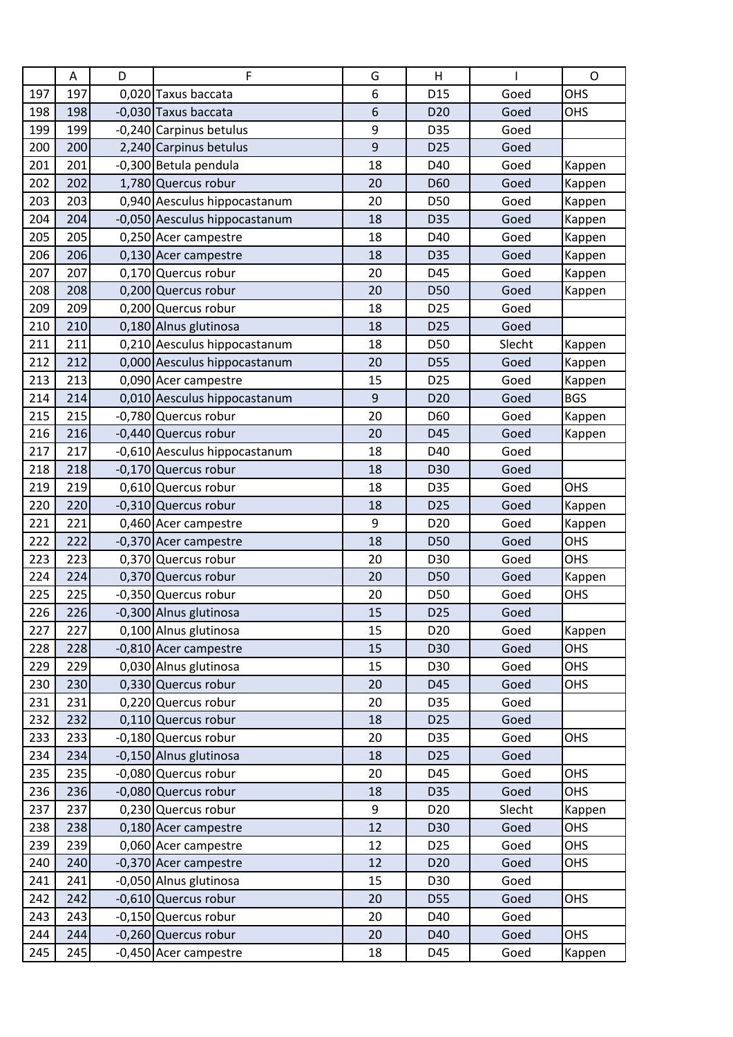|     | $\mathsf A$ | D | F                             | G  | H               |        | O          |
|-----|-------------|---|-------------------------------|----|-----------------|--------|------------|
| 197 | 197         |   | 0,020 Taxus baccata           | 6  | D <sub>15</sub> | Goed   | OHS        |
| 198 | 198         |   | -0,030 Taxus baccata          | 6  | D <sub>20</sub> | Goed   | OHS        |
| 199 | 199         |   | -0,240 Carpinus betulus       | 9  | D35             | Goed   |            |
| 200 | 200         |   | 2,240 Carpinus betulus        | 9  | D <sub>25</sub> | Goed   |            |
| 201 | 201         |   | -0,300 Betula pendula         | 18 | D40             | Goed   | Kappen     |
| 202 | 202         |   | 1,780 Quercus robur           | 20 | D60             | Goed   | Kappen     |
| 203 | 203         |   | 0,940 Aesculus hippocastanum  | 20 | D50             | Goed   | Kappen     |
| 204 | 204         |   | -0,050 Aesculus hippocastanum | 18 | D35             | Goed   | Kappen     |
| 205 | 205         |   | 0,250 Acer campestre          | 18 | D40             | Goed   | Kappen     |
| 206 | 206         |   | 0,130 Acer campestre          | 18 | D35             | Goed   | Kappen     |
| 207 | 207         |   | 0,170 Quercus robur           | 20 | D45             | Goed   | Kappen     |
| 208 | 208         |   | 0,200 Quercus robur           | 20 | D50             | Goed   | Kappen     |
| 209 | 209         |   | 0,200 Quercus robur           | 18 | D <sub>25</sub> | Goed   |            |
| 210 | 210         |   | 0,180 Alnus glutinosa         | 18 | D <sub>25</sub> | Goed   |            |
| 211 | 211         |   | 0,210 Aesculus hippocastanum  | 18 | D50             | Slecht | Kappen     |
| 212 | 212         |   | 0,000 Aesculus hippocastanum  | 20 | D55             | Goed   | Kappen     |
| 213 | 213         |   | 0,090 Acer campestre          | 15 | D <sub>25</sub> | Goed   | Kappen     |
| 214 | 214         |   | 0,010 Aesculus hippocastanum  | 9  | D <sub>20</sub> | Goed   | <b>BGS</b> |
| 215 | 215         |   | -0,780 Quercus robur          | 20 | D60             | Goed   | Kappen     |
| 216 | 216         |   | -0,440 Quercus robur          | 20 | D45             | Goed   | Kappen     |
| 217 | 217         |   | -0,610 Aesculus hippocastanum | 18 | D40             | Goed   |            |
| 218 | 218         |   | -0,170 Quercus robur          | 18 | D30             | Goed   |            |
| 219 | 219         |   | 0,610 Quercus robur           | 18 | D35             | Goed   | OHS        |
| 220 | 220         |   | -0,310 Quercus robur          | 18 | D <sub>25</sub> | Goed   | Kappen     |
| 221 | 221         |   | 0,460 Acer campestre          | 9  | D <sub>20</sub> | Goed   | Kappen     |
| 222 | 222         |   | -0,370 Acer campestre         | 18 | D50             | Goed   | OHS        |
| 223 | 223         |   | 0,370 Quercus robur           | 20 | D30             | Goed   | OHS        |
| 224 | 224         |   | 0,370 Quercus robur           | 20 | D50             | Goed   | Kappen     |
| 225 | 225         |   | -0,350 Quercus robur          | 20 | D50             | Goed   | OHS        |
| 226 | 226         |   | -0,300 Alnus glutinosa        | 15 | D <sub>25</sub> | Goed   |            |
| 227 | 227         |   | 0,100 Alnus glutinosa         | 15 | D <sub>20</sub> | Goed   | Kappen     |
| 228 | 228         |   | -0,810 Acer campestre         | 15 | D30             | Goed   | OHS        |
| 229 | 229         |   | 0,030 Alnus glutinosa         | 15 | D30             | Goed   | OHS        |
| 230 | 230         |   | 0,330 Quercus robur           | 20 | D45             | Goed   | OHS        |
| 231 | 231         |   | 0,220 Quercus robur           | 20 | D35             | Goed   |            |
| 232 | 232         |   | 0,110 Quercus robur           | 18 | D <sub>25</sub> | Goed   |            |
| 233 | 233         |   | -0,180 Quercus robur          | 20 | D35             | Goed   | OHS        |
| 234 | 234         |   | -0,150 Alnus glutinosa        | 18 | D <sub>25</sub> | Goed   |            |
| 235 | 235         |   | -0,080 Quercus robur          | 20 | D45             | Goed   | OHS        |
| 236 | 236         |   | -0,080 Quercus robur          | 18 | D35             | Goed   | OHS        |
| 237 | 237         |   | 0,230 Quercus robur           | 9  | D <sub>20</sub> | Slecht | Kappen     |
| 238 | 238         |   | 0,180 Acer campestre          | 12 | D30             | Goed   | OHS        |
| 239 | 239         |   | 0,060 Acer campestre          | 12 | D <sub>25</sub> | Goed   | OHS        |
| 240 | 240         |   | -0,370 Acer campestre         | 12 | D <sub>20</sub> | Goed   | OHS        |
| 241 | 241         |   | -0,050 Alnus glutinosa        | 15 | D30             | Goed   |            |
| 242 | 242         |   | -0,610 Quercus robur          | 20 | D55             | Goed   | OHS        |
| 243 | 243         |   | -0,150 Quercus robur          | 20 | D40             | Goed   |            |
| 244 | 244         |   | -0,260 Quercus robur          | 20 | D40             | Goed   | <b>OHS</b> |
| 245 | 245         |   | -0,450 Acer campestre         | 18 | D45             | Goed   | Kappen     |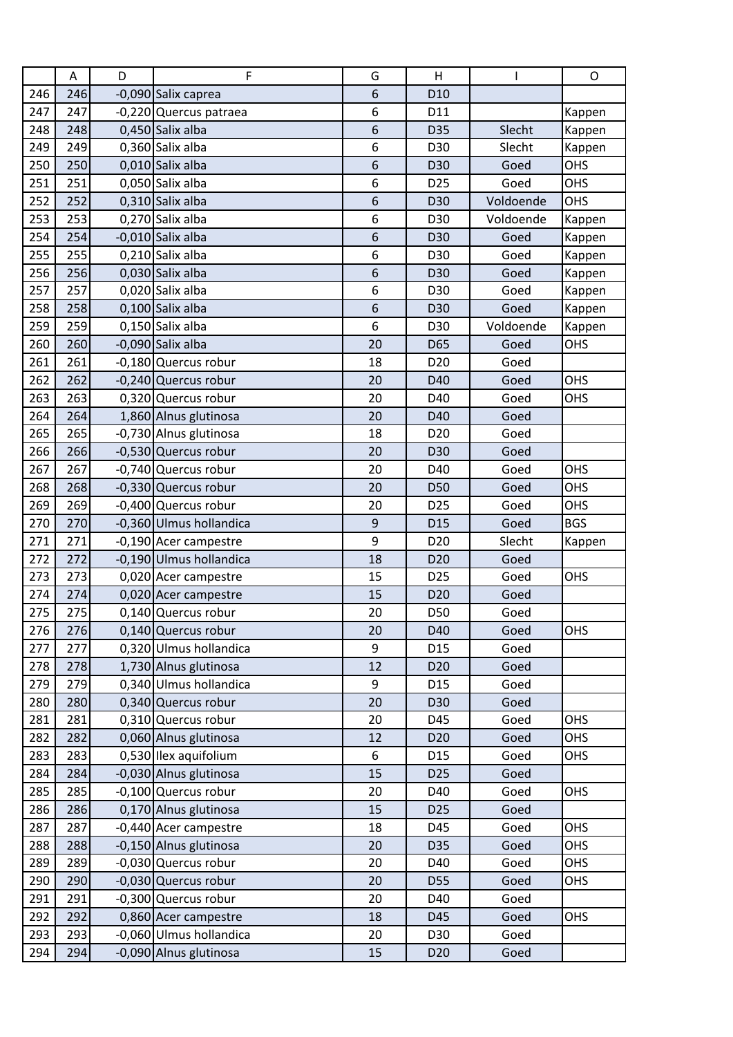|     | Α   | D | F                       | G                | Н               |           | O          |
|-----|-----|---|-------------------------|------------------|-----------------|-----------|------------|
| 246 | 246 |   | -0,090 Salix caprea     | 6                | D <sub>10</sub> |           |            |
| 247 | 247 |   | -0,220 Quercus patraea  | 6                | D11             |           | Kappen     |
| 248 | 248 |   | 0,450 Salix alba        | 6                | D35             | Slecht    | Kappen     |
| 249 | 249 |   | 0,360 Salix alba        | 6                | D30             | Slecht    | Kappen     |
| 250 | 250 |   | 0,010 Salix alba        | 6                | D30             | Goed      | OHS        |
| 251 | 251 |   | 0,050 Salix alba        | 6                | D <sub>25</sub> | Goed      | OHS        |
| 252 | 252 |   | 0,310 Salix alba        | $\boldsymbol{6}$ | D30             | Voldoende | <b>OHS</b> |
| 253 | 253 |   | 0,270 Salix alba        | 6                | D30             | Voldoende | Kappen     |
| 254 | 254 |   | -0,010 Salix alba       | 6                | D30             | Goed      | Kappen     |
| 255 | 255 |   | 0,210 Salix alba        | 6                | D30             | Goed      | Kappen     |
| 256 | 256 |   | 0,030 Salix alba        | 6                | D30             | Goed      | Kappen     |
| 257 | 257 |   | 0,020 Salix alba        | 6                | D30             | Goed      | Kappen     |
| 258 | 258 |   | 0,100 Salix alba        | 6                | D30             | Goed      | Kappen     |
| 259 | 259 |   | 0,150 Salix alba        | 6                | D30             | Voldoende | Kappen     |
| 260 | 260 |   | -0,090 Salix alba       | 20               | D65             | Goed      | OHS        |
| 261 | 261 |   | -0,180 Quercus robur    | 18               | D <sub>20</sub> | Goed      |            |
| 262 | 262 |   | -0,240 Quercus robur    | 20               | D40             | Goed      | OHS        |
| 263 | 263 |   | 0,320 Quercus robur     | 20               | D40             | Goed      | OHS        |
| 264 | 264 |   | 1,860 Alnus glutinosa   | 20               | D40             | Goed      |            |
| 265 | 265 |   | -0,730 Alnus glutinosa  | 18               | D <sub>20</sub> | Goed      |            |
| 266 | 266 |   | -0,530 Quercus robur    | 20               | D30             | Goed      |            |
| 267 | 267 |   | -0,740 Quercus robur    | 20               | D40             | Goed      | OHS        |
| 268 | 268 |   | -0,330 Quercus robur    | 20               | D50             | Goed      | OHS        |
| 269 | 269 |   | -0,400 Quercus robur    | 20               | D <sub>25</sub> | Goed      | OHS        |
| 270 | 270 |   | -0,360 Ulmus hollandica | 9                | D <sub>15</sub> | Goed      | <b>BGS</b> |
| 271 | 271 |   | -0,190 Acer campestre   | 9                | D <sub>20</sub> | Slecht    | Kappen     |
| 272 | 272 |   | -0,190 Ulmus hollandica | 18               | D <sub>20</sub> | Goed      |            |
| 273 | 273 |   | 0,020 Acer campestre    | 15               | D <sub>25</sub> | Goed      | OHS        |
| 274 | 274 |   | 0,020 Acer campestre    | 15               | D <sub>20</sub> | Goed      |            |
| 275 | 275 |   | 0,140 Quercus robur     | 20               | D50             | Goed      |            |
| 276 | 276 |   | 0,140 Quercus robur     | 20               | D40             | Goed      | OHS        |
| 277 | 277 |   | 0,320 Ulmus hollandica  | 9                | D15             | Goed      |            |
| 278 | 278 |   | 1,730 Alnus glutinosa   | 12               | D <sub>20</sub> | Goed      |            |
| 279 | 279 |   | 0,340 Ulmus hollandica  | 9                | D15             | Goed      |            |
| 280 | 280 |   | 0,340 Quercus robur     | 20               | D30             | Goed      |            |
| 281 | 281 |   | 0,310 Quercus robur     | 20               | D45             | Goed      | <b>OHS</b> |
| 282 | 282 |   | 0,060 Alnus glutinosa   | 12               | D <sub>20</sub> | Goed      | <b>OHS</b> |
| 283 | 283 |   | 0,530 Ilex aquifolium   | 6                | D <sub>15</sub> | Goed      | <b>OHS</b> |
| 284 | 284 |   | -0,030 Alnus glutinosa  | 15               | D <sub>25</sub> | Goed      |            |
| 285 | 285 |   | -0,100 Quercus robur    | 20               | D40             | Goed      | OHS        |
| 286 | 286 |   | 0,170 Alnus glutinosa   | 15               | D <sub>25</sub> | Goed      |            |
| 287 | 287 |   | -0,440 Acer campestre   | 18               | D45             | Goed      | OHS        |
| 288 | 288 |   | -0,150 Alnus glutinosa  | 20               | D35             | Goed      | OHS        |
| 289 | 289 |   | -0,030 Quercus robur    | 20               | D40             | Goed      | OHS        |
| 290 | 290 |   | -0,030 Quercus robur    | 20               | D55             | Goed      | OHS        |
| 291 | 291 |   | -0,300 Quercus robur    | 20               | D40             | Goed      |            |
| 292 | 292 |   | 0,860 Acer campestre    | 18               | D45             | Goed      | OHS        |
| 293 | 293 |   | -0,060 Ulmus hollandica | 20               | D30             | Goed      |            |
| 294 | 294 |   | -0,090 Alnus glutinosa  | 15               | D <sub>20</sub> | Goed      |            |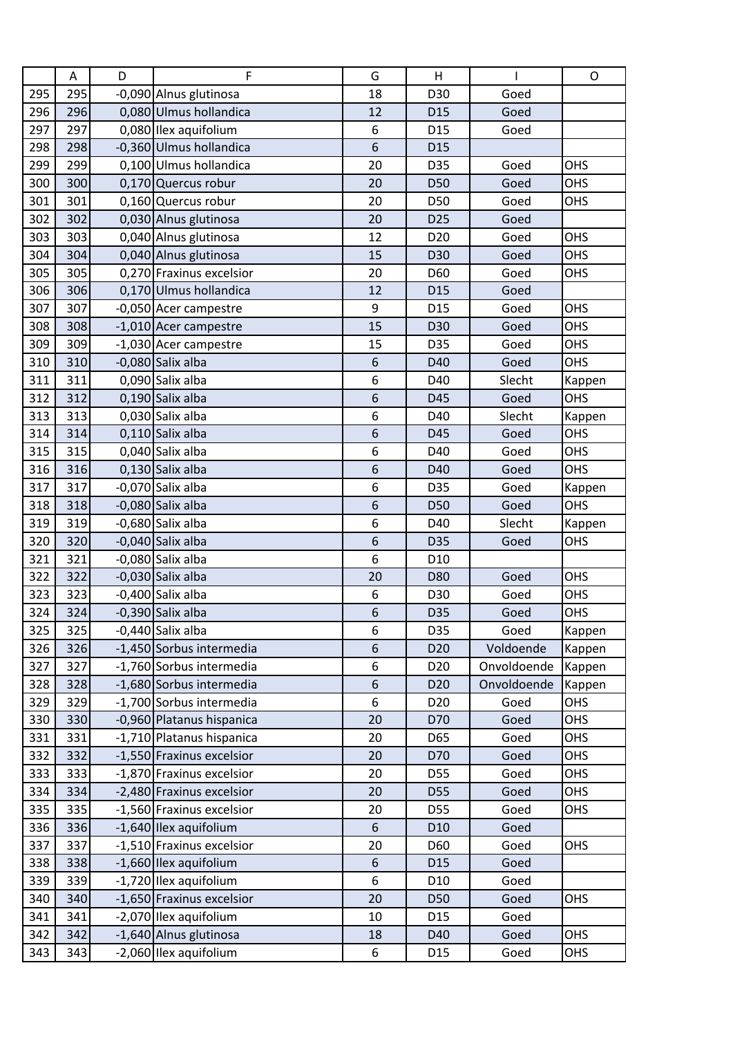|     | Α   | D | F                         | G  | Н               |             | O          |
|-----|-----|---|---------------------------|----|-----------------|-------------|------------|
| 295 | 295 |   | -0,090 Alnus glutinosa    | 18 | D30             | Goed        |            |
| 296 | 296 |   | 0,080 Ulmus hollandica    | 12 | D <sub>15</sub> | Goed        |            |
| 297 | 297 |   | 0,080 Ilex aquifolium     | 6  | D <sub>15</sub> | Goed        |            |
| 298 | 298 |   | -0,360 Ulmus hollandica   | 6  | D <sub>15</sub> |             |            |
| 299 | 299 |   | 0,100 Ulmus hollandica    | 20 | D35             | Goed        | OHS        |
| 300 | 300 |   | 0,170 Quercus robur       | 20 | D50             | Goed        | <b>OHS</b> |
| 301 | 301 |   | 0,160 Quercus robur       | 20 | D50             | Goed        | <b>OHS</b> |
| 302 | 302 |   | 0,030 Alnus glutinosa     | 20 | D <sub>25</sub> | Goed        |            |
| 303 | 303 |   | 0,040 Alnus glutinosa     | 12 | D <sub>20</sub> | Goed        | OHS        |
| 304 | 304 |   | 0,040 Alnus glutinosa     | 15 | D30             | Goed        | <b>OHS</b> |
| 305 | 305 |   | 0,270 Fraxinus excelsior  | 20 | D60             | Goed        | OHS        |
| 306 | 306 |   | 0,170 Ulmus hollandica    | 12 | D <sub>15</sub> | Goed        |            |
| 307 | 307 |   | -0,050 Acer campestre     | 9  | D <sub>15</sub> | Goed        | OHS        |
| 308 | 308 |   | -1,010 Acer campestre     | 15 | D30             | Goed        | OHS        |
| 309 | 309 |   | -1,030 Acer campestre     | 15 | D35             | Goed        | <b>OHS</b> |
| 310 | 310 |   | $-0,080$ Salix alba       | 6  | D40             | Goed        | OHS        |
| 311 | 311 |   | 0,090 Salix alba          | 6  | D40             | Slecht      | Kappen     |
| 312 | 312 |   | 0,190 Salix alba          | 6  | D45             | Goed        | OHS        |
| 313 | 313 |   | 0,030 Salix alba          | 6  | D40             | Slecht      | Kappen     |
| 314 | 314 |   | 0,110 Salix alba          | 6  | D45             | Goed        | OHS        |
| 315 | 315 |   | 0,040 Salix alba          | 6  | D40             | Goed        | OHS        |
| 316 | 316 |   | 0,130 Salix alba          | 6  | D40             | Goed        | OHS        |
| 317 | 317 |   | -0,070 Salix alba         | 6  | D35             | Goed        | Kappen     |
| 318 | 318 |   | $-0,080$ Salix alba       | 6  | D50             | Goed        | OHS        |
| 319 | 319 |   | -0,680 Salix alba         | 6  | D40             | Slecht      | Kappen     |
| 320 | 320 |   | $-0,040$ Salix alba       | 6  | D35             | Goed        | OHS        |
| 321 | 321 |   | -0,080 Salix alba         | 6  | D <sub>10</sub> |             |            |
| 322 | 322 |   | $-0,030$ Salix alba       | 20 | D80             | Goed        | OHS        |
| 323 | 323 |   | $-0,400$ Salix alba       | 6  | D30             | Goed        | OHS        |
| 324 | 324 |   | $-0,390$ Salix alba       | 6  | D35             | Goed        | OHS        |
| 325 | 325 |   | -0,440 Salix alba         | 6  | D35             | Goed        | Kappen     |
| 326 | 326 |   | -1,450 Sorbus intermedia  | 6  | D <sub>20</sub> | Voldoende   | Kappen     |
| 327 | 327 |   | -1,760 Sorbus intermedia  | 6  | D <sub>20</sub> | Onvoldoende | Kappen     |
| 328 | 328 |   | -1,680 Sorbus intermedia  | 6  | D <sub>20</sub> | Onvoldoende | Kappen     |
| 329 | 329 |   | -1,700 Sorbus intermedia  | 6  | D <sub>20</sub> | Goed        | <b>OHS</b> |
| 330 | 330 |   | -0,960 Platanus hispanica | 20 | D70             | Goed        | OHS        |
| 331 | 331 |   | -1,710 Platanus hispanica | 20 | D65             | Goed        | OHS        |
| 332 | 332 |   | -1,550 Fraxinus excelsior | 20 | D70             | Goed        | OHS        |
| 333 | 333 |   | -1,870 Fraxinus excelsior | 20 | D55             | Goed        | OHS        |
| 334 | 334 |   | -2,480 Fraxinus excelsior | 20 | D55             | Goed        | OHS        |
| 335 | 335 |   | -1,560 Fraxinus excelsior | 20 | D55             | Goed        | OHS        |
| 336 | 336 |   | -1,640 Ilex aquifolium    | 6  | D <sub>10</sub> | Goed        |            |
| 337 | 337 |   | -1,510 Fraxinus excelsior | 20 | D60             | Goed        | OHS        |
| 338 | 338 |   | -1,660 Ilex aquifolium    | 6  | D <sub>15</sub> | Goed        |            |
| 339 | 339 |   | -1,720 Ilex aquifolium    | 6  | D <sub>10</sub> | Goed        |            |
| 340 | 340 |   | -1,650 Fraxinus excelsior | 20 | D50             | Goed        | OHS        |
| 341 | 341 |   | -2,070 Ilex aquifolium    | 10 | D <sub>15</sub> | Goed        |            |
| 342 | 342 |   | -1,640 Alnus glutinosa    | 18 | D40             | Goed        | OHS        |
| 343 | 343 |   | -2,060 Ilex aquifolium    | 6  | D <sub>15</sub> | Goed        | OHS        |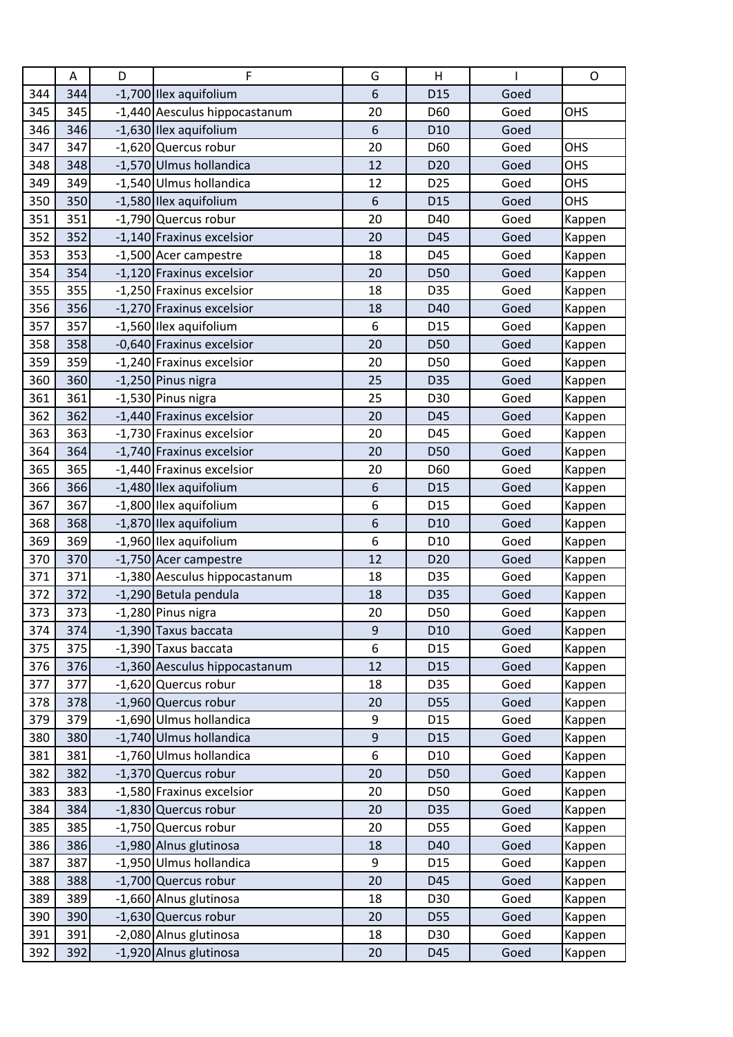|     | Α   | D | F                             | G                | H               |      | $\circ$    |
|-----|-----|---|-------------------------------|------------------|-----------------|------|------------|
| 344 | 344 |   | -1,700 Ilex aquifolium        | 6                | D <sub>15</sub> | Goed |            |
| 345 | 345 |   | -1,440 Aesculus hippocastanum | 20               | D60             | Goed | <b>OHS</b> |
| 346 | 346 |   | -1,630 Ilex aquifolium        | 6                | D <sub>10</sub> | Goed |            |
| 347 | 347 |   | -1,620 Quercus robur          | 20               | D60             | Goed | OHS        |
| 348 | 348 |   | -1,570 Ulmus hollandica       | 12               | D <sub>20</sub> | Goed | OHS        |
| 349 | 349 |   | -1,540 Ulmus hollandica       | 12               | D <sub>25</sub> | Goed | OHS        |
| 350 | 350 |   | -1,580 Ilex aquifolium        | 6                | D <sub>15</sub> | Goed | OHS        |
| 351 | 351 |   | -1,790 Quercus robur          | 20               | D40             | Goed | Kappen     |
| 352 | 352 |   | -1,140 Fraxinus excelsior     | 20               | D45             | Goed | Kappen     |
| 353 | 353 |   | -1,500 Acer campestre         | 18               | D45             | Goed | Kappen     |
| 354 | 354 |   | -1,120 Fraxinus excelsior     | 20               | D50             | Goed | Kappen     |
| 355 | 355 |   | -1,250 Fraxinus excelsior     | 18               | D35             | Goed | Kappen     |
| 356 | 356 |   | -1,270 Fraxinus excelsior     | 18               | D40             | Goed | Kappen     |
| 357 | 357 |   | -1,560 Ilex aquifolium        | 6                | D <sub>15</sub> | Goed | Kappen     |
| 358 | 358 |   | -0,640 Fraxinus excelsior     | 20               | D50             | Goed | Kappen     |
| 359 | 359 |   | -1,240 Fraxinus excelsior     | 20               | D50             | Goed | Kappen     |
| 360 | 360 |   | $-1,250$ Pinus nigra          | 25               | D35             | Goed | Kappen     |
| 361 | 361 |   | -1,530 Pinus nigra            | 25               | D30             | Goed | Kappen     |
| 362 | 362 |   | -1,440 Fraxinus excelsior     | 20               | D45             | Goed | Kappen     |
| 363 | 363 |   | -1,730 Fraxinus excelsior     | 20               | D45             | Goed | Kappen     |
| 364 | 364 |   | -1,740 Fraxinus excelsior     | 20               | D <sub>50</sub> | Goed | Kappen     |
| 365 | 365 |   | -1,440 Fraxinus excelsior     | 20               | D60             | Goed | Kappen     |
| 366 | 366 |   | -1,480 Ilex aquifolium        | 6                | D <sub>15</sub> | Goed | Kappen     |
| 367 | 367 |   | -1,800 Ilex aquifolium        | 6                | D <sub>15</sub> | Goed | Kappen     |
| 368 | 368 |   | -1,870 Ilex aquifolium        | 6                | D <sub>10</sub> | Goed | Kappen     |
| 369 | 369 |   | -1,960 Ilex aquifolium        | 6                | D <sub>10</sub> | Goed | Kappen     |
| 370 | 370 |   | -1,750 Acer campestre         | 12               | D <sub>20</sub> | Goed | Kappen     |
| 371 | 371 |   | -1,380 Aesculus hippocastanum | 18               | D35             | Goed | Kappen     |
| 372 | 372 |   | -1,290 Betula pendula         | 18               | D35             | Goed | Kappen     |
| 373 | 373 |   | -1,280 Pinus nigra            | 20               | D50             | Goed | Kappen     |
| 374 | 374 |   | -1,390 Taxus baccata          | 9                | D <sub>10</sub> | Goed | Kappen     |
| 375 | 375 |   | -1,390 Taxus baccata          | 6                | D15             | Goed | Kappen     |
| 376 | 376 |   | -1,360 Aesculus hippocastanum | 12               | D <sub>15</sub> | Goed | Kappen     |
| 377 | 377 |   | -1,620 Quercus robur          | 18               | D35             | Goed | Kappen     |
| 378 | 378 |   | -1,960 Quercus robur          | 20               | <b>D55</b>      | Goed | Kappen     |
| 379 | 379 |   | -1,690 Ulmus hollandica       | 9                | D <sub>15</sub> | Goed | Kappen     |
| 380 | 380 |   | -1,740 Ulmus hollandica       | $\boldsymbol{9}$ | D <sub>15</sub> | Goed | Kappen     |
| 381 | 381 |   | -1,760 Ulmus hollandica       | 6                | D <sub>10</sub> | Goed | Kappen     |
| 382 | 382 |   | -1,370 Quercus robur          | 20               | D50             | Goed | Kappen     |
| 383 | 383 |   | -1,580 Fraxinus excelsior     | 20               | D50             | Goed | Kappen     |
| 384 | 384 |   | -1,830 Quercus robur          | 20               | D35             | Goed | Kappen     |
| 385 | 385 |   | -1,750 Quercus robur          | 20               | <b>D55</b>      | Goed | Kappen     |
| 386 | 386 |   | -1,980 Alnus glutinosa        | 18               | D40             | Goed | Kappen     |
| 387 | 387 |   | -1,950 Ulmus hollandica       | 9                | D15             | Goed | Kappen     |
| 388 | 388 |   | -1,700 Quercus robur          | 20               | D45             | Goed | Kappen     |
| 389 | 389 |   | -1,660 Alnus glutinosa        | 18               | D30             | Goed | Kappen     |
| 390 | 390 |   | -1,630 Quercus robur          | 20               | D <sub>55</sub> | Goed | Kappen     |
| 391 | 391 |   | -2,080 Alnus glutinosa        | 18               | D30             | Goed | Kappen     |
| 392 | 392 |   | -1,920 Alnus glutinosa        | 20               | D45             | Goed | Kappen     |
|     |     |   |                               |                  |                 |      |            |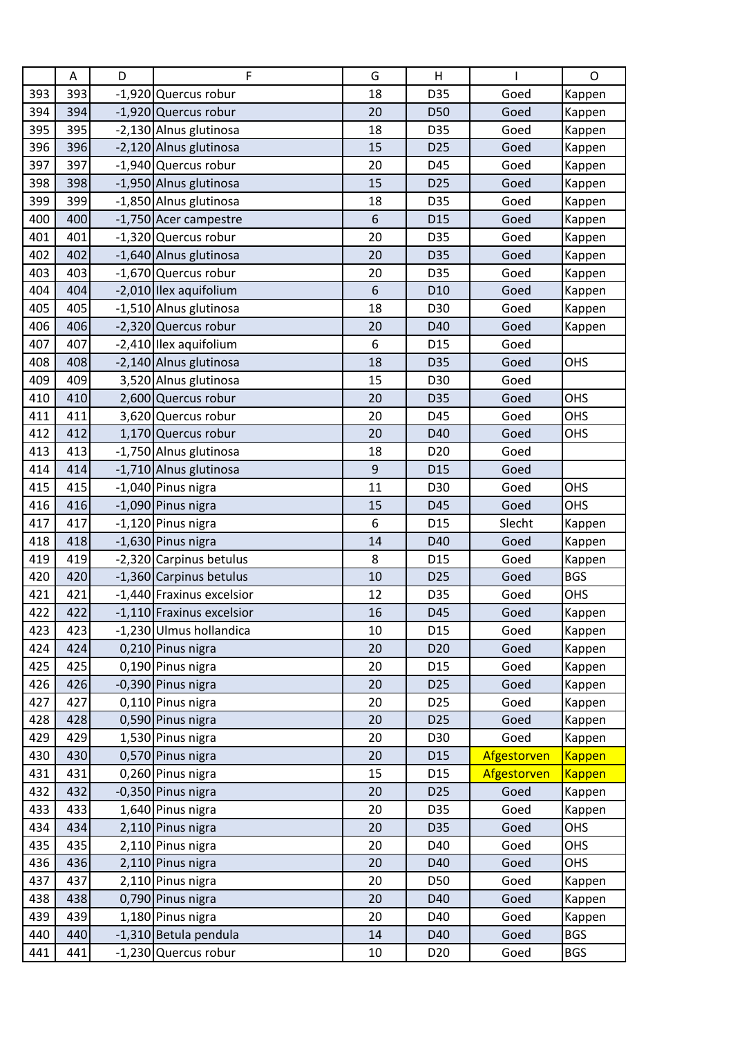|     | A   | D | F                         | G           | Н               |             | $\mathsf{O}$  |
|-----|-----|---|---------------------------|-------------|-----------------|-------------|---------------|
| 393 | 393 |   | -1,920 Quercus robur      | 18          | D35             | Goed        | Kappen        |
| 394 | 394 |   | -1,920 Quercus robur      | 20          | D50             | Goed        | Kappen        |
| 395 | 395 |   | -2,130 Alnus glutinosa    | 18          | D35             | Goed        | Kappen        |
| 396 | 396 |   | -2,120 Alnus glutinosa    | 15          | D <sub>25</sub> | Goed        | Kappen        |
| 397 | 397 |   | -1,940 Quercus robur      | 20          | D45             | Goed        | Kappen        |
| 398 | 398 |   | -1,950 Alnus glutinosa    | 15          | D <sub>25</sub> | Goed        | Kappen        |
| 399 | 399 |   | -1,850 Alnus glutinosa    | 18          | D35             | Goed        | Kappen        |
| 400 | 400 |   | -1,750 Acer campestre     | 6           | D <sub>15</sub> | Goed        | Kappen        |
| 401 | 401 |   | -1,320 Quercus robur      | 20          | D35             | Goed        | Kappen        |
| 402 | 402 |   | -1,640 Alnus glutinosa    | 20          | D35             | Goed        | Kappen        |
| 403 | 403 |   | -1,670 Quercus robur      | 20          | D35             | Goed        | Kappen        |
| 404 | 404 |   | -2,010 Ilex aquifolium    | 6           | D <sub>10</sub> | Goed        | Kappen        |
| 405 | 405 |   | -1,510 Alnus glutinosa    | 18          | D30             | Goed        | Kappen        |
| 406 | 406 |   | -2,320 Quercus robur      | 20          | D40             | Goed        | Kappen        |
| 407 | 407 |   | -2,410 Ilex aquifolium    | 6           | D <sub>15</sub> | Goed        |               |
| 408 | 408 |   | -2,140 Alnus glutinosa    | 18          | D35             | Goed        | OHS           |
| 409 | 409 |   | 3,520 Alnus glutinosa     | 15          | D30             | Goed        |               |
| 410 | 410 |   | 2,600 Quercus robur       | 20          | D35             | Goed        | OHS           |
| 411 | 411 |   | 3,620 Quercus robur       | 20          | D45             | Goed        | OHS           |
| 412 | 412 |   | 1,170 Quercus robur       | 20          | D40             | Goed        | OHS           |
| 413 | 413 |   | -1,750 Alnus glutinosa    | 18          | D <sub>20</sub> | Goed        |               |
| 414 | 414 |   | -1,710 Alnus glutinosa    | $\mathsf 9$ | D <sub>15</sub> | Goed        |               |
| 415 | 415 |   | -1,040 Pinus nigra        | 11          | D30             | Goed        | OHS           |
| 416 | 416 |   | -1,090 Pinus nigra        | 15          | D45             | Goed        | OHS           |
| 417 | 417 |   | $-1,120$ Pinus nigra      | 6           | D <sub>15</sub> | Slecht      | Kappen        |
| 418 | 418 |   | -1,630 Pinus nigra        | 14          | D40             | Goed        | Kappen        |
| 419 | 419 |   | -2,320 Carpinus betulus   | 8           | D <sub>15</sub> | Goed        | Kappen        |
| 420 | 420 |   | -1,360 Carpinus betulus   | 10          | D <sub>25</sub> | Goed        | <b>BGS</b>    |
| 421 | 421 |   | -1,440 Fraxinus excelsior | 12          | D35             | Goed        | <b>OHS</b>    |
| 422 | 422 |   | -1,110 Fraxinus excelsior | 16          | D45             | Goed        | Kappen        |
| 423 | 423 |   | -1,230 Ulmus hollandica   | 10          | D <sub>15</sub> | Goed        | Kappen        |
| 424 | 424 |   | 0,210 Pinus nigra         | 20          | D <sub>20</sub> | Goed        | Kappen        |
| 425 | 425 |   | 0,190 Pinus nigra         | 20          | D15             | Goed        | Kappen        |
| 426 | 426 |   | -0,390 Pinus nigra        | 20          | D <sub>25</sub> | Goed        | Kappen        |
| 427 | 427 |   | 0,110 Pinus nigra         | 20          | D <sub>25</sub> | Goed        | Kappen        |
| 428 | 428 |   | 0,590 Pinus nigra         | 20          | D <sub>25</sub> | Goed        | Kappen        |
| 429 | 429 |   | 1,530 Pinus nigra         | 20          | D30             | Goed        | Kappen        |
| 430 | 430 |   | 0,570 Pinus nigra         | 20          | D15             | Afgestorven | <b>Kappen</b> |
| 431 | 431 |   | 0,260 Pinus nigra         | 15          | D15             | Afgestorven | <b>Kappen</b> |
| 432 | 432 |   | -0,350 Pinus nigra        | 20          | D <sub>25</sub> | Goed        | Kappen        |
| 433 | 433 |   | 1,640 Pinus nigra         | 20          | D35             | Goed        | Kappen        |
| 434 | 434 |   | 2,110 Pinus nigra         | 20          | D35             | Goed        | OHS           |
| 435 | 435 |   | 2,110 Pinus nigra         | 20          | D40             | Goed        | OHS           |
| 436 | 436 |   | 2,110 Pinus nigra         | 20          | D40             | Goed        | <b>OHS</b>    |
| 437 | 437 |   | 2,110 Pinus nigra         | 20          | D50             | Goed        | Kappen        |
| 438 | 438 |   | 0,790 Pinus nigra         | 20          | D40             | Goed        | Kappen        |
| 439 | 439 |   | 1,180 Pinus nigra         | 20          | D40             | Goed        | Kappen        |
| 440 | 440 |   | -1,310 Betula pendula     | 14          | D40             | Goed        | <b>BGS</b>    |
| 441 | 441 |   | -1,230 Quercus robur      | 10          | D <sub>20</sub> | Goed        | <b>BGS</b>    |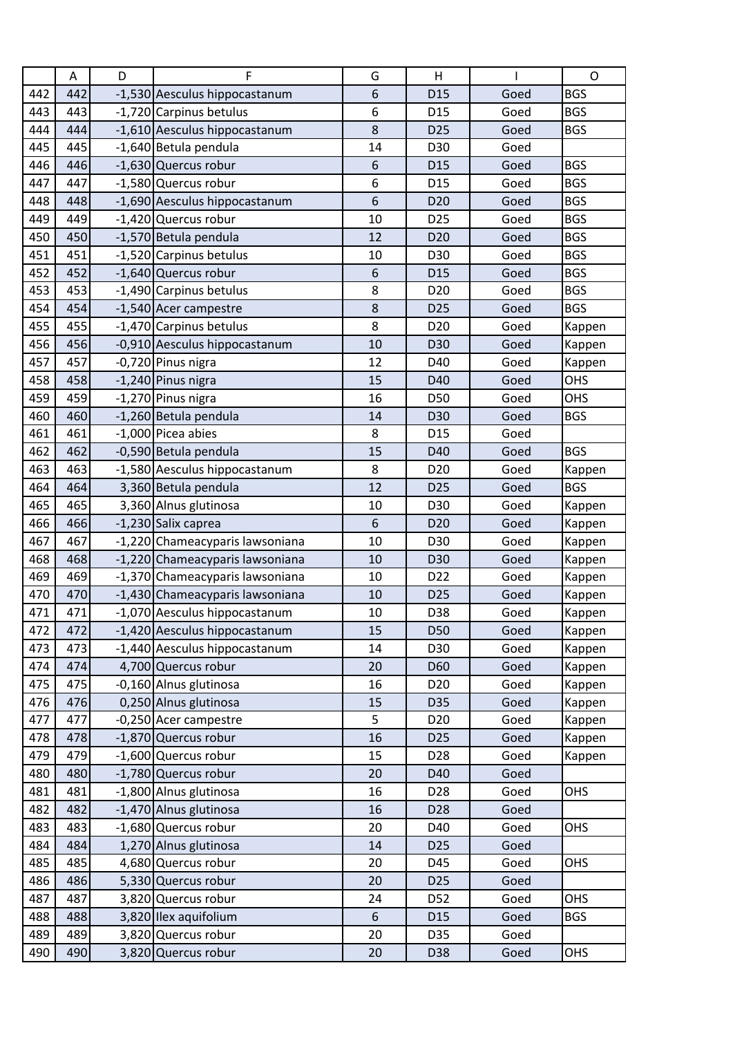|     | Α   | D | F                               | G  | Н               |      | O          |
|-----|-----|---|---------------------------------|----|-----------------|------|------------|
| 442 | 442 |   | -1,530 Aesculus hippocastanum   | 6  | D <sub>15</sub> | Goed | <b>BGS</b> |
| 443 | 443 |   | -1,720 Carpinus betulus         | 6  | D <sub>15</sub> | Goed | <b>BGS</b> |
| 444 | 444 |   | -1,610 Aesculus hippocastanum   | 8  | D <sub>25</sub> | Goed | <b>BGS</b> |
| 445 | 445 |   | -1,640 Betula pendula           | 14 | D30             | Goed |            |
| 446 | 446 |   | -1,630 Quercus robur            | 6  | D <sub>15</sub> | Goed | <b>BGS</b> |
| 447 | 447 |   | -1,580 Quercus robur            | 6  | D <sub>15</sub> | Goed | <b>BGS</b> |
| 448 | 448 |   | -1,690 Aesculus hippocastanum   | 6  | D <sub>20</sub> | Goed | <b>BGS</b> |
| 449 | 449 |   | -1,420 Quercus robur            | 10 | D <sub>25</sub> | Goed | <b>BGS</b> |
| 450 | 450 |   | -1,570 Betula pendula           | 12 | D <sub>20</sub> | Goed | <b>BGS</b> |
| 451 | 451 |   | -1,520 Carpinus betulus         | 10 | D30             | Goed | <b>BGS</b> |
| 452 | 452 |   | -1,640 Quercus robur            | 6  | D <sub>15</sub> | Goed | <b>BGS</b> |
| 453 | 453 |   | -1,490 Carpinus betulus         | 8  | D <sub>20</sub> | Goed | <b>BGS</b> |
| 454 | 454 |   | -1,540 Acer campestre           | 8  | D <sub>25</sub> | Goed | <b>BGS</b> |
| 455 | 455 |   | -1,470 Carpinus betulus         | 8  | D <sub>20</sub> | Goed | Kappen     |
| 456 | 456 |   | -0,910 Aesculus hippocastanum   | 10 | D30             | Goed | Kappen     |
| 457 | 457 |   | -0,720 Pinus nigra              | 12 | D40             | Goed | Kappen     |
| 458 | 458 |   | $-1,240$ Pinus nigra            | 15 | D40             | Goed | OHS        |
| 459 | 459 |   | -1,270 Pinus nigra              | 16 | D50             | Goed | OHS        |
| 460 | 460 |   | -1,260 Betula pendula           | 14 | D30             | Goed | <b>BGS</b> |
| 461 | 461 |   | -1,000 Picea abies              | 8  | D <sub>15</sub> | Goed |            |
| 462 | 462 |   | -0,590 Betula pendula           | 15 | D40             | Goed | <b>BGS</b> |
| 463 | 463 |   | -1,580 Aesculus hippocastanum   | 8  | D <sub>20</sub> | Goed | Kappen     |
| 464 | 464 |   | 3,360 Betula pendula            | 12 | D <sub>25</sub> | Goed | <b>BGS</b> |
| 465 | 465 |   | 3,360 Alnus glutinosa           | 10 | D30             | Goed | Kappen     |
| 466 | 466 |   | -1,230 Salix caprea             | 6  | D <sub>20</sub> | Goed | Kappen     |
| 467 | 467 |   | -1,220 Chameacyparis lawsoniana | 10 | D30             | Goed | Kappen     |
| 468 | 468 |   | -1,220 Chameacyparis lawsoniana | 10 | D30             | Goed | Kappen     |
| 469 | 469 |   | -1,370 Chameacyparis lawsoniana | 10 | D <sub>22</sub> | Goed | Kappen     |
| 470 | 470 |   | -1,430 Chameacyparis lawsoniana | 10 | D <sub>25</sub> | Goed | Kappen     |
| 471 | 471 |   | -1,070 Aesculus hippocastanum   | 10 | D38             | Goed | Kappen     |
| 472 | 472 |   | -1,420 Aesculus hippocastanum   | 15 | D50             | Goed | Kappen     |
| 473 | 473 |   | -1,440 Aesculus hippocastanum   | 14 | D30             | Goed | Kappen     |
| 474 | 474 |   | 4,700 Quercus robur             | 20 | D60             | Goed | Kappen     |
| 475 | 475 |   | -0,160 Alnus glutinosa          | 16 | D <sub>20</sub> | Goed | Kappen     |
| 476 | 476 |   | 0,250 Alnus glutinosa           | 15 | D35             | Goed | Kappen     |
| 477 | 477 |   | -0,250 Acer campestre           | 5  | D <sub>20</sub> | Goed | Kappen     |
| 478 | 478 |   | -1,870 Quercus robur            | 16 | D <sub>25</sub> | Goed | Kappen     |
| 479 | 479 |   | -1,600 Quercus robur            | 15 | D <sub>28</sub> | Goed | Kappen     |
| 480 | 480 |   | -1,780 Quercus robur            | 20 | D40             | Goed |            |
| 481 | 481 |   | -1,800 Alnus glutinosa          | 16 | D28             | Goed | OHS        |
| 482 | 482 |   | -1,470 Alnus glutinosa          | 16 | D28             | Goed |            |
| 483 | 483 |   | -1,680 Quercus robur            | 20 | D40             | Goed | OHS        |
| 484 | 484 |   | 1,270 Alnus glutinosa           | 14 | D <sub>25</sub> | Goed |            |
| 485 | 485 |   | 4,680 Quercus robur             | 20 | D45             | Goed | OHS        |
| 486 | 486 |   | 5,330 Quercus robur             | 20 | D <sub>25</sub> | Goed |            |
| 487 | 487 |   | 3,820 Quercus robur             | 24 | D52             | Goed | OHS        |
| 488 | 488 |   | 3,820 Ilex aquifolium           | 6  | D15             | Goed | <b>BGS</b> |
| 489 | 489 |   | 3,820 Quercus robur             | 20 | D35             | Goed |            |
| 490 | 490 |   | 3,820 Quercus robur             | 20 | D38             | Goed | OHS        |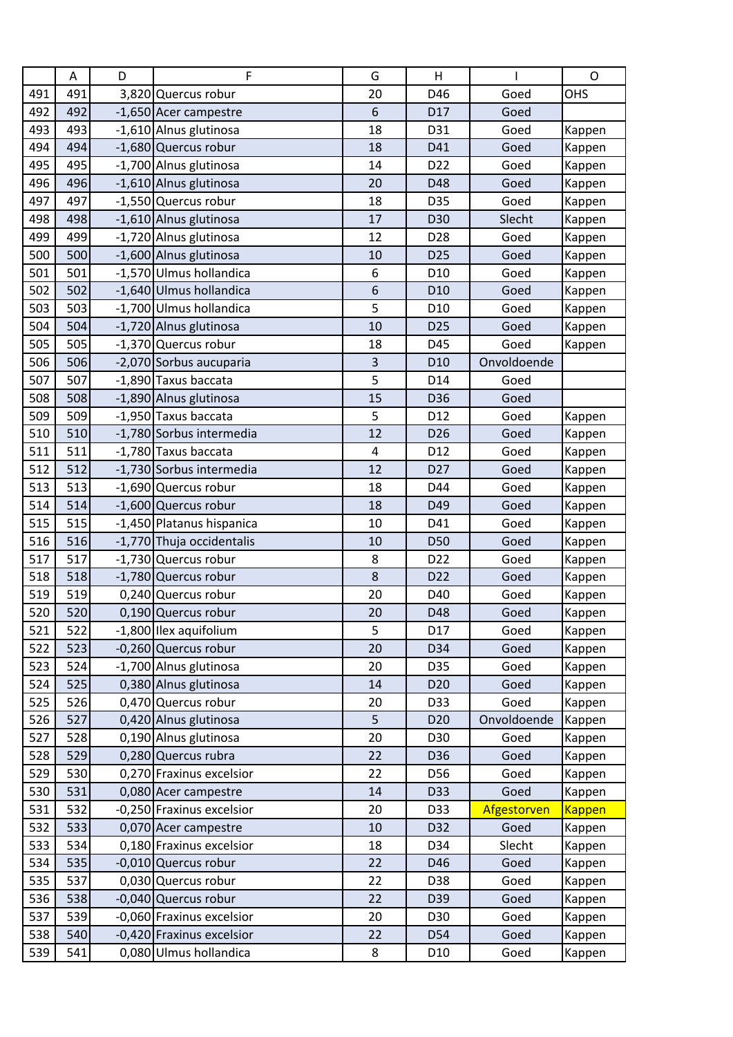|     | $\mathsf A$ | D | F                         | G                | Η               |             | $\circ$       |
|-----|-------------|---|---------------------------|------------------|-----------------|-------------|---------------|
| 491 | 491         |   | 3,820 Quercus robur       | 20               | D46             | Goed        | OHS           |
| 492 | 492         |   | -1,650 Acer campestre     | 6                | D17             | Goed        |               |
| 493 | 493         |   | -1,610 Alnus glutinosa    | 18               | D31             | Goed        | Kappen        |
| 494 | 494         |   | -1,680 Quercus robur      | 18               | D41             | Goed        | Kappen        |
| 495 | 495         |   | -1,700 Alnus glutinosa    | 14               | D <sub>22</sub> | Goed        | Kappen        |
| 496 | 496         |   | -1,610 Alnus glutinosa    | 20               | D48             | Goed        | Kappen        |
| 497 | 497         |   | -1,550 Quercus robur      | 18               | D35             | Goed        | Kappen        |
| 498 | 498         |   | -1,610 Alnus glutinosa    | 17               | D30             | Slecht      | Kappen        |
| 499 | 499         |   | -1,720 Alnus glutinosa    | 12               | D <sub>28</sub> | Goed        | Kappen        |
| 500 | 500         |   | -1,600 Alnus glutinosa    | 10               | D <sub>25</sub> | Goed        | Kappen        |
| 501 | 501         |   | -1,570 Ulmus hollandica   | 6                | D <sub>10</sub> | Goed        | Kappen        |
| 502 | 502         |   | -1,640 Ulmus hollandica   | $\boldsymbol{6}$ | D <sub>10</sub> | Goed        | Kappen        |
| 503 | 503         |   | -1,700 Ulmus hollandica   | 5                | D <sub>10</sub> | Goed        | Kappen        |
| 504 | 504         |   | -1,720 Alnus glutinosa    | 10               | D <sub>25</sub> | Goed        | Kappen        |
| 505 | 505         |   | -1,370 Quercus robur      | 18               | D45             | Goed        | Kappen        |
| 506 | 506         |   | -2,070 Sorbus aucuparia   | 3                | D <sub>10</sub> | Onvoldoende |               |
| 507 | 507         |   | -1,890 Taxus baccata      | 5                | D14             | Goed        |               |
| 508 | 508         |   | -1,890 Alnus glutinosa    | 15               | D36             | Goed        |               |
| 509 | 509         |   | -1,950 Taxus baccata      | 5                | D12             | Goed        | Kappen        |
| 510 | 510         |   | -1,780 Sorbus intermedia  | 12               | D <sub>26</sub> | Goed        | Kappen        |
| 511 | 511         |   | -1,780 Taxus baccata      | 4                | D12             | Goed        | Kappen        |
| 512 | 512         |   | -1,730 Sorbus intermedia  | 12               | D <sub>27</sub> | Goed        | Kappen        |
| 513 | 513         |   | -1,690 Quercus robur      | 18               | D44             | Goed        | Kappen        |
| 514 | 514         |   | -1,600 Quercus robur      | 18               | D49             | Goed        | Kappen        |
| 515 | 515         |   | -1,450 Platanus hispanica | 10               | D41             | Goed        | Kappen        |
| 516 | 516         |   | -1,770 Thuja occidentalis | 10               | D50             | Goed        | Kappen        |
| 517 | 517         |   | -1,730 Quercus robur      | 8                | D <sub>22</sub> | Goed        | Kappen        |
| 518 | 518         |   | -1,780 Quercus robur      | 8                | D <sub>22</sub> | Goed        | Kappen        |
| 519 | 519         |   | 0,240 Quercus robur       | 20               | D40             | Goed        | Kappen        |
| 520 | 520         |   | 0,190 Quercus robur       | 20               | D48             | Goed        | Kappen        |
| 521 | 522         |   | -1,800 Ilex aquifolium    | 5                | D17             | Goed        | Kappen        |
| 522 | 523         |   | -0,260 Quercus robur      | 20               | D34             | Goed        | Kappen        |
| 523 | 524         |   | -1,700 Alnus glutinosa    | 20               | D35             | Goed        | Kappen        |
| 524 | 525         |   | 0,380 Alnus glutinosa     | 14               | D <sub>20</sub> | Goed        | Kappen        |
| 525 | 526         |   | 0,470 Quercus robur       | 20               | D33             | Goed        | Kappen        |
| 526 | 527         |   | 0,420 Alnus glutinosa     | 5                | D <sub>20</sub> | Onvoldoende | Kappen        |
| 527 | 528         |   | 0,190 Alnus glutinosa     | 20               | D30             | Goed        | Kappen        |
| 528 | 529         |   | 0,280 Quercus rubra       | 22               | D36             | Goed        | Kappen        |
| 529 | 530         |   | 0,270 Fraxinus excelsior  | 22               | D56             | Goed        | Kappen        |
| 530 | 531         |   | 0,080 Acer campestre      | 14               | D33             | Goed        | Kappen        |
| 531 | 532         |   | -0,250 Fraxinus excelsior | 20               | D33             | Afgestorven | <b>Kappen</b> |
| 532 | 533         |   | 0,070 Acer campestre      | $10\,$           | D32             | Goed        | Kappen        |
| 533 | 534         |   | 0,180 Fraxinus excelsior  | 18               | D34             | Slecht      | Kappen        |
| 534 | 535         |   | -0,010 Quercus robur      | 22               | D46             | Goed        | Kappen        |
| 535 | 537         |   | 0,030 Quercus robur       | 22               | D38             | Goed        | Kappen        |
| 536 | 538         |   | -0,040 Quercus robur      | 22               | D39             | Goed        | Kappen        |
| 537 | 539         |   | -0,060 Fraxinus excelsior | 20               | D30             | Goed        | Kappen        |
| 538 | 540         |   | -0,420 Fraxinus excelsior | 22               | D54             | Goed        | Kappen        |
| 539 | 541         |   | 0,080 Ulmus hollandica    | 8                | D <sub>10</sub> | Goed        | Kappen        |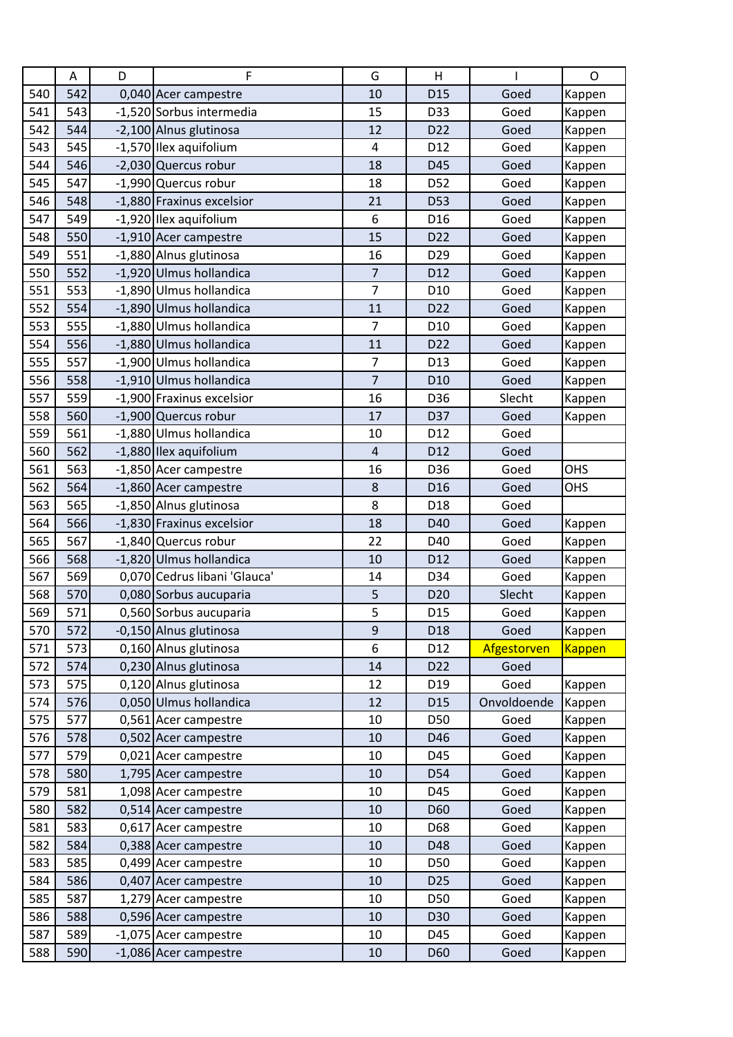|     | Α   | D | F                            | G                       | H               |             | $\mathsf{O}$  |
|-----|-----|---|------------------------------|-------------------------|-----------------|-------------|---------------|
| 540 | 542 |   | 0,040 Acer campestre         | 10                      | D <sub>15</sub> | Goed        | Kappen        |
| 541 | 543 |   | -1,520 Sorbus intermedia     | 15                      | D33             | Goed        | Kappen        |
| 542 | 544 |   | -2,100 Alnus glutinosa       | 12                      | D <sub>22</sub> | Goed        | Kappen        |
| 543 | 545 |   | -1,570 Ilex aquifolium       | 4                       | D12             | Goed        | Kappen        |
| 544 | 546 |   | -2,030 Quercus robur         | 18                      | D45             | Goed        | Kappen        |
| 545 | 547 |   | -1,990 Quercus robur         | 18                      | D52             | Goed        | Kappen        |
| 546 | 548 |   | -1,880 Fraxinus excelsior    | 21                      | <b>D53</b>      | Goed        | Kappen        |
| 547 | 549 |   | -1,920 Ilex aquifolium       | 6                       | D <sub>16</sub> | Goed        | Kappen        |
| 548 | 550 |   | -1,910 Acer campestre        | 15                      | D <sub>22</sub> | Goed        | Kappen        |
| 549 | 551 |   | -1,880 Alnus glutinosa       | 16                      | D <sub>29</sub> | Goed        | Kappen        |
| 550 | 552 |   | -1,920 Ulmus hollandica      | $\overline{7}$          | D <sub>12</sub> | Goed        | Kappen        |
| 551 | 553 |   | -1,890 Ulmus hollandica      | $\overline{7}$          | D <sub>10</sub> | Goed        | Kappen        |
| 552 | 554 |   | -1,890 Ulmus hollandica      | 11                      | D22             | Goed        | Kappen        |
| 553 | 555 |   | -1,880 Ulmus hollandica      | $\overline{7}$          | D <sub>10</sub> | Goed        | Kappen        |
| 554 | 556 |   | -1,880 Ulmus hollandica      | 11                      | D <sub>22</sub> | Goed        | Kappen        |
| 555 | 557 |   | -1,900 Ulmus hollandica      | $\overline{7}$          | D <sub>13</sub> | Goed        | Kappen        |
| 556 | 558 |   | -1,910 Ulmus hollandica      | $\overline{7}$          | D <sub>10</sub> | Goed        | Kappen        |
| 557 | 559 |   | -1,900 Fraxinus excelsior    | 16                      | D36             | Slecht      | Kappen        |
| 558 | 560 |   | -1,900 Quercus robur         | 17                      | D37             | Goed        | Kappen        |
| 559 | 561 |   | -1,880 Ulmus hollandica      | 10                      | D12             | Goed        |               |
| 560 | 562 |   | -1,880 Ilex aquifolium       | $\overline{\mathbf{4}}$ | D12             | Goed        |               |
| 561 | 563 |   | -1,850 Acer campestre        | 16                      | D36             | Goed        | OHS           |
| 562 | 564 |   | -1,860 Acer campestre        | 8                       | D <sub>16</sub> | Goed        | OHS           |
| 563 | 565 |   | -1,850 Alnus glutinosa       | 8                       | D18             | Goed        |               |
| 564 | 566 |   | -1,830 Fraxinus excelsior    | 18                      | D40             | Goed        | Kappen        |
| 565 | 567 |   | -1,840 Quercus robur         | 22                      | D40             | Goed        | Kappen        |
| 566 | 568 |   | -1,820 Ulmus hollandica      | 10                      | D <sub>12</sub> | Goed        | Kappen        |
| 567 | 569 |   | 0,070 Cedrus libani 'Glauca' | 14                      | D34             | Goed        | Kappen        |
| 568 | 570 |   | 0,080 Sorbus aucuparia       | 5                       | D <sub>20</sub> | Slecht      | Kappen        |
| 569 | 571 |   | 0,560 Sorbus aucuparia       | 5                       | D <sub>15</sub> | Goed        | Kappen        |
| 570 | 572 |   | -0,150 Alnus glutinosa       | 9                       | D18             | Goed        | Kappen        |
| 571 | 573 |   | 0,160 Alnus glutinosa        | 6                       | D12             | Afgestorven | <b>Kappen</b> |
| 572 | 574 |   | 0,230 Alnus glutinosa        | 14                      | D <sub>22</sub> | Goed        |               |
| 573 | 575 |   | 0,120 Alnus glutinosa        | 12                      | D19             | Goed        | Kappen        |
| 574 | 576 |   | 0,050 Ulmus hollandica       | 12                      | D <sub>15</sub> | Onvoldoende | Kappen        |
| 575 | 577 |   | 0,561 Acer campestre         | 10                      | D50             | Goed        | Kappen        |
| 576 | 578 |   | 0,502 Acer campestre         | 10                      | D46             | Goed        | Kappen        |
| 577 | 579 |   | 0,021 Acer campestre         | 10                      | D45             | Goed        | Kappen        |
| 578 | 580 |   | 1,795 Acer campestre         | 10                      | D54             | Goed        | Kappen        |
| 579 | 581 |   | 1,098 Acer campestre         | 10                      | D45             | Goed        | Kappen        |
| 580 | 582 |   | 0,514 Acer campestre         | 10                      | D60             | Goed        | Kappen        |
| 581 | 583 |   | 0,617 Acer campestre         | 10                      | D68             | Goed        | Kappen        |
| 582 | 584 |   | 0,388 Acer campestre         | 10                      | D48             | Goed        | Kappen        |
| 583 | 585 |   | 0,499 Acer campestre         | 10                      | D50             | Goed        | Kappen        |
| 584 | 586 |   | 0,407 Acer campestre         | 10                      | D <sub>25</sub> | Goed        | Kappen        |
| 585 | 587 |   | 1,279 Acer campestre         | 10                      | D50             | Goed        | Kappen        |
| 586 | 588 |   | 0,596 Acer campestre         | 10                      | D30             | Goed        | Kappen        |
| 587 | 589 |   | -1,075 Acer campestre        | 10                      | D45             | Goed        | Kappen        |
| 588 | 590 |   | -1,086 Acer campestre        | 10                      | D60             | Goed        | Kappen        |
|     |     |   |                              |                         |                 |             |               |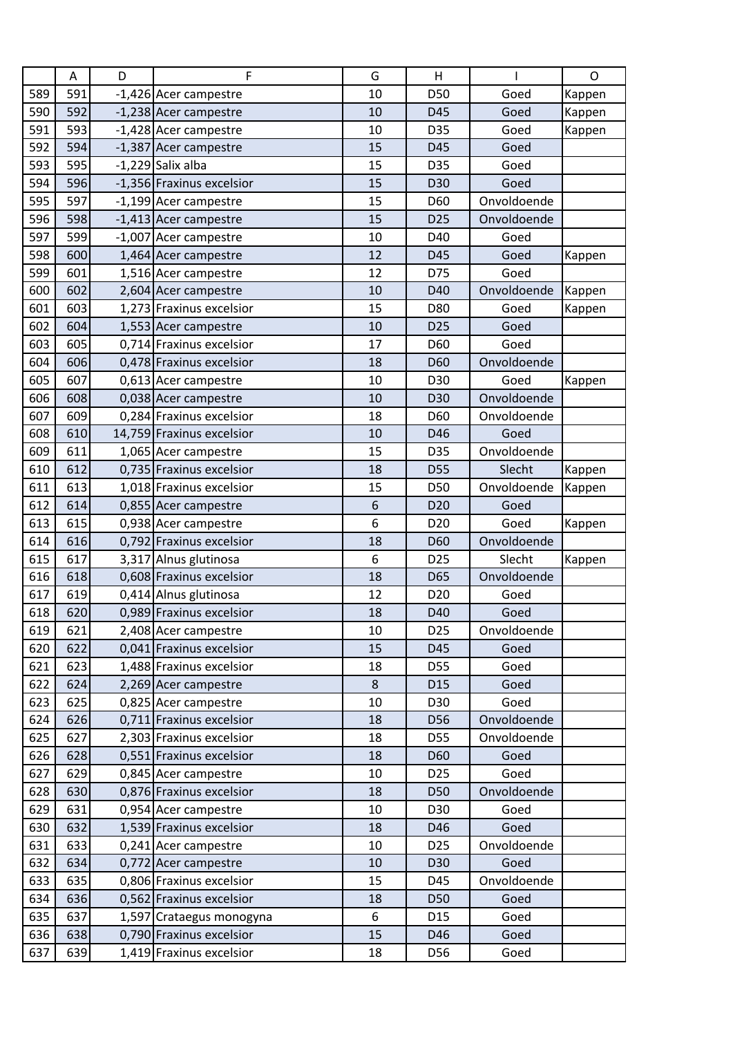|     | Α   | D | F                         | G  | H               |             | O      |
|-----|-----|---|---------------------------|----|-----------------|-------------|--------|
| 589 | 591 |   | -1,426 Acer campestre     | 10 | D50             | Goed        | Kappen |
| 590 | 592 |   | -1,238 Acer campestre     | 10 | D45             | Goed        | Kappen |
| 591 | 593 |   | -1,428 Acer campestre     | 10 | D35             | Goed        | Kappen |
| 592 | 594 |   | -1,387 Acer campestre     | 15 | D45             | Goed        |        |
| 593 | 595 |   | $-1,229$ Salix alba       | 15 | D35             | Goed        |        |
| 594 | 596 |   | -1,356 Fraxinus excelsior | 15 | D30             | Goed        |        |
| 595 | 597 |   | -1,199 Acer campestre     | 15 | D60             | Onvoldoende |        |
| 596 | 598 |   | -1,413 Acer campestre     | 15 | D <sub>25</sub> | Onvoldoende |        |
| 597 | 599 |   | -1,007 Acer campestre     | 10 | D40             | Goed        |        |
| 598 | 600 |   | 1,464 Acer campestre      | 12 | D45             | Goed        | Kappen |
| 599 | 601 |   | 1,516 Acer campestre      | 12 | D75             | Goed        |        |
| 600 | 602 |   | 2,604 Acer campestre      | 10 | D40             | Onvoldoende | Kappen |
| 601 | 603 |   | 1,273 Fraxinus excelsior  | 15 | D80             | Goed        | Kappen |
| 602 | 604 |   | 1,553 Acer campestre      | 10 | D <sub>25</sub> | Goed        |        |
| 603 | 605 |   | 0,714 Fraxinus excelsior  | 17 | D60             | Goed        |        |
| 604 | 606 |   | 0,478 Fraxinus excelsior  | 18 | D60             | Onvoldoende |        |
| 605 | 607 |   | 0,613 Acer campestre      | 10 | D30             | Goed        | Kappen |
| 606 | 608 |   | 0,038 Acer campestre      | 10 | D30             | Onvoldoende |        |
| 607 | 609 |   | 0,284 Fraxinus excelsior  | 18 | D60             | Onvoldoende |        |
| 608 | 610 |   | 14,759 Fraxinus excelsior | 10 | D46             | Goed        |        |
| 609 | 611 |   | 1,065 Acer campestre      | 15 | D35             | Onvoldoende |        |
| 610 | 612 |   | 0,735 Fraxinus excelsior  | 18 | D55             | Slecht      | Kappen |
| 611 | 613 |   | 1,018 Fraxinus excelsior  | 15 | D50             | Onvoldoende | Kappen |
| 612 | 614 |   | 0,855 Acer campestre      | 6  | D <sub>20</sub> | Goed        |        |
| 613 | 615 |   | 0,938 Acer campestre      | 6  | D <sub>20</sub> | Goed        | Kappen |
| 614 | 616 |   | 0,792 Fraxinus excelsior  | 18 | D60             | Onvoldoende |        |
| 615 | 617 |   | 3,317 Alnus glutinosa     | 6  | D <sub>25</sub> | Slecht      | Kappen |
| 616 | 618 |   | 0,608 Fraxinus excelsior  | 18 | D65             | Onvoldoende |        |
| 617 | 619 |   | 0,414 Alnus glutinosa     | 12 | D <sub>20</sub> | Goed        |        |
| 618 | 620 |   | 0,989 Fraxinus excelsior  | 18 | D40             | Goed        |        |
| 619 | 621 |   | 2,408 Acer campestre      | 10 | D <sub>25</sub> | Onvoldoende |        |
| 620 | 622 |   | 0,041 Fraxinus excelsior  | 15 | D45             | Goed        |        |
| 621 | 623 |   | 1,488 Fraxinus excelsior  | 18 | D55             | Goed        |        |
| 622 | 624 |   | 2,269 Acer campestre      | 8  | D15             | Goed        |        |
| 623 | 625 |   | 0,825 Acer campestre      | 10 | D30             | Goed        |        |
| 624 | 626 |   | 0,711 Fraxinus excelsior  | 18 | D56             | Onvoldoende |        |
| 625 | 627 |   | 2,303 Fraxinus excelsior  | 18 | D55             | Onvoldoende |        |
| 626 | 628 |   | 0,551 Fraxinus excelsior  | 18 | D60             | Goed        |        |
| 627 | 629 |   | 0,845 Acer campestre      | 10 | D <sub>25</sub> | Goed        |        |
| 628 | 630 |   | 0,876 Fraxinus excelsior  | 18 | D50             | Onvoldoende |        |
| 629 | 631 |   | 0,954 Acer campestre      | 10 | D30             | Goed        |        |
| 630 | 632 |   | 1,539 Fraxinus excelsior  | 18 | D46             | Goed        |        |
| 631 | 633 |   | 0,241 Acer campestre      | 10 | D <sub>25</sub> | Onvoldoende |        |
| 632 | 634 |   | 0,772 Acer campestre      | 10 | D30             | Goed        |        |
| 633 | 635 |   | 0,806 Fraxinus excelsior  | 15 | D45             | Onvoldoende |        |
| 634 | 636 |   | 0,562 Fraxinus excelsior  | 18 | D50             | Goed        |        |
| 635 | 637 |   | 1,597 Crataegus monogyna  | 6  | D15             | Goed        |        |
| 636 | 638 |   | 0,790 Fraxinus excelsior  | 15 | D46             | Goed        |        |
| 637 | 639 |   | 1,419 Fraxinus excelsior  | 18 | D56             | Goed        |        |
|     |     |   |                           |    |                 |             |        |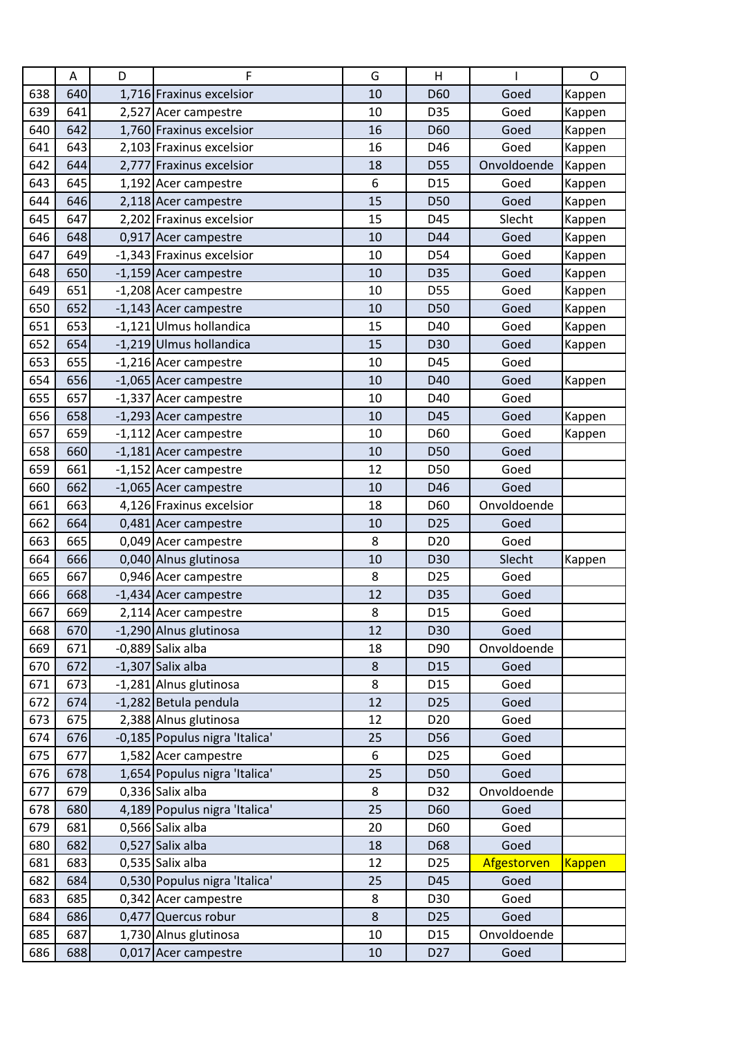|     | A   | D | F                              | G       | H               |             | O      |
|-----|-----|---|--------------------------------|---------|-----------------|-------------|--------|
| 638 | 640 |   | 1,716 Fraxinus excelsior       | 10      | D60             | Goed        | Kappen |
| 639 | 641 |   | 2,527 Acer campestre           | 10      | D35             | Goed        | Kappen |
| 640 | 642 |   | 1,760 Fraxinus excelsior       | 16      | D60             | Goed        | Kappen |
| 641 | 643 |   | 2,103 Fraxinus excelsior       | 16      | D46             | Goed        | Kappen |
| 642 | 644 |   | 2,777 Fraxinus excelsior       | 18      | D55             | Onvoldoende | Kappen |
| 643 | 645 |   | 1,192 Acer campestre           | 6       | D <sub>15</sub> | Goed        | Kappen |
| 644 | 646 |   | 2,118 Acer campestre           | 15      | D50             | Goed        | Kappen |
| 645 | 647 |   | 2,202 Fraxinus excelsior       | 15      | D45             | Slecht      | Kappen |
| 646 | 648 |   | 0,917 Acer campestre           | 10      | D44             | Goed        | Kappen |
| 647 | 649 |   | -1,343 Fraxinus excelsior      | 10      | D54             | Goed        | Kappen |
| 648 | 650 |   | -1,159 Acer campestre          | 10      | D35             | Goed        | Kappen |
| 649 | 651 |   | -1,208 Acer campestre          | 10      | D55             | Goed        | Kappen |
| 650 | 652 |   | -1,143 Acer campestre          | 10      | D50             | Goed        | Kappen |
| 651 | 653 |   | -1,121 Ulmus hollandica        | 15      | D40             | Goed        | Kappen |
| 652 | 654 |   | -1,219 Ulmus hollandica        | 15      | D30             | Goed        | Kappen |
| 653 | 655 |   | -1,216 Acer campestre          | 10      | D45             | Goed        |        |
| 654 | 656 |   | -1,065 Acer campestre          | 10      | D40             | Goed        | Kappen |
| 655 | 657 |   | -1,337 Acer campestre          | 10      | D40             | Goed        |        |
| 656 | 658 |   | -1,293 Acer campestre          | 10      | D45             | Goed        | Kappen |
| 657 | 659 |   | -1,112 Acer campestre          | 10      | D60             | Goed        | Kappen |
| 658 | 660 |   | -1,181 Acer campestre          | 10      | D50             | Goed        |        |
| 659 | 661 |   | -1,152 Acer campestre          | 12      | D50             | Goed        |        |
| 660 | 662 |   | -1,065 Acer campestre          | 10      | D46             | Goed        |        |
| 661 | 663 |   | 4,126 Fraxinus excelsior       | 18      | D60             | Onvoldoende |        |
| 662 | 664 |   | 0,481 Acer campestre           | 10      | D <sub>25</sub> | Goed        |        |
| 663 | 665 |   | 0,049 Acer campestre           | 8       | D <sub>20</sub> | Goed        |        |
| 664 | 666 |   | 0,040 Alnus glutinosa          | 10      | D30             | Slecht      | Kappen |
| 665 | 667 |   | 0,946 Acer campestre           | 8       | D <sub>25</sub> | Goed        |        |
| 666 | 668 |   | -1,434 Acer campestre          | 12      | D35             | Goed        |        |
| 667 | 669 |   | 2,114 Acer campestre           | 8       | D <sub>15</sub> | Goed        |        |
| 668 | 670 |   | -1,290 Alnus glutinosa         | 12      | D30             | Goed        |        |
| 669 | 671 |   | -0,889 Salix alba              | 18      | D90             | Onvoldoende |        |
| 670 | 672 |   | $-1,307$ Salix alba            | $\bf 8$ | D <sub>15</sub> | Goed        |        |
| 671 | 673 |   | -1,281 Alnus glutinosa         | 8       | D <sub>15</sub> | Goed        |        |
| 672 | 674 |   | -1,282 Betula pendula          | 12      | D <sub>25</sub> | Goed        |        |
| 673 | 675 |   | 2,388 Alnus glutinosa          | 12      | D <sub>20</sub> | Goed        |        |
| 674 | 676 |   | -0,185 Populus nigra 'Italica' | 25      | D56             | Goed        |        |
| 675 | 677 |   | 1,582 Acer campestre           | 6       | D <sub>25</sub> | Goed        |        |
| 676 | 678 |   | 1,654 Populus nigra 'Italica'  | 25      | D50             | Goed        |        |
| 677 | 679 |   | 0,336 Salix alba               | 8       | D32             | Onvoldoende |        |
| 678 | 680 |   | 4,189 Populus nigra 'Italica'  | 25      | D60             | Goed        |        |
| 679 | 681 |   | 0,566 Salix alba               | 20      | D60             | Goed        |        |
| 680 | 682 |   | 0,527 Salix alba               | 18      | D68             | Goed        |        |
| 681 | 683 |   | 0,535 Salix alba               | 12      | D <sub>25</sub> | Afgestorven | Kappen |
| 682 | 684 |   | 0,530 Populus nigra 'Italica'  | 25      | D45             | Goed        |        |
| 683 | 685 |   | 0,342 Acer campestre           | 8       | D30             | Goed        |        |
| 684 | 686 |   | 0,477 Quercus robur            | $\bf 8$ | D <sub>25</sub> | Goed        |        |
| 685 | 687 |   | 1,730 Alnus glutinosa          | 10      | D15             | Onvoldoende |        |
| 686 | 688 |   | 0,017 Acer campestre           | 10      | D <sub>27</sub> | Goed        |        |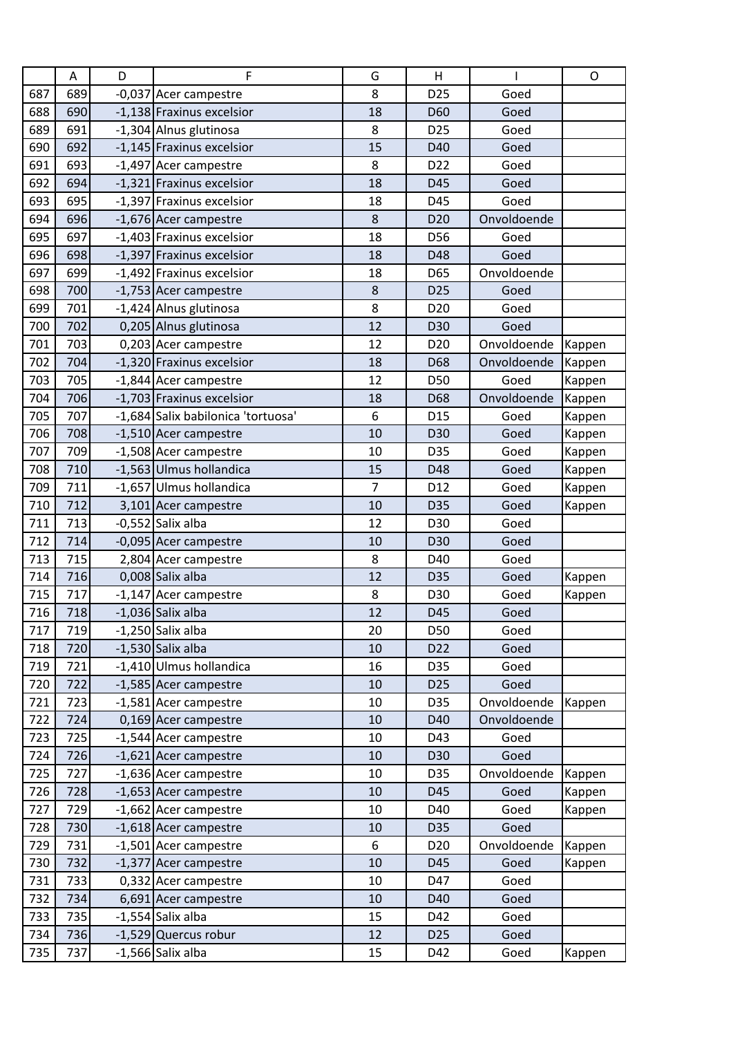|     | Α   | D | F                                  | G              | Н               |             | $\circ$ |
|-----|-----|---|------------------------------------|----------------|-----------------|-------------|---------|
| 687 | 689 |   | -0,037 Acer campestre              | 8              | D <sub>25</sub> | Goed        |         |
| 688 | 690 |   | -1,138 Fraxinus excelsior          | 18             | D <sub>60</sub> | Goed        |         |
| 689 | 691 |   | -1,304 Alnus glutinosa             | 8              | D <sub>25</sub> | Goed        |         |
| 690 | 692 |   | -1,145 Fraxinus excelsior          | 15             | D40             | Goed        |         |
| 691 | 693 |   | -1,497 Acer campestre              | 8              | D <sub>22</sub> | Goed        |         |
| 692 | 694 |   | -1,321 Fraxinus excelsior          | 18             | D45             | Goed        |         |
| 693 | 695 |   | -1,397 Fraxinus excelsior          | 18             | D45             | Goed        |         |
| 694 | 696 |   | -1,676 Acer campestre              | 8              | D <sub>20</sub> | Onvoldoende |         |
| 695 | 697 |   | -1,403 Fraxinus excelsior          | 18             | D56             | Goed        |         |
| 696 | 698 |   | -1,397 Fraxinus excelsior          | 18             | D48             | Goed        |         |
| 697 | 699 |   | -1,492 Fraxinus excelsior          | 18             | D65             | Onvoldoende |         |
| 698 | 700 |   | -1,753 Acer campestre              | $\bf 8$        | D <sub>25</sub> | Goed        |         |
| 699 | 701 |   | -1,424 Alnus glutinosa             | 8              | D <sub>20</sub> | Goed        |         |
| 700 | 702 |   | 0,205 Alnus glutinosa              | 12             | D30             | Goed        |         |
| 701 | 703 |   | 0,203 Acer campestre               | 12             | D <sub>20</sub> | Onvoldoende | Kappen  |
| 702 | 704 |   | -1,320 Fraxinus excelsior          | 18             | D68             | Onvoldoende | Kappen  |
| 703 | 705 |   | -1,844 Acer campestre              | 12             | D50             | Goed        | Kappen  |
| 704 | 706 |   | -1,703 Fraxinus excelsior          | 18             | D68             | Onvoldoende | Kappen  |
| 705 | 707 |   | -1,684 Salix babilonica 'tortuosa' | 6              | D <sub>15</sub> | Goed        | Kappen  |
| 706 | 708 |   | -1,510 Acer campestre              | 10             | D30             | Goed        | Kappen  |
| 707 | 709 |   | -1,508 Acer campestre              | 10             | D35             | Goed        | Kappen  |
| 708 | 710 |   | -1,563 Ulmus hollandica            | 15             | D48             | Goed        | Kappen  |
| 709 | 711 |   | -1,657 Ulmus hollandica            | $\overline{7}$ | D12             | Goed        | Kappen  |
| 710 | 712 |   | 3,101 Acer campestre               | 10             | D35             | Goed        | Kappen  |
| 711 | 713 |   | $-0,552$ Salix alba                | 12             | D30             | Goed        |         |
| 712 | 714 |   | -0,095 Acer campestre              | 10             | D30             | Goed        |         |
| 713 | 715 |   | 2,804 Acer campestre               | 8              | D40             | Goed        |         |
| 714 | 716 |   | 0,008 Salix alba                   | 12             | D35             | Goed        | Kappen  |
| 715 | 717 |   | -1,147 Acer campestre              | 8              | D30             | Goed        | Kappen  |
| 716 | 718 |   | $-1,036$ Salix alba                | 12             | D45             | Goed        |         |
| 717 | 719 |   | $-1,250$ Salix alba                | 20             | D50             | Goed        |         |
| 718 | 720 |   | $-1,530$ Salix alba                | 10             | D22             | Goed        |         |
| 719 | 721 |   | -1,410 Ulmus hollandica            | 16             | D35             | Goed        |         |
| 720 | 722 |   | -1,585 Acer campestre              | 10             | D <sub>25</sub> | Goed        |         |
| 721 | 723 |   | -1,581 Acer campestre              | 10             | D35             | Onvoldoende | Kappen  |
| 722 | 724 |   | 0,169 Acer campestre               | 10             | D40             | Onvoldoende |         |
| 723 | 725 |   | -1,544 Acer campestre              | 10             | D43             | Goed        |         |
| 724 | 726 |   | -1,621 Acer campestre              | 10             | D30             | Goed        |         |
| 725 | 727 |   | -1,636 Acer campestre              | 10             | D35             | Onvoldoende | Kappen  |
| 726 | 728 |   | -1,653 Acer campestre              | 10             | D45             | Goed        | Kappen  |
| 727 | 729 |   | -1,662 Acer campestre              | 10             | D40             | Goed        | Kappen  |
| 728 | 730 |   | -1,618 Acer campestre              | 10             | D35             | Goed        |         |
| 729 | 731 |   | -1,501 Acer campestre              | 6              | D <sub>20</sub> | Onvoldoende | Kappen  |
| 730 | 732 |   | -1,377 Acer campestre              | 10             | D45             | Goed        | Kappen  |
| 731 | 733 |   | 0,332 Acer campestre               | 10             | D47             | Goed        |         |
| 732 | 734 |   | 6,691 Acer campestre               | 10             | D40             | Goed        |         |
| 733 | 735 |   | $-1,554$ Salix alba                | 15             | D42             | Goed        |         |
| 734 | 736 |   | -1,529 Quercus robur               | 12             | D <sub>25</sub> | Goed        |         |
| 735 | 737 |   | $-1,566$ Salix alba                | 15             | D42             | Goed        | Kappen  |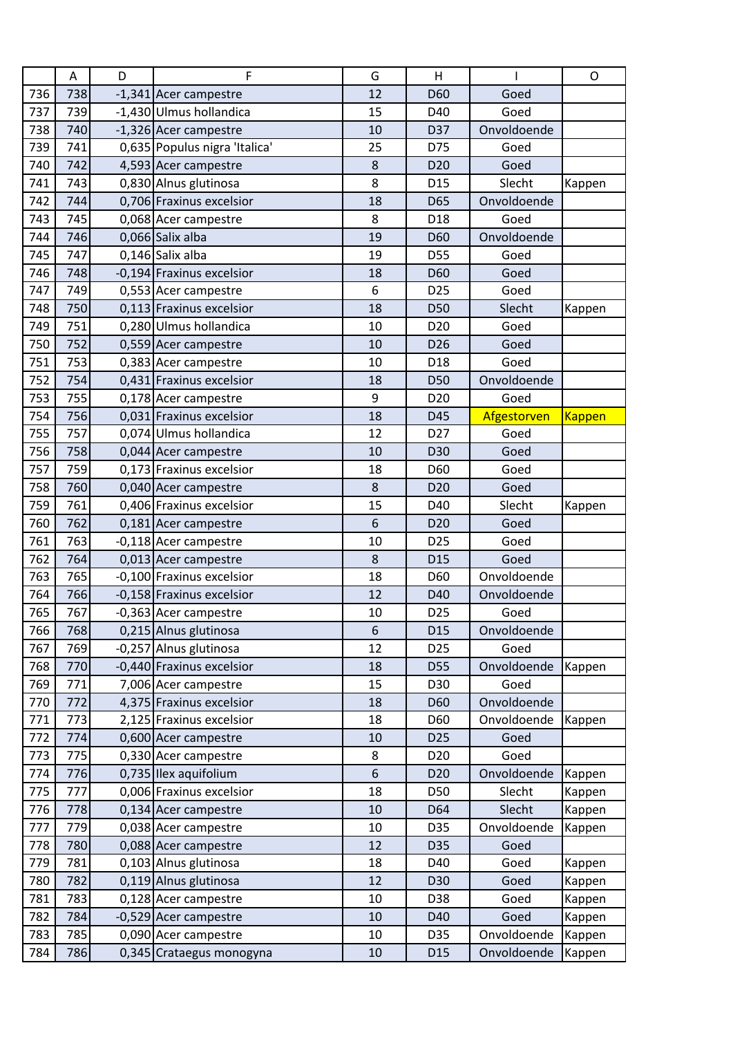|     | A   | D | F                             | G  | H               | ı           | $\mathsf{O}$  |
|-----|-----|---|-------------------------------|----|-----------------|-------------|---------------|
| 736 | 738 |   | -1,341 Acer campestre         | 12 | D60             | Goed        |               |
| 737 | 739 |   | -1,430 Ulmus hollandica       | 15 | D40             | Goed        |               |
| 738 | 740 |   | -1,326 Acer campestre         | 10 | D37             | Onvoldoende |               |
| 739 | 741 |   | 0,635 Populus nigra 'Italica' | 25 | D75             | Goed        |               |
| 740 | 742 |   | 4,593 Acer campestre          | 8  | D <sub>20</sub> | Goed        |               |
| 741 | 743 |   | 0,830 Alnus glutinosa         | 8  | D <sub>15</sub> | Slecht      | Kappen        |
| 742 | 744 |   | 0,706 Fraxinus excelsior      | 18 | D65             | Onvoldoende |               |
| 743 | 745 |   | 0,068 Acer campestre          | 8  | D18             | Goed        |               |
| 744 | 746 |   | 0,066 Salix alba              | 19 | D60             | Onvoldoende |               |
| 745 | 747 |   | 0,146 Salix alba              | 19 | D55             | Goed        |               |
| 746 | 748 |   | -0,194 Fraxinus excelsior     | 18 | D60             | Goed        |               |
| 747 | 749 |   | 0,553 Acer campestre          | 6  | D <sub>25</sub> | Goed        |               |
| 748 | 750 |   | 0,113 Fraxinus excelsior      | 18 | D50             | Slecht      | Kappen        |
| 749 | 751 |   | 0,280 Ulmus hollandica        | 10 | D <sub>20</sub> | Goed        |               |
| 750 | 752 |   | 0,559 Acer campestre          | 10 | D <sub>26</sub> | Goed        |               |
| 751 | 753 |   | 0,383 Acer campestre          | 10 | D18             | Goed        |               |
| 752 | 754 |   | 0.431 Fraxinus excelsior      | 18 | D50             | Onvoldoende |               |
| 753 | 755 |   | 0,178 Acer campestre          | 9  | D <sub>20</sub> | Goed        |               |
| 754 | 756 |   | 0,031 Fraxinus excelsior      | 18 | D45             | Afgestorven | <b>Kappen</b> |
| 755 | 757 |   | 0,074 Ulmus hollandica        | 12 | D <sub>27</sub> | Goed        |               |
| 756 | 758 |   | 0,044 Acer campestre          | 10 | D30             | Goed        |               |
| 757 | 759 |   | 0,173 Fraxinus excelsior      | 18 | D60             | Goed        |               |
| 758 | 760 |   | 0,040 Acer campestre          | 8  | D <sub>20</sub> | Goed        |               |
| 759 | 761 |   | 0,406 Fraxinus excelsior      | 15 | D40             | Slecht      | Kappen        |
| 760 | 762 |   | 0,181 Acer campestre          | 6  | D <sub>20</sub> | Goed        |               |
| 761 | 763 |   | -0,118 Acer campestre         | 10 | D <sub>25</sub> | Goed        |               |
| 762 | 764 |   | 0,013 Acer campestre          | 8  | D <sub>15</sub> | Goed        |               |
| 763 | 765 |   | -0,100 Fraxinus excelsior     | 18 | D60             | Onvoldoende |               |
| 764 | 766 |   | -0,158 Fraxinus excelsior     | 12 | D40             | Onvoldoende |               |
| 765 | 767 |   | -0,363 Acer campestre         | 10 | D <sub>25</sub> | Goed        |               |
| 766 | 768 |   | 0,215 Alnus glutinosa         | 6  | D <sub>15</sub> | Onvoldoende |               |
| 767 | 769 |   | -0,257 Alnus glutinosa        | 12 | D <sub>25</sub> | Goed        |               |
| 768 | 770 |   | -0,440 Fraxinus excelsior     | 18 | <b>D55</b>      | Onvoldoende | Kappen        |
| 769 | 771 |   | 7,006 Acer campestre          | 15 | D30             | Goed        |               |
| 770 | 772 |   | 4,375 Fraxinus excelsior      | 18 | D60             | Onvoldoende |               |
| 771 | 773 |   | 2,125 Fraxinus excelsior      | 18 | D60             | Onvoldoende | Kappen        |
| 772 | 774 |   | 0,600 Acer campestre          | 10 | D <sub>25</sub> | Goed        |               |
| 773 | 775 |   | 0,330 Acer campestre          | 8  | D <sub>20</sub> | Goed        |               |
| 774 | 776 |   | $0,735$ Ilex aquifolium       | 6  | D <sub>20</sub> | Onvoldoende | Kappen        |
| 775 | 777 |   | 0,006 Fraxinus excelsior      | 18 | D50             | Slecht      | Kappen        |
| 776 | 778 |   | 0,134 Acer campestre          | 10 | D64             | Slecht      | Kappen        |
| 777 | 779 |   | 0,038 Acer campestre          | 10 | D35             | Onvoldoende | Kappen        |
| 778 | 780 |   | 0,088 Acer campestre          | 12 | D35             | Goed        |               |
| 779 | 781 |   | 0,103 Alnus glutinosa         | 18 | D40             | Goed        | Kappen        |
| 780 | 782 |   | 0,119 Alnus glutinosa         | 12 | D30             | Goed        | Kappen        |
| 781 | 783 |   | 0,128 Acer campestre          | 10 | D38             | Goed        | Kappen        |
| 782 | 784 |   | -0,529 Acer campestre         | 10 | D40             | Goed        | Kappen        |
| 783 | 785 |   | 0,090 Acer campestre          | 10 | D35             | Onvoldoende | Kappen        |
| 784 | 786 |   | 0,345 Crataegus monogyna      | 10 | D <sub>15</sub> | Onvoldoende | Kappen        |
|     |     |   |                               |    |                 |             |               |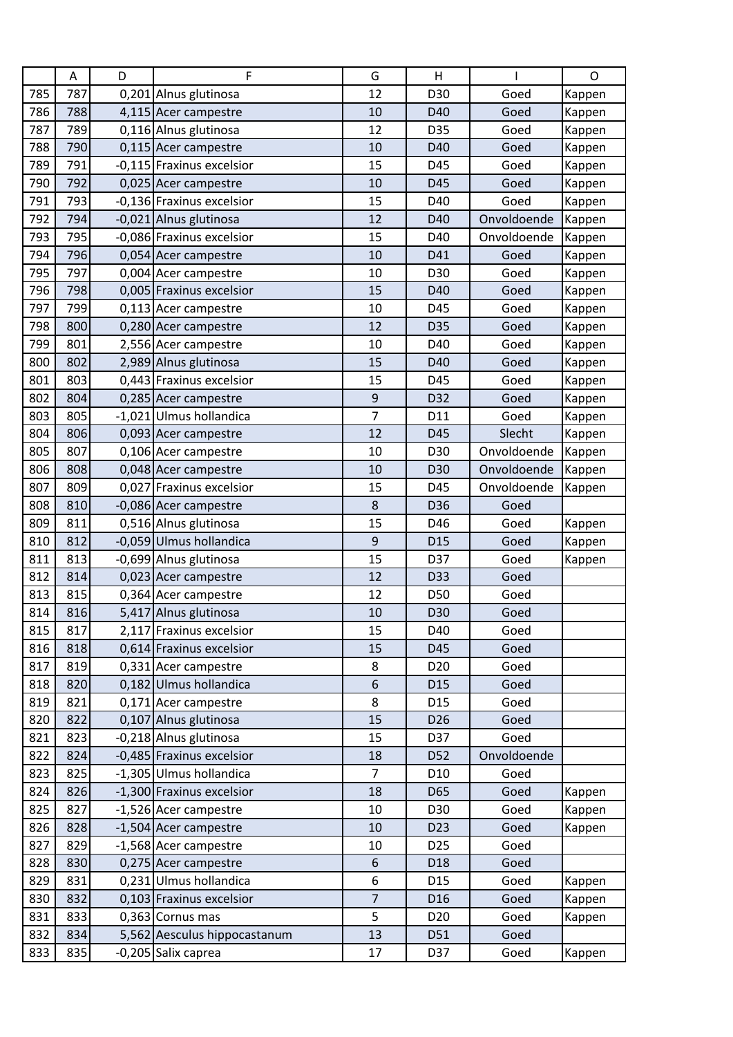|     | Α   | D | F                            | G                | Н               |             | $\mathsf{O}$ |
|-----|-----|---|------------------------------|------------------|-----------------|-------------|--------------|
| 785 | 787 |   | 0,201 Alnus glutinosa        | 12               | D30             | Goed        | Kappen       |
| 786 | 788 |   | 4,115 Acer campestre         | 10               | D40             | Goed        | Kappen       |
| 787 | 789 |   | 0,116 Alnus glutinosa        | 12               | D35             | Goed        | Kappen       |
| 788 | 790 |   | 0,115 Acer campestre         | 10               | D40             | Goed        | Kappen       |
| 789 | 791 |   | -0,115 Fraxinus excelsior    | 15               | D45             | Goed        | Kappen       |
| 790 | 792 |   | 0,025 Acer campestre         | 10               | D45             | Goed        | Kappen       |
| 791 | 793 |   | -0,136 Fraxinus excelsior    | 15               | D40             | Goed        | Kappen       |
| 792 | 794 |   | -0,021 Alnus glutinosa       | 12               | D40             | Onvoldoende | Kappen       |
| 793 | 795 |   | -0,086 Fraxinus excelsior    | 15               | D40             | Onvoldoende | Kappen       |
| 794 | 796 |   | 0,054 Acer campestre         | 10               | D41             | Goed        | Kappen       |
| 795 | 797 |   | 0,004 Acer campestre         | 10               | D30             | Goed        | Kappen       |
| 796 | 798 |   | 0,005 Fraxinus excelsior     | 15               | D40             | Goed        | Kappen       |
| 797 | 799 |   | 0,113 Acer campestre         | 10               | D45             | Goed        | Kappen       |
| 798 | 800 |   | 0,280 Acer campestre         | 12               | D35             | Goed        | Kappen       |
| 799 | 801 |   | 2,556 Acer campestre         | 10               | D40             | Goed        | Kappen       |
| 800 | 802 |   | 2,989 Alnus glutinosa        | 15               | D40             | Goed        | Kappen       |
| 801 | 803 |   | 0,443 Fraxinus excelsior     | 15               | D45             | Goed        | Kappen       |
| 802 | 804 |   | 0,285 Acer campestre         | 9                | D32             | Goed        | Kappen       |
| 803 | 805 |   | -1,021 Ulmus hollandica      | $\overline{7}$   | D11             | Goed        | Kappen       |
| 804 | 806 |   | 0,093 Acer campestre         | 12               | D45             | Slecht      | Kappen       |
| 805 | 807 |   | 0,106 Acer campestre         | 10               | D30             | Onvoldoende | Kappen       |
| 806 | 808 |   | 0,048 Acer campestre         | 10               | D30             | Onvoldoende | Kappen       |
| 807 | 809 |   | 0,027 Fraxinus excelsior     | 15               | D45             | Onvoldoende | Kappen       |
| 808 | 810 |   | -0,086 Acer campestre        | 8                | D36             | Goed        |              |
| 809 | 811 |   | 0,516 Alnus glutinosa        | 15               | D46             | Goed        | Kappen       |
| 810 | 812 |   | -0,059 Ulmus hollandica      | $\mathsf 9$      | D <sub>15</sub> | Goed        | Kappen       |
| 811 | 813 |   | -0,699 Alnus glutinosa       | 15               | D37             | Goed        | Kappen       |
| 812 | 814 |   | 0,023 Acer campestre         | 12               | D33             | Goed        |              |
| 813 | 815 |   | 0,364 Acer campestre         | 12               | D50             | Goed        |              |
| 814 | 816 |   | 5,417 Alnus glutinosa        | 10               | D30             | Goed        |              |
| 815 | 817 |   | 2,117 Fraxinus excelsior     | 15               | D40             | Goed        |              |
| 816 | 818 |   | 0,614 Fraxinus excelsior     | 15               | D45             | Goed        |              |
| 817 | 819 |   | 0,331 Acer campestre         | 8                | D <sub>20</sub> | Goed        |              |
| 818 | 820 |   | 0,182 Ulmus hollandica       | $\boldsymbol{6}$ | D <sub>15</sub> | Goed        |              |
| 819 | 821 |   | 0,171 Acer campestre         | 8                | D <sub>15</sub> | Goed        |              |
| 820 | 822 |   | 0,107 Alnus glutinosa        | 15               | D <sub>26</sub> | Goed        |              |
| 821 | 823 |   | -0,218 Alnus glutinosa       | 15               | D37             | Goed        |              |
| 822 | 824 |   | -0,485 Fraxinus excelsior    | 18               | D52             | Onvoldoende |              |
| 823 | 825 |   | -1,305 Ulmus hollandica      | $\overline{7}$   | D <sub>10</sub> | Goed        |              |
| 824 | 826 |   | -1,300 Fraxinus excelsior    | 18               | D65             | Goed        | Kappen       |
| 825 | 827 |   | -1,526 Acer campestre        | 10               | D30             | Goed        | Kappen       |
| 826 | 828 |   | -1,504 Acer campestre        | 10               | D <sub>23</sub> | Goed        | Kappen       |
| 827 | 829 |   | -1,568 Acer campestre        | 10               | D <sub>25</sub> | Goed        |              |
| 828 | 830 |   | 0,275 Acer campestre         | 6                | D <sub>18</sub> | Goed        |              |
| 829 | 831 |   | 0,231 Ulmus hollandica       | 6                | D <sub>15</sub> | Goed        | Kappen       |
| 830 | 832 |   | 0,103 Fraxinus excelsior     | $\overline{7}$   | D <sub>16</sub> | Goed        | Kappen       |
| 831 | 833 |   | 0,363 Cornus mas             | 5                | D <sub>20</sub> | Goed        | Kappen       |
| 832 | 834 |   | 5,562 Aesculus hippocastanum | 13               | D51             | Goed        |              |
| 833 | 835 |   | -0,205 Salix caprea          | 17               | D37             | Goed        | Kappen       |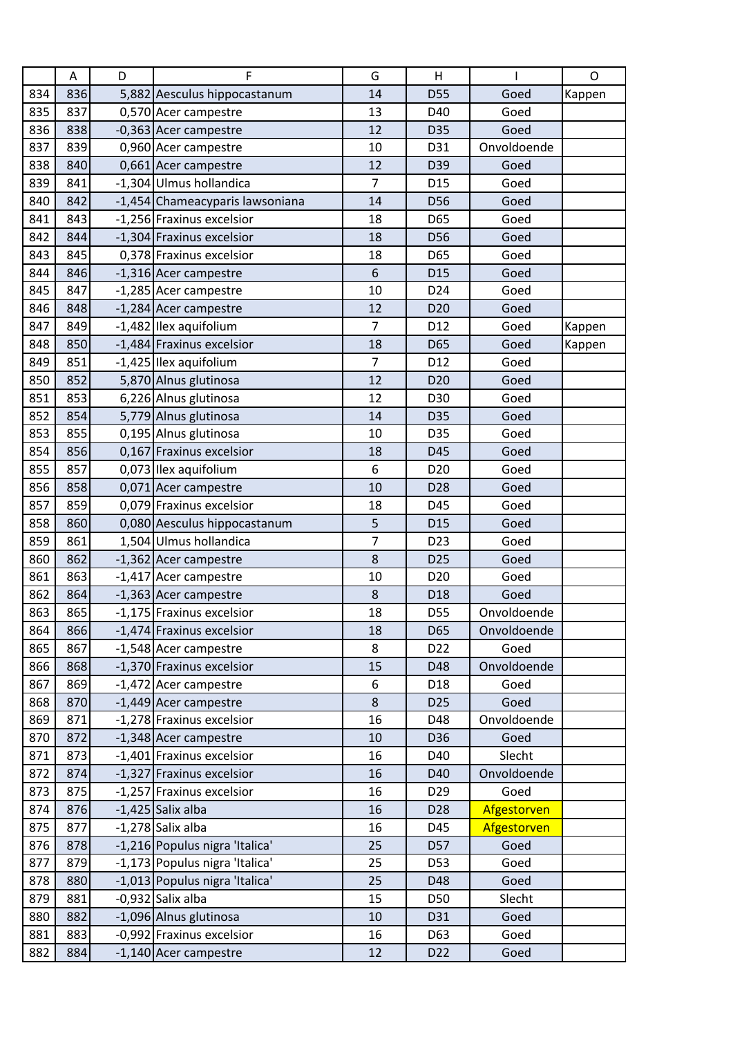|     | A   | D | F                               | G              | Н               |             | $\mathsf{O}$ |
|-----|-----|---|---------------------------------|----------------|-----------------|-------------|--------------|
| 834 | 836 |   | 5,882 Aesculus hippocastanum    | 14             | <b>D55</b>      | Goed        | Kappen       |
| 835 | 837 |   | 0,570 Acer campestre            | 13             | D40             | Goed        |              |
| 836 | 838 |   | -0,363 Acer campestre           | 12             | D35             | Goed        |              |
| 837 | 839 |   | 0,960 Acer campestre            | 10             | D31             | Onvoldoende |              |
| 838 | 840 |   | 0,661 Acer campestre            | 12             | D39             | Goed        |              |
| 839 | 841 |   | -1,304 Ulmus hollandica         | $\overline{7}$ | D <sub>15</sub> | Goed        |              |
| 840 | 842 |   | -1,454 Chameacyparis lawsoniana | 14             | D56             | Goed        |              |
| 841 | 843 |   | -1,256 Fraxinus excelsior       | 18             | D65             | Goed        |              |
| 842 | 844 |   | -1,304 Fraxinus excelsior       | 18             | D56             | Goed        |              |
| 843 | 845 |   | 0,378 Fraxinus excelsior        | 18             | D65             | Goed        |              |
| 844 | 846 |   | -1,316 Acer campestre           | 6              | D <sub>15</sub> | Goed        |              |
| 845 | 847 |   | -1,285 Acer campestre           | 10             | D24             | Goed        |              |
| 846 | 848 |   | -1,284 Acer campestre           | 12             | D <sub>20</sub> | Goed        |              |
| 847 | 849 |   | -1,482 Ilex aquifolium          | $\overline{7}$ | D12             | Goed        | Kappen       |
| 848 | 850 |   | -1,484 Fraxinus excelsior       | 18             | D65             | Goed        | Kappen       |
| 849 | 851 |   | -1,425 Ilex aquifolium          | $\overline{7}$ | D12             | Goed        |              |
| 850 | 852 |   | 5,870 Alnus glutinosa           | 12             | D <sub>20</sub> | Goed        |              |
| 851 | 853 |   | 6,226 Alnus glutinosa           | 12             | D30             | Goed        |              |
| 852 | 854 |   | 5,779 Alnus glutinosa           | 14             | D35             | Goed        |              |
| 853 | 855 |   | 0,195 Alnus glutinosa           | 10             | D35             | Goed        |              |
| 854 | 856 |   | 0,167 Fraxinus excelsior        | 18             | D45             | Goed        |              |
| 855 | 857 |   | 0,073 Ilex aquifolium           | 6              | D <sub>20</sub> | Goed        |              |
| 856 | 858 |   | 0,071 Acer campestre            | 10             | D28             | Goed        |              |
| 857 | 859 |   | 0,079 Fraxinus excelsior        | 18             | D45             | Goed        |              |
| 858 | 860 |   | 0,080 Aesculus hippocastanum    | 5              | D <sub>15</sub> | Goed        |              |
| 859 | 861 |   | 1,504 Ulmus hollandica          | $\overline{7}$ | D23             | Goed        |              |
| 860 | 862 |   | -1,362 Acer campestre           | 8              | D <sub>25</sub> | Goed        |              |
| 861 | 863 |   | -1,417 Acer campestre           | 10             | D <sub>20</sub> | Goed        |              |
| 862 | 864 |   | -1,363 Acer campestre           | 8              | D18             | Goed        |              |
| 863 | 865 |   | -1,175 Fraxinus excelsior       | 18             | D55             | Onvoldoende |              |
| 864 | 866 |   | -1,474 Fraxinus excelsior       | 18             | D65             | Onvoldoende |              |
| 865 | 867 |   | -1,548 Acer campestre           | 8              | D22             | Goed        |              |
| 866 | 868 |   | -1,370 Fraxinus excelsior       | 15             | D48             | Onvoldoende |              |
| 867 | 869 |   | -1,472 Acer campestre           | 6              | D18             | Goed        |              |
| 868 | 870 |   | -1,449 Acer campestre           | $\bf 8$        | D <sub>25</sub> | Goed        |              |
| 869 | 871 |   | -1,278 Fraxinus excelsior       | 16             | D48             | Onvoldoende |              |
| 870 | 872 |   | -1,348 Acer campestre           | 10             | D36             | Goed        |              |
| 871 | 873 |   | -1,401 Fraxinus excelsior       | 16             | D40             | Slecht      |              |
| 872 | 874 |   | -1,327 Fraxinus excelsior       | 16             | D40             | Onvoldoende |              |
| 873 | 875 |   | -1,257 Fraxinus excelsior       | 16             | D <sub>29</sub> | Goed        |              |
| 874 | 876 |   | $-1,425$ Salix alba             | 16             | D <sub>28</sub> | Afgestorven |              |
| 875 | 877 |   | $-1,278$ Salix alba             | 16             | D45             | Afgestorven |              |
| 876 | 878 |   | -1,216 Populus nigra 'Italica'  | 25             | D57             | Goed        |              |
| 877 | 879 |   | -1,173 Populus nigra 'Italica'  | 25             | D53             | Goed        |              |
| 878 | 880 |   | -1,013 Populus nigra 'Italica'  | 25             | D48             | Goed        |              |
| 879 | 881 |   | $-0.932$ Salix alba             | 15             | D50             | Slecht      |              |
| 880 | 882 |   | -1,096 Alnus glutinosa          | $10\,$         | D31             | Goed        |              |
| 881 | 883 |   | -0,992 Fraxinus excelsior       | 16             | D63             | Goed        |              |
| 882 | 884 |   | -1,140 Acer campestre           | 12             | D <sub>22</sub> | Goed        |              |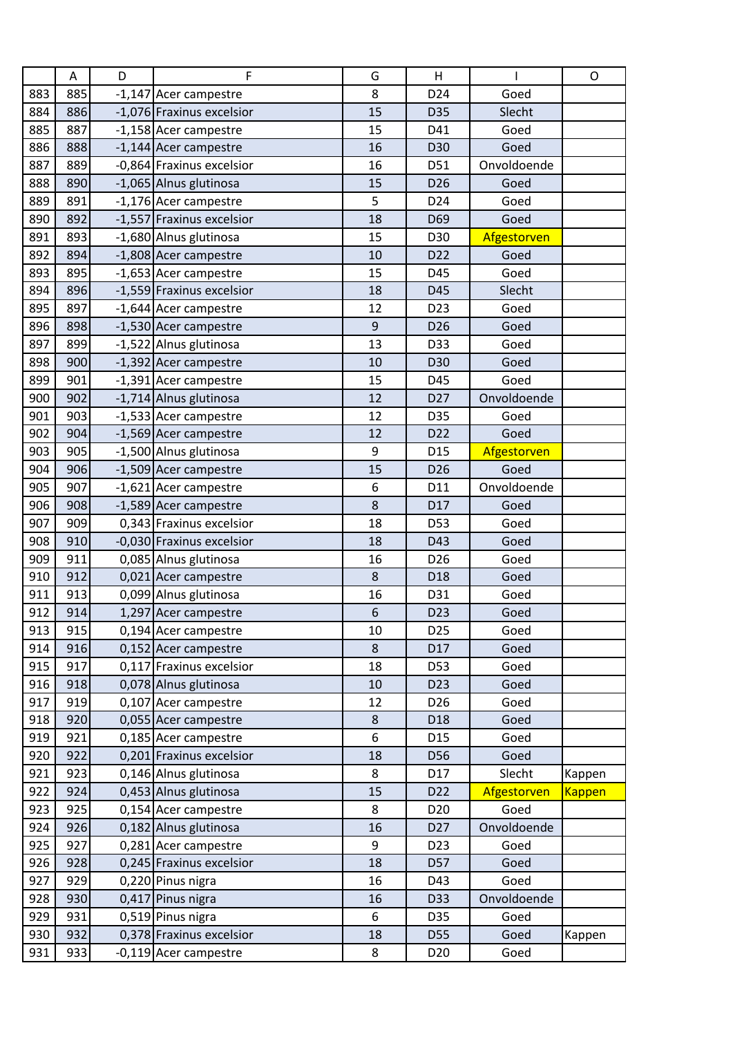|     | Α   | D | F                         | G           | Н               |             | $\mathsf O$   |
|-----|-----|---|---------------------------|-------------|-----------------|-------------|---------------|
| 883 | 885 |   | -1,147 Acer campestre     | 8           | D24             | Goed        |               |
| 884 | 886 |   | -1,076 Fraxinus excelsior | 15          | D35             | Slecht      |               |
| 885 | 887 |   | -1,158 Acer campestre     | 15          | D41             | Goed        |               |
| 886 | 888 |   | -1,144 Acer campestre     | 16          | D30             | Goed        |               |
| 887 | 889 |   | -0,864 Fraxinus excelsior | 16          | D51             | Onvoldoende |               |
| 888 | 890 |   | -1,065 Alnus glutinosa    | 15          | D <sub>26</sub> | Goed        |               |
| 889 | 891 |   | -1,176 Acer campestre     | 5           | D <sub>24</sub> | Goed        |               |
| 890 | 892 |   | -1,557 Fraxinus excelsior | 18          | D69             | Goed        |               |
| 891 | 893 |   | -1,680 Alnus glutinosa    | 15          | D30             | Afgestorven |               |
| 892 | 894 |   | -1,808 Acer campestre     | 10          | D <sub>22</sub> | Goed        |               |
| 893 | 895 |   | -1,653 Acer campestre     | 15          | D45             | Goed        |               |
| 894 | 896 |   | -1,559 Fraxinus excelsior | 18          | D45             | Slecht      |               |
| 895 | 897 |   | -1,644 Acer campestre     | 12          | D <sub>23</sub> | Goed        |               |
| 896 | 898 |   | -1,530 Acer campestre     | $\mathsf 9$ | D <sub>26</sub> | Goed        |               |
| 897 | 899 |   | -1,522 Alnus glutinosa    | 13          | D33             | Goed        |               |
| 898 | 900 |   | -1,392 Acer campestre     | 10          | D30             | Goed        |               |
| 899 | 901 |   | -1,391 Acer campestre     | 15          | D45             | Goed        |               |
| 900 | 902 |   | -1,714 Alnus glutinosa    | 12          | D <sub>27</sub> | Onvoldoende |               |
| 901 | 903 |   | -1,533 Acer campestre     | 12          | D35             | Goed        |               |
| 902 | 904 |   | -1,569 Acer campestre     | 12          | D22             | Goed        |               |
| 903 | 905 |   | -1,500 Alnus glutinosa    | 9           | D <sub>15</sub> | Afgestorven |               |
| 904 | 906 |   | -1,509 Acer campestre     | 15          | D <sub>26</sub> | Goed        |               |
| 905 | 907 |   | -1,621 Acer campestre     | 6           | D11             | Onvoldoende |               |
| 906 | 908 |   | -1,589 Acer campestre     | 8           | D17             | Goed        |               |
| 907 | 909 |   | 0,343 Fraxinus excelsior  | 18          | D53             | Goed        |               |
| 908 | 910 |   | -0,030 Fraxinus excelsior | 18          | D43             | Goed        |               |
| 909 | 911 |   | 0,085 Alnus glutinosa     | 16          | D <sub>26</sub> | Goed        |               |
| 910 | 912 |   | 0,021 Acer campestre      | 8           | D18             | Goed        |               |
| 911 | 913 |   | 0,099 Alnus glutinosa     | 16          | D31             | Goed        |               |
| 912 | 914 |   | 1,297 Acer campestre      | 6           | D <sub>23</sub> | Goed        |               |
| 913 | 915 |   | 0,194 Acer campestre      | 10          | D <sub>25</sub> | Goed        |               |
| 914 | 916 |   | 0,152 Acer campestre      | 8           | D17             | Goed        |               |
| 915 | 917 |   | 0,117 Fraxinus excelsior  | 18          | D53             | Goed        |               |
| 916 | 918 |   | 0,078 Alnus glutinosa     | 10          | D <sub>23</sub> | Goed        |               |
| 917 | 919 |   | 0,107 Acer campestre      | 12          | D <sub>26</sub> | Goed        |               |
| 918 | 920 |   | 0,055 Acer campestre      | $\bf 8$     | D18             | Goed        |               |
| 919 | 921 |   | 0,185 Acer campestre      | 6           | D15             | Goed        |               |
| 920 | 922 |   | 0,201 Fraxinus excelsior  | 18          | D56             | Goed        |               |
| 921 | 923 |   | 0,146 Alnus glutinosa     | 8           | D17             | Slecht      | Kappen        |
| 922 | 924 |   | 0,453 Alnus glutinosa     | 15          | D <sub>22</sub> | Afgestorven | <b>Kappen</b> |
| 923 | 925 |   | 0,154 Acer campestre      | 8           | D <sub>20</sub> | Goed        |               |
| 924 | 926 |   | 0,182 Alnus glutinosa     | 16          | D <sub>27</sub> | Onvoldoende |               |
| 925 | 927 |   | 0,281 Acer campestre      | 9           | D <sub>23</sub> | Goed        |               |
| 926 | 928 |   | 0,245 Fraxinus excelsior  | 18          | D57             | Goed        |               |
| 927 | 929 |   | 0,220 Pinus nigra         | 16          | D43             | Goed        |               |
| 928 | 930 |   | 0,417 Pinus nigra         | 16          | D33             | Onvoldoende |               |
| 929 | 931 |   | 0,519 Pinus nigra         | 6           | D35             | Goed        |               |
| 930 | 932 |   | 0,378 Fraxinus excelsior  | 18          | D55             | Goed        | Kappen        |
| 931 | 933 |   | -0,119 Acer campestre     | 8           | D <sub>20</sub> | Goed        |               |
|     |     |   |                           |             |                 |             |               |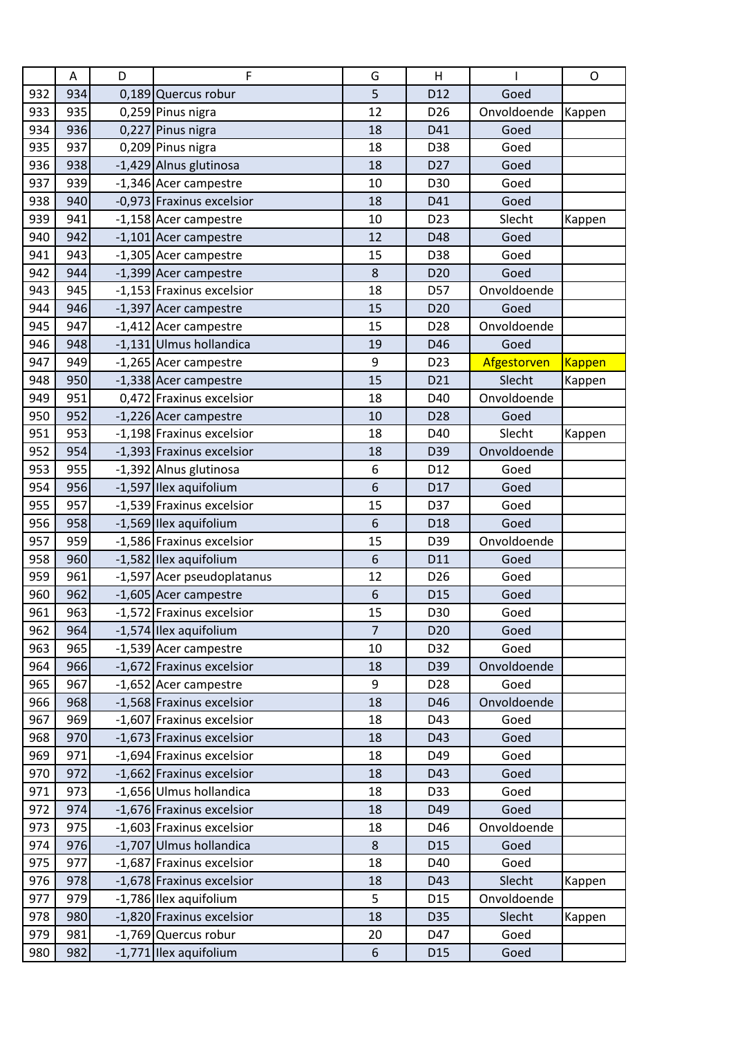|     | Α   | D | F                          | G              | H               |             | O      |
|-----|-----|---|----------------------------|----------------|-----------------|-------------|--------|
| 932 | 934 |   | 0,189 Quercus robur        | 5              | D <sub>12</sub> | Goed        |        |
| 933 | 935 |   | 0,259 Pinus nigra          | 12             | D <sub>26</sub> | Onvoldoende | Kappen |
| 934 | 936 |   | 0,227 Pinus nigra          | 18             | D41             | Goed        |        |
| 935 | 937 |   | 0,209 Pinus nigra          | 18             | D38             | Goed        |        |
| 936 | 938 |   | -1,429 Alnus glutinosa     | 18             | D <sub>27</sub> | Goed        |        |
| 937 | 939 |   | -1,346 Acer campestre      | 10             | D30             | Goed        |        |
| 938 | 940 |   | -0,973 Fraxinus excelsior  | 18             | D41             | Goed        |        |
| 939 | 941 |   | -1,158 Acer campestre      | 10             | D <sub>23</sub> | Slecht      | Kappen |
| 940 | 942 |   | -1,101 Acer campestre      | 12             | D48             | Goed        |        |
| 941 | 943 |   | -1,305 Acer campestre      | 15             | D38             | Goed        |        |
| 942 | 944 |   | -1,399 Acer campestre      | 8              | D <sub>20</sub> | Goed        |        |
| 943 | 945 |   | -1,153 Fraxinus excelsior  | 18             | D57             | Onvoldoende |        |
| 944 | 946 |   | -1,397 Acer campestre      | 15             | D <sub>20</sub> | Goed        |        |
| 945 | 947 |   | -1,412 Acer campestre      | 15             | D <sub>28</sub> | Onvoldoende |        |
| 946 | 948 |   | -1,131 Ulmus hollandica    | 19             | D46             | Goed        |        |
| 947 | 949 |   | -1,265 Acer campestre      | 9              | D <sub>23</sub> | Afgestorven | Kappen |
| 948 | 950 |   | -1,338 Acer campestre      | 15             | D21             | Slecht      | Kappen |
| 949 | 951 |   | 0,472 Fraxinus excelsior   | 18             | D40             | Onvoldoende |        |
| 950 | 952 |   | -1,226 Acer campestre      | 10             | D <sub>28</sub> | Goed        |        |
| 951 | 953 |   | -1,198 Fraxinus excelsior  | 18             | D40             | Slecht      | Kappen |
| 952 | 954 |   | -1,393 Fraxinus excelsior  | 18             | D39             | Onvoldoende |        |
| 953 | 955 |   | -1,392 Alnus glutinosa     | 6              | D12             | Goed        |        |
| 954 | 956 |   | -1,597 Ilex aquifolium     | 6              | D17             | Goed        |        |
| 955 | 957 |   | -1,539 Fraxinus excelsior  | 15             | D37             | Goed        |        |
| 956 | 958 |   | -1,569 Ilex aquifolium     | 6              | D <sub>18</sub> | Goed        |        |
| 957 | 959 |   | -1,586 Fraxinus excelsior  | 15             | D39             | Onvoldoende |        |
| 958 | 960 |   | -1,582 Ilex aquifolium     | 6              | D11             | Goed        |        |
| 959 | 961 |   | -1,597 Acer pseudoplatanus | 12             | D <sub>26</sub> | Goed        |        |
| 960 | 962 |   | -1,605 Acer campestre      | 6              | D <sub>15</sub> | Goed        |        |
| 961 | 963 |   | -1,572 Fraxinus excelsior  | 15             | D30             | Goed        |        |
| 962 | 964 |   | -1,574 Ilex aquifolium     | $\overline{7}$ | D <sub>20</sub> | Goed        |        |
| 963 | 965 |   | -1,539 Acer campestre      | 10             | D32             | Goed        |        |
| 964 | 966 |   | -1,672 Fraxinus excelsior  | 18             | D39             | Onvoldoende |        |
| 965 | 967 |   | -1,652 Acer campestre      | 9              | D <sub>28</sub> | Goed        |        |
| 966 | 968 |   | -1,568 Fraxinus excelsior  | 18             | D46             | Onvoldoende |        |
| 967 | 969 |   | -1,607 Fraxinus excelsior  | 18             | D43             | Goed        |        |
| 968 | 970 |   | -1,673 Fraxinus excelsior  | 18             | D43             | Goed        |        |
| 969 | 971 |   | -1,694 Fraxinus excelsior  | 18             | D49             | Goed        |        |
| 970 | 972 |   | -1,662 Fraxinus excelsior  | 18             | D43             | Goed        |        |
| 971 | 973 |   | -1,656 Ulmus hollandica    | 18             | D33             | Goed        |        |
| 972 | 974 |   | -1,676 Fraxinus excelsior  | 18             | D49             | Goed        |        |
| 973 | 975 |   | -1,603 Fraxinus excelsior  | 18             | D46             | Onvoldoende |        |
| 974 | 976 |   | -1,707 Ulmus hollandica    | $\bf 8$        | D <sub>15</sub> | Goed        |        |
| 975 | 977 |   | -1,687 Fraxinus excelsior  | 18             | D40             | Goed        |        |
|     | 978 |   |                            |                |                 |             |        |
| 976 |     |   | -1,678 Fraxinus excelsior  | 18             | D43             | Slecht      | Kappen |
| 977 | 979 |   | -1,786 Ilex aquifolium     | 5              | D <sub>15</sub> | Onvoldoende |        |
| 978 | 980 |   | -1,820 Fraxinus excelsior  | 18             | D35             | Slecht      | Kappen |
| 979 | 981 |   | -1,769 Quercus robur       | 20             | D47             | Goed        |        |
| 980 | 982 |   | -1,771 Ilex aquifolium     | 6              | D <sub>15</sub> | Goed        |        |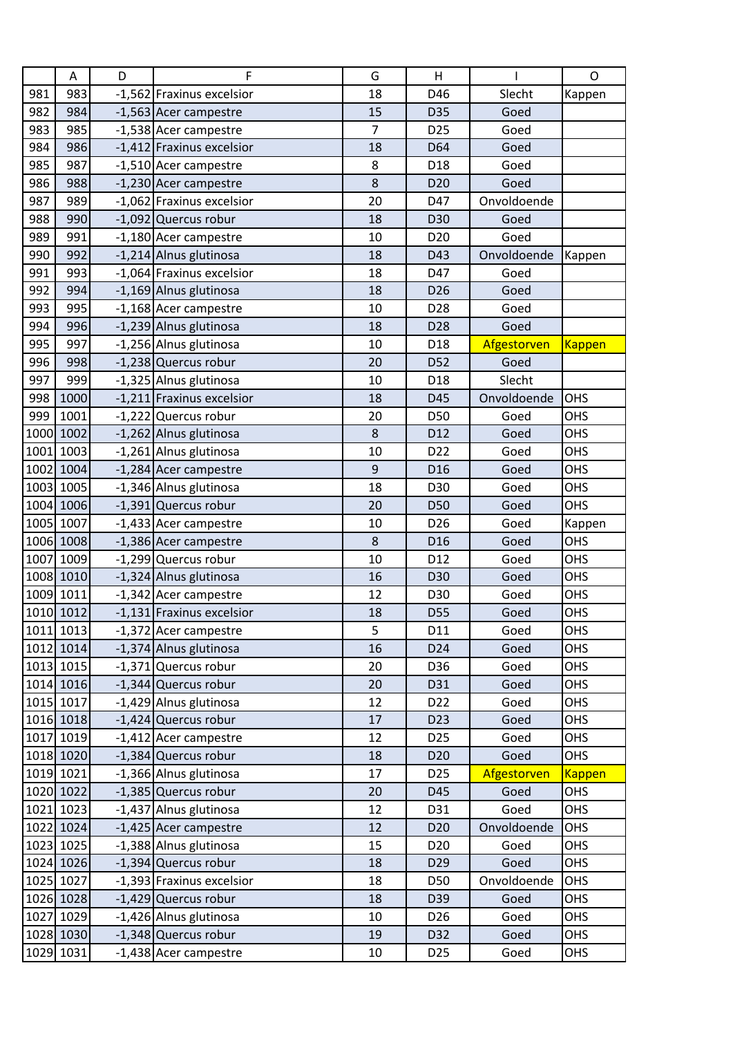|      | A         | D | F                         | G  | H               |             | $\mathsf O$   |
|------|-----------|---|---------------------------|----|-----------------|-------------|---------------|
| 981  | 983       |   | -1,562 Fraxinus excelsior | 18 | D46             | Slecht      | Kappen        |
| 982  | 984       |   | -1,563 Acer campestre     | 15 | D35             | Goed        |               |
| 983  | 985       |   | -1,538 Acer campestre     | 7  | D <sub>25</sub> | Goed        |               |
| 984  | 986       |   | -1,412 Fraxinus excelsior | 18 | D64             | Goed        |               |
| 985  | 987       |   | -1,510 Acer campestre     | 8  | D18             | Goed        |               |
| 986  | 988       |   | -1,230 Acer campestre     | 8  | D <sub>20</sub> | Goed        |               |
| 987  | 989       |   | -1,062 Fraxinus excelsior | 20 | D47             | Onvoldoende |               |
| 988  | 990       |   | -1,092 Quercus robur      | 18 | D30             | Goed        |               |
| 989  | 991       |   | -1,180 Acer campestre     | 10 | D <sub>20</sub> | Goed        |               |
| 990  | 992       |   | -1,214 Alnus glutinosa    | 18 | D43             | Onvoldoende | Kappen        |
| 991  | 993       |   | -1,064 Fraxinus excelsior | 18 | D47             | Goed        |               |
| 992  | 994       |   | -1,169 Alnus glutinosa    | 18 | D <sub>26</sub> | Goed        |               |
| 993  | 995       |   | -1,168 Acer campestre     | 10 | D28             | Goed        |               |
| 994  | 996       |   | -1,239 Alnus glutinosa    | 18 | D <sub>28</sub> | Goed        |               |
| 995  | 997       |   | -1,256 Alnus glutinosa    | 10 | D <sub>18</sub> | Afgestorven | <b>Kappen</b> |
| 996  | 998       |   | -1,238 Quercus robur      | 20 | D52             | Goed        |               |
| 997  | 999       |   | -1,325 Alnus glutinosa    | 10 | D18             | Slecht      |               |
| 998  | 1000      |   | -1,211 Fraxinus excelsior | 18 | D45             | Onvoldoende | <b>OHS</b>    |
| 999  | 1001      |   | -1,222 Quercus robur      | 20 | D50             | Goed        | OHS           |
|      | 1000 1002 |   | -1,262 Alnus glutinosa    | 8  | D12             | Goed        | OHS           |
|      | 1001 1003 |   | -1,261 Alnus glutinosa    | 10 | D <sub>22</sub> | Goed        | OHS           |
|      | 1002 1004 |   | -1,284 Acer campestre     | 9  | D <sub>16</sub> | Goed        | OHS           |
|      | 1003 1005 |   | -1,346 Alnus glutinosa    | 18 | D30             | Goed        | OHS           |
|      | 1004 1006 |   | -1,391 Quercus robur      | 20 | D50             | Goed        | OHS           |
|      | 1005 1007 |   | -1,433 Acer campestre     | 10 | D <sub>26</sub> | Goed        | Kappen        |
|      | 1006 1008 |   | -1,386 Acer campestre     | 8  | D <sub>16</sub> | Goed        | OHS           |
| 1007 | 1009      |   | -1,299 Quercus robur      | 10 | D12             | Goed        | OHS           |
|      | 1008 1010 |   | -1,324 Alnus glutinosa    | 16 | D30             | Goed        | OHS           |
|      | 1009 1011 |   | -1,342 Acer campestre     | 12 | D30             | Goed        | OHS           |
|      | 1010 1012 |   | -1,131 Fraxinus excelsior | 18 | D55             | Goed        | OHS           |
|      | 1011 1013 |   | -1,372 Acer campestre     | 5  | D11             | Goed        | OHS           |
|      | 1012 1014 |   | -1,374 Alnus glutinosa    | 16 | D24             | Goed        | OHS           |
|      | 1013 1015 |   | -1,371 Quercus robur      | 20 | D36             | Goed        | OHS           |
|      | 1014 1016 |   | -1,344 Quercus robur      | 20 | D31             | Goed        | OHS           |
|      | 1015 1017 |   | -1,429 Alnus glutinosa    | 12 | D <sub>22</sub> | Goed        | OHS           |
|      | 1016 1018 |   | $-1,424$ Quercus robur    | 17 | D <sub>23</sub> | Goed        | OHS           |
|      | 1017 1019 |   | -1,412 Acer campestre     | 12 | D <sub>25</sub> | Goed        | OHS           |
|      | 1018 1020 |   | -1,384 Quercus robur      | 18 | D <sub>20</sub> | Goed        | OHS           |
|      | 1019 1021 |   | -1,366 Alnus glutinosa    | 17 | D <sub>25</sub> | Afgestorven | <b>Kappen</b> |
|      | 1020 1022 |   | -1,385 Quercus robur      | 20 | D45             | Goed        | OHS           |
|      | 1021 1023 |   | -1,437 Alnus glutinosa    | 12 | D31             | Goed        | OHS           |
|      | 1022 1024 |   | -1,425 Acer campestre     | 12 | D <sub>20</sub> | Onvoldoende | OHS           |
|      | 1023 1025 |   | -1,388 Alnus glutinosa    | 15 | D <sub>20</sub> | Goed        | OHS           |
|      | 1024 1026 |   | -1,394 Quercus robur      | 18 | D <sub>29</sub> | Goed        | OHS           |
|      | 1025 1027 |   | -1,393 Fraxinus excelsior | 18 | D50             | Onvoldoende | OHS           |
|      | 1026 1028 |   | -1,429 Quercus robur      | 18 | D39             | Goed        | OHS           |
|      | 1027 1029 |   | -1,426 Alnus glutinosa    | 10 | D <sub>26</sub> | Goed        | OHS           |
|      | 1028 1030 |   | -1,348 Quercus robur      | 19 | D32             | Goed        | OHS           |
|      |           |   |                           |    |                 |             |               |
|      | 1029 1031 |   | -1,438 Acer campestre     | 10 | D <sub>25</sub> | Goed        | OHS           |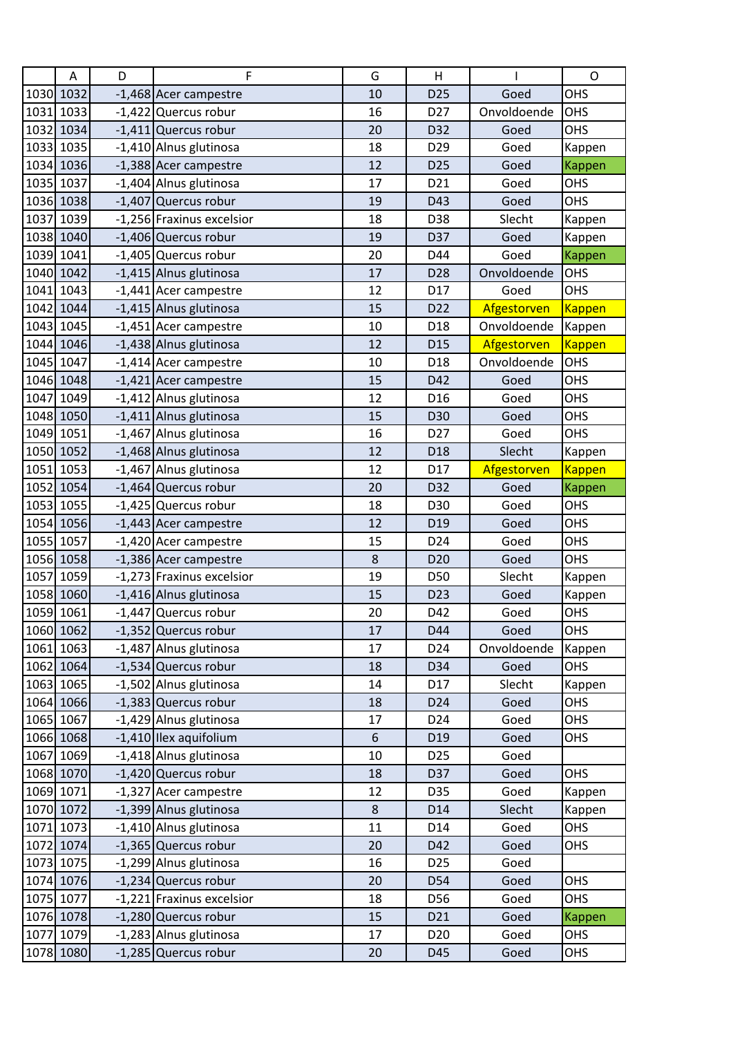|      | A         | D | F                         | G  | H               |             | $\mathsf{O}$  |
|------|-----------|---|---------------------------|----|-----------------|-------------|---------------|
|      | 1030 1032 |   | -1,468 Acer campestre     | 10 | D <sub>25</sub> | Goed        | OHS           |
|      | 1031 1033 |   | -1,422 Quercus robur      | 16 | D <sub>27</sub> | Onvoldoende | OHS           |
|      | 1032 1034 |   | $-1,411$ Quercus robur    | 20 | D32             | Goed        | OHS           |
|      | 1033 1035 |   | -1,410 Alnus glutinosa    | 18 | D <sub>29</sub> | Goed        | Kappen        |
|      | 1034 1036 |   | -1,388 Acer campestre     | 12 | D <sub>25</sub> | Goed        | Kappen        |
|      | 1035 1037 |   | -1,404 Alnus glutinosa    | 17 | D21             | Goed        | <b>OHS</b>    |
|      | 1036 1038 |   | -1,407 Quercus robur      | 19 | D43             | Goed        | OHS           |
|      | 1037 1039 |   | -1,256 Fraxinus excelsior | 18 | D38             | Slecht      | Kappen        |
|      | 1038 1040 |   | -1,406 Quercus robur      | 19 | D37             | Goed        | Kappen        |
|      | 1039 1041 |   | -1,405 Quercus robur      | 20 | D44             | Goed        | Kappen        |
|      | 1040 1042 |   | -1,415 Alnus glutinosa    | 17 | D28             | Onvoldoende | OHS           |
|      | 1041 1043 |   | -1,441 Acer campestre     | 12 | D17             | Goed        | OHS           |
|      | 1042 1044 |   | -1,415 Alnus glutinosa    | 15 | D22             | Afgestorven | <b>Kappen</b> |
|      | 1043 1045 |   | -1,451 Acer campestre     | 10 | D <sub>18</sub> | Onvoldoende | Kappen        |
|      | 1044 1046 |   | -1,438 Alnus glutinosa    | 12 | D <sub>15</sub> | Afgestorven | <b>Kappen</b> |
|      | 1045 1047 |   | -1,414 Acer campestre     | 10 | D18             | Onvoldoende | <b>OHS</b>    |
|      | 1046 1048 |   | -1,421 Acer campestre     | 15 | D42             | Goed        | OHS           |
|      | 1047 1049 |   | -1,412 Alnus glutinosa    | 12 | D <sub>16</sub> | Goed        | OHS           |
|      | 1048 1050 |   | -1,411 Alnus glutinosa    | 15 | D30             | Goed        | <b>OHS</b>    |
|      | 1049 1051 |   | -1,467 Alnus glutinosa    | 16 | D <sub>27</sub> | Goed        | <b>OHS</b>    |
|      | 1050 1052 |   | -1,468 Alnus glutinosa    | 12 | D <sub>18</sub> | Slecht      | Kappen        |
|      | 1051 1053 |   | -1,467 Alnus glutinosa    | 12 | D17             | Afgestorven | <b>Kappen</b> |
|      | 1052 1054 |   | -1,464 Quercus robur      | 20 | D32             | Goed        | Kappen        |
|      | 1053 1055 |   | -1,425 Quercus robur      | 18 | D30             | Goed        | OHS           |
|      | 1054 1056 |   | -1,443 Acer campestre     | 12 | D <sub>19</sub> | Goed        | <b>OHS</b>    |
|      | 1055 1057 |   | -1,420 Acer campestre     | 15 | D24             | Goed        | <b>OHS</b>    |
|      | 1056 1058 |   | -1,386 Acer campestre     | 8  | D <sub>20</sub> | Goed        | <b>OHS</b>    |
| 1057 | 1059      |   | -1,273 Fraxinus excelsior | 19 | D50             | Slecht      | Kappen        |
|      | 1058 1060 |   | -1,416 Alnus glutinosa    | 15 | D <sub>23</sub> | Goed        | Kappen        |
|      | 1059 1061 |   | -1,447 Quercus robur      | 20 | D42             | Goed        | OHS           |
|      | 1060 1062 |   | -1,352 Quercus robur      | 17 | D44             | Goed        | OHS           |
|      | 1061 1063 |   | -1,487 Alnus glutinosa    | 17 | D24             | Onvoldoende | Kappen        |
|      | 1062 1064 |   | -1,534 Quercus robur      | 18 | D34             | Goed        | OHS           |
|      | 1063 1065 |   | -1,502 Alnus glutinosa    | 14 | D17             | Slecht      | Kappen        |
|      | 1064 1066 |   | -1,383 Quercus robur      | 18 | D <sub>24</sub> | Goed        | <b>OHS</b>    |
|      | 1065 1067 |   | -1,429 Alnus glutinosa    | 17 | D24             | Goed        | OHS           |
|      | 1066 1068 |   | -1,410 Ilex aquifolium    | 6  | D <sub>19</sub> | Goed        | OHS           |
|      | 1067 1069 |   | -1,418 Alnus glutinosa    | 10 | D <sub>25</sub> | Goed        |               |
|      | 1068 1070 |   | -1,420 Quercus robur      | 18 | D37             | Goed        | <b>OHS</b>    |
|      | 1069 1071 |   | -1,327 Acer campestre     | 12 | D35             | Goed        | Kappen        |
|      | 1070 1072 |   | -1,399 Alnus glutinosa    | 8  | D14             | Slecht      | Kappen        |
|      | 1071 1073 |   | -1,410 Alnus glutinosa    | 11 | D14             | Goed        | OHS           |
|      | 1072 1074 |   | -1,365 Quercus robur      | 20 | D42             | Goed        | <b>OHS</b>    |
|      | 1073 1075 |   | -1,299 Alnus glutinosa    | 16 | D <sub>25</sub> | Goed        |               |
|      | 1074 1076 |   | -1,234 Quercus robur      | 20 | D54             | Goed        | <b>OHS</b>    |
|      | 1075 1077 |   | -1,221 Fraxinus excelsior | 18 | D56             | Goed        | <b>OHS</b>    |
|      | 1076 1078 |   | -1,280 Quercus robur      | 15 | D21             | Goed        | <b>Kappen</b> |
|      | 1077 1079 |   | -1,283 Alnus glutinosa    | 17 | D <sub>20</sub> | Goed        | <b>OHS</b>    |
|      | 1078 1080 |   | -1,285 Quercus robur      | 20 | D45             | Goed        | OHS           |
|      |           |   |                           |    |                 |             |               |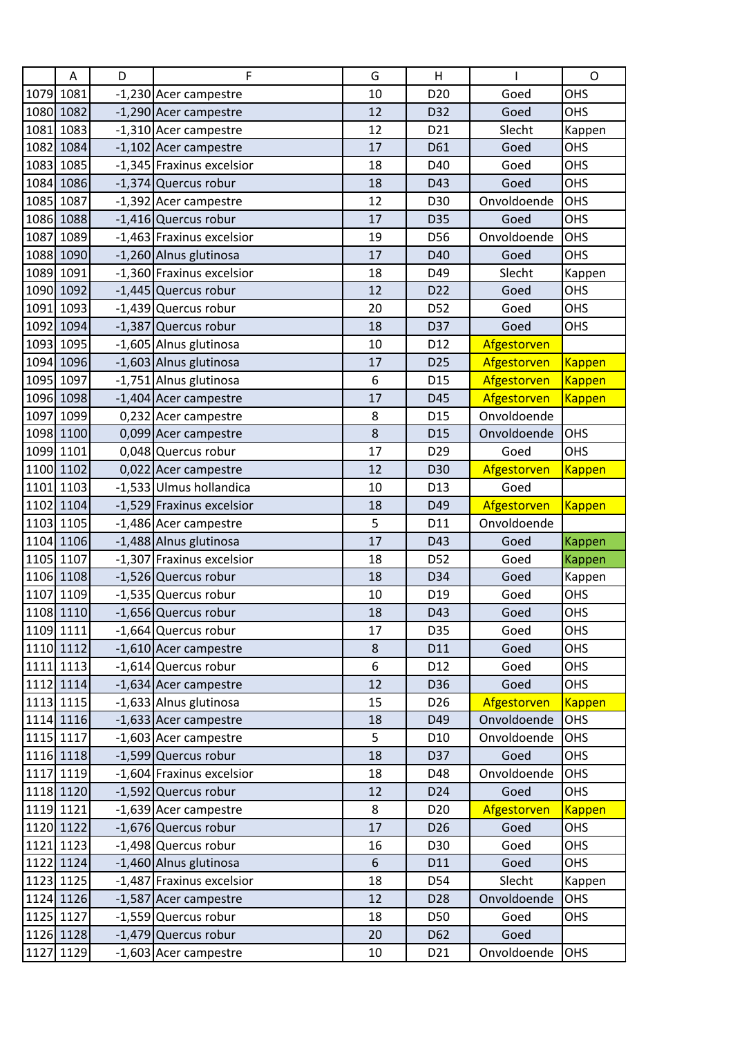|      | A         | D | F                         | G     | H               |             | $\mathsf{O}$  |
|------|-----------|---|---------------------------|-------|-----------------|-------------|---------------|
|      | 1079 1081 |   | -1,230 Acer campestre     | 10    | D <sub>20</sub> | Goed        | OHS           |
|      | 1080 1082 |   | -1,290 Acer campestre     | 12    | D32             | Goed        | OHS           |
|      | 1081 1083 |   | -1,310 Acer campestre     | 12    | D21             | Slecht      | Kappen        |
|      | 1082 1084 |   | -1,102 Acer campestre     | 17    | D61             | Goed        | OHS           |
|      | 1083 1085 |   | -1,345 Fraxinus excelsior | 18    | D40             | Goed        | <b>OHS</b>    |
|      | 1084 1086 |   | -1,374 Quercus robur      | 18    | D43             | Goed        | OHS           |
|      | 1085 1087 |   | -1,392 Acer campestre     | 12    | D30             | Onvoldoende | OHS           |
|      | 1086 1088 |   | -1,416 Quercus robur      | 17    | D35             | Goed        | OHS           |
|      | 1087 1089 |   | -1,463 Fraxinus excelsior | 19    | D56             | Onvoldoende | OHS           |
|      | 1088 1090 |   | -1,260 Alnus glutinosa    | 17    | D40             | Goed        | <b>OHS</b>    |
|      | 1089 1091 |   | -1,360 Fraxinus excelsior | 18    | D49             | Slecht      | Kappen        |
|      | 1090 1092 |   | -1,445 Quercus robur      | 12    | D <sub>22</sub> | Goed        | <b>OHS</b>    |
| 1091 | 1093      |   | -1,439 Quercus robur      | 20    | D52             | Goed        | <b>OHS</b>    |
|      | 1092 1094 |   | -1,387 Quercus robur      | 18    | D37             | Goed        | OHS           |
|      | 1093 1095 |   | -1,605 Alnus glutinosa    | 10    | D12             | Afgestorven |               |
|      | 1094 1096 |   | -1,603 Alnus glutinosa    | 17    | D <sub>25</sub> | Afgestorven | <b>Kappen</b> |
|      | 1095 1097 |   | -1,751 Alnus glutinosa    | 6     | D <sub>15</sub> | Afgestorven | <b>Kappen</b> |
|      | 1096 1098 |   | -1,404 Acer campestre     | 17    | D45             | Afgestorven | <b>Kappen</b> |
| 1097 | 1099      |   | 0,232 Acer campestre      | 8     | D <sub>15</sub> | Onvoldoende |               |
|      | 1098 1100 |   | 0,099 Acer campestre      | 8     | D <sub>15</sub> | Onvoldoende | <b>OHS</b>    |
|      | 1099 1101 |   | 0,048 Quercus robur       | 17    | D <sub>29</sub> | Goed        | <b>OHS</b>    |
|      | 1100 1102 |   | 0,022 Acer campestre      | 12    | D30             | Afgestorven | <b>Kappen</b> |
|      | 1101 1103 |   | -1,533 Ulmus hollandica   | 10    | D13             | Goed        |               |
|      | 1102 1104 |   | -1,529 Fraxinus excelsior | 18    | D49             | Afgestorven | <b>Kappen</b> |
|      | 1103 1105 |   | -1,486 Acer campestre     | 5     | D11             | Onvoldoende |               |
|      | 1104 1106 |   | -1,488 Alnus glutinosa    | 17    | D43             | Goed        | Kappen        |
|      | 1105 1107 |   | -1,307 Fraxinus excelsior | 18    | D52             | Goed        | <b>Kappen</b> |
|      | 1106 1108 |   | -1,526 Quercus robur      | 18    | D34             | Goed        | Kappen        |
|      | 1107 1109 |   | -1,535 Quercus robur      | 10    | D <sub>19</sub> | Goed        | OHS           |
|      | 1108 1110 |   | -1,656 Quercus robur      | 18    | D43             | Goed        | OHS           |
|      | 1109 1111 |   | -1,664 Quercus robur      | 17    | D35             | Goed        | OHS           |
|      | 1110 1112 |   | -1,610 Acer campestre     | 8     | D11             | Goed        | OHS           |
|      | 1111 1113 |   | -1,614 Quercus robur      | 6     | D12             | Goed        | OHS           |
|      | 1112 1114 |   | -1,634 Acer campestre     | 12    | D36             | Goed        | <b>OHS</b>    |
|      | 1113 1115 |   | -1,633 Alnus glutinosa    | 15    | D <sub>26</sub> | Afgestorven | <b>Kappen</b> |
|      | 1114 1116 |   | -1,633 Acer campestre     | 18    | D49             | Onvoldoende | OHS           |
|      | 1115 1117 |   | -1,603 Acer campestre     | 5     | D <sub>10</sub> | Onvoldoende | OHS           |
|      | 1116 1118 |   | -1,599 Quercus robur      | 18    | D37             | Goed        | OHS           |
|      | 1117 1119 |   | -1,604 Fraxinus excelsior | 18    | D48             | Onvoldoende | <b>OHS</b>    |
|      | 1118 1120 |   | -1,592 Quercus robur      | 12    | D24             | Goed        | OHS           |
|      | 1119 1121 |   | -1,639 Acer campestre     | 8     | D <sub>20</sub> | Afgestorven | <b>Kappen</b> |
|      | 1120 1122 |   | -1,676 Quercus robur      | 17    | D <sub>26</sub> | Goed        | OHS           |
|      | 1121 1123 |   | -1,498 Quercus robur      | 16    | D30             | Goed        | <b>OHS</b>    |
|      | 1122 1124 |   | -1,460 Alnus glutinosa    | $6\,$ | D11             | Goed        | <b>OHS</b>    |
|      | 1123 1125 |   | -1,487 Fraxinus excelsior | 18    | D54             | Slecht      | Kappen        |
|      | 1124 1126 |   | -1,587 Acer campestre     | 12    | D28             | Onvoldoende | <b>OHS</b>    |
|      | 1125 1127 |   | -1,559 Quercus robur      | 18    | D50             | Goed        | OHS           |
|      | 1126 1128 |   | -1,479 Quercus robur      | 20    | D62             | Goed        |               |
|      | 1127 1129 |   | -1,603 Acer campestre     | 10    | D21             | Onvoldoende | OHS           |
|      |           |   |                           |       |                 |             |               |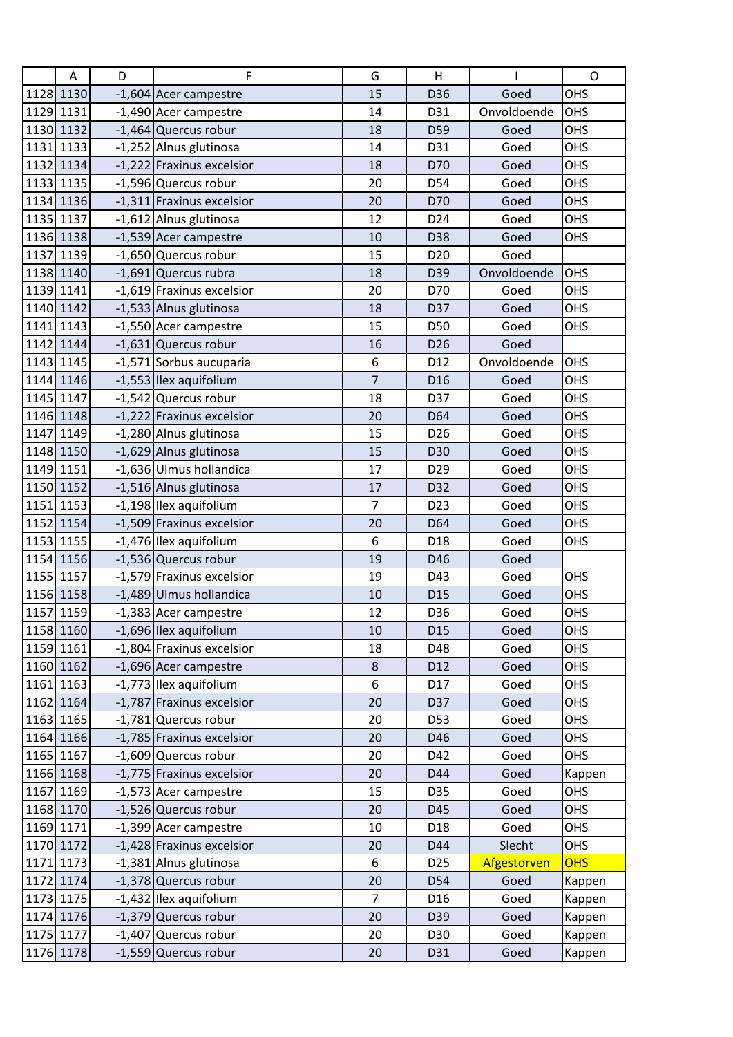| 1128 1130<br>OHS<br>15<br>D36<br>Goed<br>-1,604 Acer campestre<br>1129 1131<br>Onvoldoende<br>OHS<br>-1,490 Acer campestre<br>14<br>D31<br>1130 1132<br>-1,464 Quercus robur<br>Goed<br>OHS<br>18<br>D59<br>1131 1133<br>-1,252 Alnus glutinosa<br>OHS<br>14<br>D31<br>Goed<br>1132 1134<br>-1,222 Fraxinus excelsior<br>OHS<br>D70<br>18<br>Goed<br>1133 1135<br><b>OHS</b><br>-1,596 Quercus robur<br>20<br>D54<br>Goed<br>1134 1136<br>-1,311 Fraxinus excelsior<br>OHS<br>20<br>D70<br>Goed<br>1135 1137<br>OHS<br>-1,612 Alnus glutinosa<br>12<br>D24<br>Goed<br>1136 1138<br>-1,539 Acer campestre<br>OHS<br>10<br>D38<br>Goed<br>1137 1139<br>-1,650 Quercus robur<br>15<br>D <sub>20</sub><br>Goed<br>OHS<br>1138 1140<br>-1,691 Quercus rubra<br>Onvoldoende<br>18<br>D39<br>1139 1141<br>-1,619 Fraxinus excelsior<br>20<br>D70<br>Goed<br>OHS<br><b>OHS</b><br>1140 1142<br>-1,533 Alnus glutinosa<br>18<br>D37<br>Goed<br>1141 1143<br>-1,550 Acer campestre<br>15<br>D50<br>Goed<br>OHS<br>1142 1144<br>$-1,631$ Quercus robur<br>Goed<br>16<br>D <sub>26</sub><br>1143 1145<br>6<br>Onvoldoende<br>OHS<br>-1,571 Sorbus aucuparia<br>D12<br>$\overline{7}$<br>1144 1146<br>-1,553 Ilex aquifolium<br>Goed<br>OHS<br>D <sub>16</sub><br>-1,542 Quercus robur<br>OHS<br>1145 1147<br>18<br>D37<br>Goed<br>1146 1148<br>-1,222 Fraxinus excelsior<br><b>OHS</b><br>20<br>D64<br>Goed<br>1147 1149<br><b>OHS</b><br>-1,280 Alnus glutinosa<br>15<br>D <sub>26</sub><br>Goed<br>1148 1150<br>-1,629 Alnus glutinosa<br>OHS<br>15<br>D30<br>Goed<br>-1,636 Ulmus hollandica<br>1149 1151<br>OHS<br>17<br>D <sub>29</sub><br>Goed<br>1150 1152<br>-1,516 Alnus glutinosa<br>OHS<br>17<br>D32<br>Goed<br>1151 1153<br>-1,198 Ilex aquifolium<br>OHS<br>$\overline{7}$<br>D <sub>23</sub><br>Goed<br>1152 1154<br><b>OHS</b><br>-1,509 Fraxinus excelsior<br>20<br>D64<br>Goed<br>1153 1155<br>-1,476 Ilex aquifolium<br>6<br>D <sub>18</sub><br>Goed<br>OHS<br>1154 1156<br>-1,536 Quercus robur<br>D46<br>Goed<br>19<br>1155 1157<br>-1,579 Fraxinus excelsior<br>OHS<br>19<br>D43<br>Goed<br>-1,489 Ulmus hollandica<br>1156 1158<br>OHS<br>10<br>D <sub>15</sub><br>Goed<br>-1,383 Acer campestre<br><b>OHS</b><br>1157 1159<br>12<br>D36<br>Goed<br>1158 1160<br>-1,696 Ilex aquifolium<br>OHS<br>10<br>D <sub>15</sub><br>Goed<br>1159 1161<br>-1,804 Fraxinus excelsior<br>18<br>D48<br>Goed<br><b>OHS</b><br>1160 1162<br>-1,696 Acer campestre<br>$\bf 8$<br>Goed<br>OHS<br>D12<br>-1,773 Ilex aquifolium<br>1161 1163<br>6<br><b>OHS</b><br>D17<br>Goed<br>1162 1164<br>-1,787 Fraxinus excelsior<br>20<br>D37<br>Goed<br>OHS<br>1163 1165<br>-1,781 Quercus robur<br>D53<br>Goed<br>OHS<br>20<br>1164 1166<br>-1,785 Fraxinus excelsior<br><b>OHS</b><br>20<br>D46<br>Goed<br>1165 1167<br>-1,609 Quercus robur<br>20<br>D42<br>Goed<br><b>OHS</b><br>1166 1168<br>-1,775 Fraxinus excelsior<br>Goed<br>20<br>D44<br>Kappen<br>1167 1169<br>OHS<br>-1,573 Acer campestre<br>15<br>D35<br>Goed<br>1168 1170<br>-1,526 Quercus robur<br>20<br>D45<br>Goed<br>OHS<br>1169 1171<br>-1,399 Acer campestre<br>10<br>D18<br>Goed<br>OHS<br>-1,428 Fraxinus excelsior<br>Slecht<br>1170 1172<br>D44<br><b>OHS</b><br>20<br>1171 1173<br><b>OHS</b><br>-1,381 Alnus glutinosa<br>6<br>D <sub>25</sub><br>Afgestorven<br>1172 1174<br>-1,378 Quercus robur<br>20<br>D54<br>Goed<br>Kappen<br>1173 1175<br>-1,432 Ilex aquifolium<br>$\overline{7}$<br>Goed<br>D <sub>16</sub><br>Kappen<br>1174 1176<br>-1,379 Quercus robur<br>20<br>D39<br>Goed<br>Kappen<br>1175 1177<br>-1,407 Quercus robur<br>20<br>D30<br>Kappen<br>Goed | A | D | F                    | G  | H   |      | $\mathsf{O}$ |
|---------------------------------------------------------------------------------------------------------------------------------------------------------------------------------------------------------------------------------------------------------------------------------------------------------------------------------------------------------------------------------------------------------------------------------------------------------------------------------------------------------------------------------------------------------------------------------------------------------------------------------------------------------------------------------------------------------------------------------------------------------------------------------------------------------------------------------------------------------------------------------------------------------------------------------------------------------------------------------------------------------------------------------------------------------------------------------------------------------------------------------------------------------------------------------------------------------------------------------------------------------------------------------------------------------------------------------------------------------------------------------------------------------------------------------------------------------------------------------------------------------------------------------------------------------------------------------------------------------------------------------------------------------------------------------------------------------------------------------------------------------------------------------------------------------------------------------------------------------------------------------------------------------------------------------------------------------------------------------------------------------------------------------------------------------------------------------------------------------------------------------------------------------------------------------------------------------------------------------------------------------------------------------------------------------------------------------------------------------------------------------------------------------------------------------------------------------------------------------------------------------------------------------------------------------------------------------------------------------------------------------------------------------------------------------------------------------------------------------------------------------------------------------------------------------------------------------------------------------------------------------------------------------------------------------------------------------------------------------------------------------------------------------------------------------------------------------------------------------------------------------------------------------------------------------------------------------------------------------------------------------------------------------------------------------------------------------------------------------------------------------------------------------------------------------------------------------------------------------------------------------------------------------------------------------------------------------------------------------------------------------------|---|---|----------------------|----|-----|------|--------------|
|                                                                                                                                                                                                                                                                                                                                                                                                                                                                                                                                                                                                                                                                                                                                                                                                                                                                                                                                                                                                                                                                                                                                                                                                                                                                                                                                                                                                                                                                                                                                                                                                                                                                                                                                                                                                                                                                                                                                                                                                                                                                                                                                                                                                                                                                                                                                                                                                                                                                                                                                                                                                                                                                                                                                                                                                                                                                                                                                                                                                                                                                                                                                                                                                                                                                                                                                                                                                                                                                                                                                                                                                                                       |   |   |                      |    |     |      |              |
|                                                                                                                                                                                                                                                                                                                                                                                                                                                                                                                                                                                                                                                                                                                                                                                                                                                                                                                                                                                                                                                                                                                                                                                                                                                                                                                                                                                                                                                                                                                                                                                                                                                                                                                                                                                                                                                                                                                                                                                                                                                                                                                                                                                                                                                                                                                                                                                                                                                                                                                                                                                                                                                                                                                                                                                                                                                                                                                                                                                                                                                                                                                                                                                                                                                                                                                                                                                                                                                                                                                                                                                                                                       |   |   |                      |    |     |      |              |
|                                                                                                                                                                                                                                                                                                                                                                                                                                                                                                                                                                                                                                                                                                                                                                                                                                                                                                                                                                                                                                                                                                                                                                                                                                                                                                                                                                                                                                                                                                                                                                                                                                                                                                                                                                                                                                                                                                                                                                                                                                                                                                                                                                                                                                                                                                                                                                                                                                                                                                                                                                                                                                                                                                                                                                                                                                                                                                                                                                                                                                                                                                                                                                                                                                                                                                                                                                                                                                                                                                                                                                                                                                       |   |   |                      |    |     |      |              |
|                                                                                                                                                                                                                                                                                                                                                                                                                                                                                                                                                                                                                                                                                                                                                                                                                                                                                                                                                                                                                                                                                                                                                                                                                                                                                                                                                                                                                                                                                                                                                                                                                                                                                                                                                                                                                                                                                                                                                                                                                                                                                                                                                                                                                                                                                                                                                                                                                                                                                                                                                                                                                                                                                                                                                                                                                                                                                                                                                                                                                                                                                                                                                                                                                                                                                                                                                                                                                                                                                                                                                                                                                                       |   |   |                      |    |     |      |              |
|                                                                                                                                                                                                                                                                                                                                                                                                                                                                                                                                                                                                                                                                                                                                                                                                                                                                                                                                                                                                                                                                                                                                                                                                                                                                                                                                                                                                                                                                                                                                                                                                                                                                                                                                                                                                                                                                                                                                                                                                                                                                                                                                                                                                                                                                                                                                                                                                                                                                                                                                                                                                                                                                                                                                                                                                                                                                                                                                                                                                                                                                                                                                                                                                                                                                                                                                                                                                                                                                                                                                                                                                                                       |   |   |                      |    |     |      |              |
|                                                                                                                                                                                                                                                                                                                                                                                                                                                                                                                                                                                                                                                                                                                                                                                                                                                                                                                                                                                                                                                                                                                                                                                                                                                                                                                                                                                                                                                                                                                                                                                                                                                                                                                                                                                                                                                                                                                                                                                                                                                                                                                                                                                                                                                                                                                                                                                                                                                                                                                                                                                                                                                                                                                                                                                                                                                                                                                                                                                                                                                                                                                                                                                                                                                                                                                                                                                                                                                                                                                                                                                                                                       |   |   |                      |    |     |      |              |
|                                                                                                                                                                                                                                                                                                                                                                                                                                                                                                                                                                                                                                                                                                                                                                                                                                                                                                                                                                                                                                                                                                                                                                                                                                                                                                                                                                                                                                                                                                                                                                                                                                                                                                                                                                                                                                                                                                                                                                                                                                                                                                                                                                                                                                                                                                                                                                                                                                                                                                                                                                                                                                                                                                                                                                                                                                                                                                                                                                                                                                                                                                                                                                                                                                                                                                                                                                                                                                                                                                                                                                                                                                       |   |   |                      |    |     |      |              |
|                                                                                                                                                                                                                                                                                                                                                                                                                                                                                                                                                                                                                                                                                                                                                                                                                                                                                                                                                                                                                                                                                                                                                                                                                                                                                                                                                                                                                                                                                                                                                                                                                                                                                                                                                                                                                                                                                                                                                                                                                                                                                                                                                                                                                                                                                                                                                                                                                                                                                                                                                                                                                                                                                                                                                                                                                                                                                                                                                                                                                                                                                                                                                                                                                                                                                                                                                                                                                                                                                                                                                                                                                                       |   |   |                      |    |     |      |              |
|                                                                                                                                                                                                                                                                                                                                                                                                                                                                                                                                                                                                                                                                                                                                                                                                                                                                                                                                                                                                                                                                                                                                                                                                                                                                                                                                                                                                                                                                                                                                                                                                                                                                                                                                                                                                                                                                                                                                                                                                                                                                                                                                                                                                                                                                                                                                                                                                                                                                                                                                                                                                                                                                                                                                                                                                                                                                                                                                                                                                                                                                                                                                                                                                                                                                                                                                                                                                                                                                                                                                                                                                                                       |   |   |                      |    |     |      |              |
|                                                                                                                                                                                                                                                                                                                                                                                                                                                                                                                                                                                                                                                                                                                                                                                                                                                                                                                                                                                                                                                                                                                                                                                                                                                                                                                                                                                                                                                                                                                                                                                                                                                                                                                                                                                                                                                                                                                                                                                                                                                                                                                                                                                                                                                                                                                                                                                                                                                                                                                                                                                                                                                                                                                                                                                                                                                                                                                                                                                                                                                                                                                                                                                                                                                                                                                                                                                                                                                                                                                                                                                                                                       |   |   |                      |    |     |      |              |
|                                                                                                                                                                                                                                                                                                                                                                                                                                                                                                                                                                                                                                                                                                                                                                                                                                                                                                                                                                                                                                                                                                                                                                                                                                                                                                                                                                                                                                                                                                                                                                                                                                                                                                                                                                                                                                                                                                                                                                                                                                                                                                                                                                                                                                                                                                                                                                                                                                                                                                                                                                                                                                                                                                                                                                                                                                                                                                                                                                                                                                                                                                                                                                                                                                                                                                                                                                                                                                                                                                                                                                                                                                       |   |   |                      |    |     |      |              |
|                                                                                                                                                                                                                                                                                                                                                                                                                                                                                                                                                                                                                                                                                                                                                                                                                                                                                                                                                                                                                                                                                                                                                                                                                                                                                                                                                                                                                                                                                                                                                                                                                                                                                                                                                                                                                                                                                                                                                                                                                                                                                                                                                                                                                                                                                                                                                                                                                                                                                                                                                                                                                                                                                                                                                                                                                                                                                                                                                                                                                                                                                                                                                                                                                                                                                                                                                                                                                                                                                                                                                                                                                                       |   |   |                      |    |     |      |              |
|                                                                                                                                                                                                                                                                                                                                                                                                                                                                                                                                                                                                                                                                                                                                                                                                                                                                                                                                                                                                                                                                                                                                                                                                                                                                                                                                                                                                                                                                                                                                                                                                                                                                                                                                                                                                                                                                                                                                                                                                                                                                                                                                                                                                                                                                                                                                                                                                                                                                                                                                                                                                                                                                                                                                                                                                                                                                                                                                                                                                                                                                                                                                                                                                                                                                                                                                                                                                                                                                                                                                                                                                                                       |   |   |                      |    |     |      |              |
|                                                                                                                                                                                                                                                                                                                                                                                                                                                                                                                                                                                                                                                                                                                                                                                                                                                                                                                                                                                                                                                                                                                                                                                                                                                                                                                                                                                                                                                                                                                                                                                                                                                                                                                                                                                                                                                                                                                                                                                                                                                                                                                                                                                                                                                                                                                                                                                                                                                                                                                                                                                                                                                                                                                                                                                                                                                                                                                                                                                                                                                                                                                                                                                                                                                                                                                                                                                                                                                                                                                                                                                                                                       |   |   |                      |    |     |      |              |
|                                                                                                                                                                                                                                                                                                                                                                                                                                                                                                                                                                                                                                                                                                                                                                                                                                                                                                                                                                                                                                                                                                                                                                                                                                                                                                                                                                                                                                                                                                                                                                                                                                                                                                                                                                                                                                                                                                                                                                                                                                                                                                                                                                                                                                                                                                                                                                                                                                                                                                                                                                                                                                                                                                                                                                                                                                                                                                                                                                                                                                                                                                                                                                                                                                                                                                                                                                                                                                                                                                                                                                                                                                       |   |   |                      |    |     |      |              |
|                                                                                                                                                                                                                                                                                                                                                                                                                                                                                                                                                                                                                                                                                                                                                                                                                                                                                                                                                                                                                                                                                                                                                                                                                                                                                                                                                                                                                                                                                                                                                                                                                                                                                                                                                                                                                                                                                                                                                                                                                                                                                                                                                                                                                                                                                                                                                                                                                                                                                                                                                                                                                                                                                                                                                                                                                                                                                                                                                                                                                                                                                                                                                                                                                                                                                                                                                                                                                                                                                                                                                                                                                                       |   |   |                      |    |     |      |              |
|                                                                                                                                                                                                                                                                                                                                                                                                                                                                                                                                                                                                                                                                                                                                                                                                                                                                                                                                                                                                                                                                                                                                                                                                                                                                                                                                                                                                                                                                                                                                                                                                                                                                                                                                                                                                                                                                                                                                                                                                                                                                                                                                                                                                                                                                                                                                                                                                                                                                                                                                                                                                                                                                                                                                                                                                                                                                                                                                                                                                                                                                                                                                                                                                                                                                                                                                                                                                                                                                                                                                                                                                                                       |   |   |                      |    |     |      |              |
|                                                                                                                                                                                                                                                                                                                                                                                                                                                                                                                                                                                                                                                                                                                                                                                                                                                                                                                                                                                                                                                                                                                                                                                                                                                                                                                                                                                                                                                                                                                                                                                                                                                                                                                                                                                                                                                                                                                                                                                                                                                                                                                                                                                                                                                                                                                                                                                                                                                                                                                                                                                                                                                                                                                                                                                                                                                                                                                                                                                                                                                                                                                                                                                                                                                                                                                                                                                                                                                                                                                                                                                                                                       |   |   |                      |    |     |      |              |
|                                                                                                                                                                                                                                                                                                                                                                                                                                                                                                                                                                                                                                                                                                                                                                                                                                                                                                                                                                                                                                                                                                                                                                                                                                                                                                                                                                                                                                                                                                                                                                                                                                                                                                                                                                                                                                                                                                                                                                                                                                                                                                                                                                                                                                                                                                                                                                                                                                                                                                                                                                                                                                                                                                                                                                                                                                                                                                                                                                                                                                                                                                                                                                                                                                                                                                                                                                                                                                                                                                                                                                                                                                       |   |   |                      |    |     |      |              |
|                                                                                                                                                                                                                                                                                                                                                                                                                                                                                                                                                                                                                                                                                                                                                                                                                                                                                                                                                                                                                                                                                                                                                                                                                                                                                                                                                                                                                                                                                                                                                                                                                                                                                                                                                                                                                                                                                                                                                                                                                                                                                                                                                                                                                                                                                                                                                                                                                                                                                                                                                                                                                                                                                                                                                                                                                                                                                                                                                                                                                                                                                                                                                                                                                                                                                                                                                                                                                                                                                                                                                                                                                                       |   |   |                      |    |     |      |              |
|                                                                                                                                                                                                                                                                                                                                                                                                                                                                                                                                                                                                                                                                                                                                                                                                                                                                                                                                                                                                                                                                                                                                                                                                                                                                                                                                                                                                                                                                                                                                                                                                                                                                                                                                                                                                                                                                                                                                                                                                                                                                                                                                                                                                                                                                                                                                                                                                                                                                                                                                                                                                                                                                                                                                                                                                                                                                                                                                                                                                                                                                                                                                                                                                                                                                                                                                                                                                                                                                                                                                                                                                                                       |   |   |                      |    |     |      |              |
|                                                                                                                                                                                                                                                                                                                                                                                                                                                                                                                                                                                                                                                                                                                                                                                                                                                                                                                                                                                                                                                                                                                                                                                                                                                                                                                                                                                                                                                                                                                                                                                                                                                                                                                                                                                                                                                                                                                                                                                                                                                                                                                                                                                                                                                                                                                                                                                                                                                                                                                                                                                                                                                                                                                                                                                                                                                                                                                                                                                                                                                                                                                                                                                                                                                                                                                                                                                                                                                                                                                                                                                                                                       |   |   |                      |    |     |      |              |
|                                                                                                                                                                                                                                                                                                                                                                                                                                                                                                                                                                                                                                                                                                                                                                                                                                                                                                                                                                                                                                                                                                                                                                                                                                                                                                                                                                                                                                                                                                                                                                                                                                                                                                                                                                                                                                                                                                                                                                                                                                                                                                                                                                                                                                                                                                                                                                                                                                                                                                                                                                                                                                                                                                                                                                                                                                                                                                                                                                                                                                                                                                                                                                                                                                                                                                                                                                                                                                                                                                                                                                                                                                       |   |   |                      |    |     |      |              |
|                                                                                                                                                                                                                                                                                                                                                                                                                                                                                                                                                                                                                                                                                                                                                                                                                                                                                                                                                                                                                                                                                                                                                                                                                                                                                                                                                                                                                                                                                                                                                                                                                                                                                                                                                                                                                                                                                                                                                                                                                                                                                                                                                                                                                                                                                                                                                                                                                                                                                                                                                                                                                                                                                                                                                                                                                                                                                                                                                                                                                                                                                                                                                                                                                                                                                                                                                                                                                                                                                                                                                                                                                                       |   |   |                      |    |     |      |              |
|                                                                                                                                                                                                                                                                                                                                                                                                                                                                                                                                                                                                                                                                                                                                                                                                                                                                                                                                                                                                                                                                                                                                                                                                                                                                                                                                                                                                                                                                                                                                                                                                                                                                                                                                                                                                                                                                                                                                                                                                                                                                                                                                                                                                                                                                                                                                                                                                                                                                                                                                                                                                                                                                                                                                                                                                                                                                                                                                                                                                                                                                                                                                                                                                                                                                                                                                                                                                                                                                                                                                                                                                                                       |   |   |                      |    |     |      |              |
|                                                                                                                                                                                                                                                                                                                                                                                                                                                                                                                                                                                                                                                                                                                                                                                                                                                                                                                                                                                                                                                                                                                                                                                                                                                                                                                                                                                                                                                                                                                                                                                                                                                                                                                                                                                                                                                                                                                                                                                                                                                                                                                                                                                                                                                                                                                                                                                                                                                                                                                                                                                                                                                                                                                                                                                                                                                                                                                                                                                                                                                                                                                                                                                                                                                                                                                                                                                                                                                                                                                                                                                                                                       |   |   |                      |    |     |      |              |
|                                                                                                                                                                                                                                                                                                                                                                                                                                                                                                                                                                                                                                                                                                                                                                                                                                                                                                                                                                                                                                                                                                                                                                                                                                                                                                                                                                                                                                                                                                                                                                                                                                                                                                                                                                                                                                                                                                                                                                                                                                                                                                                                                                                                                                                                                                                                                                                                                                                                                                                                                                                                                                                                                                                                                                                                                                                                                                                                                                                                                                                                                                                                                                                                                                                                                                                                                                                                                                                                                                                                                                                                                                       |   |   |                      |    |     |      |              |
|                                                                                                                                                                                                                                                                                                                                                                                                                                                                                                                                                                                                                                                                                                                                                                                                                                                                                                                                                                                                                                                                                                                                                                                                                                                                                                                                                                                                                                                                                                                                                                                                                                                                                                                                                                                                                                                                                                                                                                                                                                                                                                                                                                                                                                                                                                                                                                                                                                                                                                                                                                                                                                                                                                                                                                                                                                                                                                                                                                                                                                                                                                                                                                                                                                                                                                                                                                                                                                                                                                                                                                                                                                       |   |   |                      |    |     |      |              |
|                                                                                                                                                                                                                                                                                                                                                                                                                                                                                                                                                                                                                                                                                                                                                                                                                                                                                                                                                                                                                                                                                                                                                                                                                                                                                                                                                                                                                                                                                                                                                                                                                                                                                                                                                                                                                                                                                                                                                                                                                                                                                                                                                                                                                                                                                                                                                                                                                                                                                                                                                                                                                                                                                                                                                                                                                                                                                                                                                                                                                                                                                                                                                                                                                                                                                                                                                                                                                                                                                                                                                                                                                                       |   |   |                      |    |     |      |              |
|                                                                                                                                                                                                                                                                                                                                                                                                                                                                                                                                                                                                                                                                                                                                                                                                                                                                                                                                                                                                                                                                                                                                                                                                                                                                                                                                                                                                                                                                                                                                                                                                                                                                                                                                                                                                                                                                                                                                                                                                                                                                                                                                                                                                                                                                                                                                                                                                                                                                                                                                                                                                                                                                                                                                                                                                                                                                                                                                                                                                                                                                                                                                                                                                                                                                                                                                                                                                                                                                                                                                                                                                                                       |   |   |                      |    |     |      |              |
|                                                                                                                                                                                                                                                                                                                                                                                                                                                                                                                                                                                                                                                                                                                                                                                                                                                                                                                                                                                                                                                                                                                                                                                                                                                                                                                                                                                                                                                                                                                                                                                                                                                                                                                                                                                                                                                                                                                                                                                                                                                                                                                                                                                                                                                                                                                                                                                                                                                                                                                                                                                                                                                                                                                                                                                                                                                                                                                                                                                                                                                                                                                                                                                                                                                                                                                                                                                                                                                                                                                                                                                                                                       |   |   |                      |    |     |      |              |
|                                                                                                                                                                                                                                                                                                                                                                                                                                                                                                                                                                                                                                                                                                                                                                                                                                                                                                                                                                                                                                                                                                                                                                                                                                                                                                                                                                                                                                                                                                                                                                                                                                                                                                                                                                                                                                                                                                                                                                                                                                                                                                                                                                                                                                                                                                                                                                                                                                                                                                                                                                                                                                                                                                                                                                                                                                                                                                                                                                                                                                                                                                                                                                                                                                                                                                                                                                                                                                                                                                                                                                                                                                       |   |   |                      |    |     |      |              |
|                                                                                                                                                                                                                                                                                                                                                                                                                                                                                                                                                                                                                                                                                                                                                                                                                                                                                                                                                                                                                                                                                                                                                                                                                                                                                                                                                                                                                                                                                                                                                                                                                                                                                                                                                                                                                                                                                                                                                                                                                                                                                                                                                                                                                                                                                                                                                                                                                                                                                                                                                                                                                                                                                                                                                                                                                                                                                                                                                                                                                                                                                                                                                                                                                                                                                                                                                                                                                                                                                                                                                                                                                                       |   |   |                      |    |     |      |              |
|                                                                                                                                                                                                                                                                                                                                                                                                                                                                                                                                                                                                                                                                                                                                                                                                                                                                                                                                                                                                                                                                                                                                                                                                                                                                                                                                                                                                                                                                                                                                                                                                                                                                                                                                                                                                                                                                                                                                                                                                                                                                                                                                                                                                                                                                                                                                                                                                                                                                                                                                                                                                                                                                                                                                                                                                                                                                                                                                                                                                                                                                                                                                                                                                                                                                                                                                                                                                                                                                                                                                                                                                                                       |   |   |                      |    |     |      |              |
|                                                                                                                                                                                                                                                                                                                                                                                                                                                                                                                                                                                                                                                                                                                                                                                                                                                                                                                                                                                                                                                                                                                                                                                                                                                                                                                                                                                                                                                                                                                                                                                                                                                                                                                                                                                                                                                                                                                                                                                                                                                                                                                                                                                                                                                                                                                                                                                                                                                                                                                                                                                                                                                                                                                                                                                                                                                                                                                                                                                                                                                                                                                                                                                                                                                                                                                                                                                                                                                                                                                                                                                                                                       |   |   |                      |    |     |      |              |
|                                                                                                                                                                                                                                                                                                                                                                                                                                                                                                                                                                                                                                                                                                                                                                                                                                                                                                                                                                                                                                                                                                                                                                                                                                                                                                                                                                                                                                                                                                                                                                                                                                                                                                                                                                                                                                                                                                                                                                                                                                                                                                                                                                                                                                                                                                                                                                                                                                                                                                                                                                                                                                                                                                                                                                                                                                                                                                                                                                                                                                                                                                                                                                                                                                                                                                                                                                                                                                                                                                                                                                                                                                       |   |   |                      |    |     |      |              |
|                                                                                                                                                                                                                                                                                                                                                                                                                                                                                                                                                                                                                                                                                                                                                                                                                                                                                                                                                                                                                                                                                                                                                                                                                                                                                                                                                                                                                                                                                                                                                                                                                                                                                                                                                                                                                                                                                                                                                                                                                                                                                                                                                                                                                                                                                                                                                                                                                                                                                                                                                                                                                                                                                                                                                                                                                                                                                                                                                                                                                                                                                                                                                                                                                                                                                                                                                                                                                                                                                                                                                                                                                                       |   |   |                      |    |     |      |              |
|                                                                                                                                                                                                                                                                                                                                                                                                                                                                                                                                                                                                                                                                                                                                                                                                                                                                                                                                                                                                                                                                                                                                                                                                                                                                                                                                                                                                                                                                                                                                                                                                                                                                                                                                                                                                                                                                                                                                                                                                                                                                                                                                                                                                                                                                                                                                                                                                                                                                                                                                                                                                                                                                                                                                                                                                                                                                                                                                                                                                                                                                                                                                                                                                                                                                                                                                                                                                                                                                                                                                                                                                                                       |   |   |                      |    |     |      |              |
|                                                                                                                                                                                                                                                                                                                                                                                                                                                                                                                                                                                                                                                                                                                                                                                                                                                                                                                                                                                                                                                                                                                                                                                                                                                                                                                                                                                                                                                                                                                                                                                                                                                                                                                                                                                                                                                                                                                                                                                                                                                                                                                                                                                                                                                                                                                                                                                                                                                                                                                                                                                                                                                                                                                                                                                                                                                                                                                                                                                                                                                                                                                                                                                                                                                                                                                                                                                                                                                                                                                                                                                                                                       |   |   |                      |    |     |      |              |
|                                                                                                                                                                                                                                                                                                                                                                                                                                                                                                                                                                                                                                                                                                                                                                                                                                                                                                                                                                                                                                                                                                                                                                                                                                                                                                                                                                                                                                                                                                                                                                                                                                                                                                                                                                                                                                                                                                                                                                                                                                                                                                                                                                                                                                                                                                                                                                                                                                                                                                                                                                                                                                                                                                                                                                                                                                                                                                                                                                                                                                                                                                                                                                                                                                                                                                                                                                                                                                                                                                                                                                                                                                       |   |   |                      |    |     |      |              |
|                                                                                                                                                                                                                                                                                                                                                                                                                                                                                                                                                                                                                                                                                                                                                                                                                                                                                                                                                                                                                                                                                                                                                                                                                                                                                                                                                                                                                                                                                                                                                                                                                                                                                                                                                                                                                                                                                                                                                                                                                                                                                                                                                                                                                                                                                                                                                                                                                                                                                                                                                                                                                                                                                                                                                                                                                                                                                                                                                                                                                                                                                                                                                                                                                                                                                                                                                                                                                                                                                                                                                                                                                                       |   |   |                      |    |     |      |              |
|                                                                                                                                                                                                                                                                                                                                                                                                                                                                                                                                                                                                                                                                                                                                                                                                                                                                                                                                                                                                                                                                                                                                                                                                                                                                                                                                                                                                                                                                                                                                                                                                                                                                                                                                                                                                                                                                                                                                                                                                                                                                                                                                                                                                                                                                                                                                                                                                                                                                                                                                                                                                                                                                                                                                                                                                                                                                                                                                                                                                                                                                                                                                                                                                                                                                                                                                                                                                                                                                                                                                                                                                                                       |   |   |                      |    |     |      |              |
|                                                                                                                                                                                                                                                                                                                                                                                                                                                                                                                                                                                                                                                                                                                                                                                                                                                                                                                                                                                                                                                                                                                                                                                                                                                                                                                                                                                                                                                                                                                                                                                                                                                                                                                                                                                                                                                                                                                                                                                                                                                                                                                                                                                                                                                                                                                                                                                                                                                                                                                                                                                                                                                                                                                                                                                                                                                                                                                                                                                                                                                                                                                                                                                                                                                                                                                                                                                                                                                                                                                                                                                                                                       |   |   |                      |    |     |      |              |
|                                                                                                                                                                                                                                                                                                                                                                                                                                                                                                                                                                                                                                                                                                                                                                                                                                                                                                                                                                                                                                                                                                                                                                                                                                                                                                                                                                                                                                                                                                                                                                                                                                                                                                                                                                                                                                                                                                                                                                                                                                                                                                                                                                                                                                                                                                                                                                                                                                                                                                                                                                                                                                                                                                                                                                                                                                                                                                                                                                                                                                                                                                                                                                                                                                                                                                                                                                                                                                                                                                                                                                                                                                       |   |   |                      |    |     |      |              |
|                                                                                                                                                                                                                                                                                                                                                                                                                                                                                                                                                                                                                                                                                                                                                                                                                                                                                                                                                                                                                                                                                                                                                                                                                                                                                                                                                                                                                                                                                                                                                                                                                                                                                                                                                                                                                                                                                                                                                                                                                                                                                                                                                                                                                                                                                                                                                                                                                                                                                                                                                                                                                                                                                                                                                                                                                                                                                                                                                                                                                                                                                                                                                                                                                                                                                                                                                                                                                                                                                                                                                                                                                                       |   |   |                      |    |     |      |              |
|                                                                                                                                                                                                                                                                                                                                                                                                                                                                                                                                                                                                                                                                                                                                                                                                                                                                                                                                                                                                                                                                                                                                                                                                                                                                                                                                                                                                                                                                                                                                                                                                                                                                                                                                                                                                                                                                                                                                                                                                                                                                                                                                                                                                                                                                                                                                                                                                                                                                                                                                                                                                                                                                                                                                                                                                                                                                                                                                                                                                                                                                                                                                                                                                                                                                                                                                                                                                                                                                                                                                                                                                                                       |   |   |                      |    |     |      |              |
|                                                                                                                                                                                                                                                                                                                                                                                                                                                                                                                                                                                                                                                                                                                                                                                                                                                                                                                                                                                                                                                                                                                                                                                                                                                                                                                                                                                                                                                                                                                                                                                                                                                                                                                                                                                                                                                                                                                                                                                                                                                                                                                                                                                                                                                                                                                                                                                                                                                                                                                                                                                                                                                                                                                                                                                                                                                                                                                                                                                                                                                                                                                                                                                                                                                                                                                                                                                                                                                                                                                                                                                                                                       |   |   |                      |    |     |      |              |
|                                                                                                                                                                                                                                                                                                                                                                                                                                                                                                                                                                                                                                                                                                                                                                                                                                                                                                                                                                                                                                                                                                                                                                                                                                                                                                                                                                                                                                                                                                                                                                                                                                                                                                                                                                                                                                                                                                                                                                                                                                                                                                                                                                                                                                                                                                                                                                                                                                                                                                                                                                                                                                                                                                                                                                                                                                                                                                                                                                                                                                                                                                                                                                                                                                                                                                                                                                                                                                                                                                                                                                                                                                       |   |   |                      |    |     |      |              |
| 1176 1178                                                                                                                                                                                                                                                                                                                                                                                                                                                                                                                                                                                                                                                                                                                                                                                                                                                                                                                                                                                                                                                                                                                                                                                                                                                                                                                                                                                                                                                                                                                                                                                                                                                                                                                                                                                                                                                                                                                                                                                                                                                                                                                                                                                                                                                                                                                                                                                                                                                                                                                                                                                                                                                                                                                                                                                                                                                                                                                                                                                                                                                                                                                                                                                                                                                                                                                                                                                                                                                                                                                                                                                                                             |   |   | -1,559 Quercus robur | 20 | D31 | Goed | Kappen       |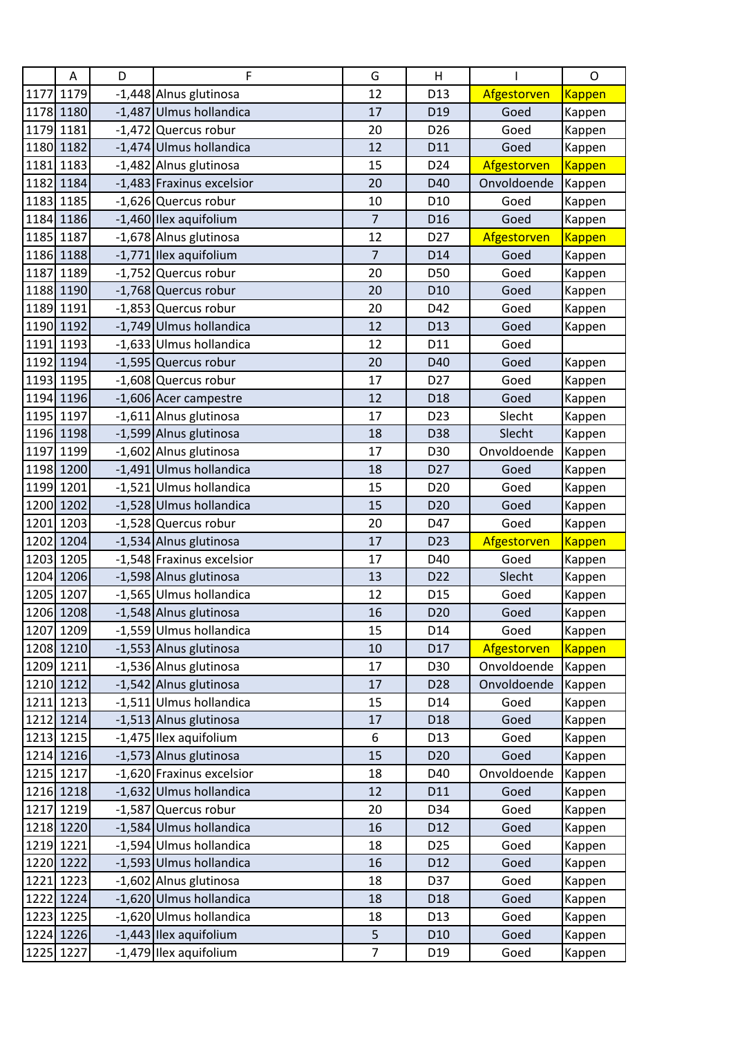| A         | D | F                         | G              | H               |             | O             |
|-----------|---|---------------------------|----------------|-----------------|-------------|---------------|
| 1177 1179 |   | -1,448 Alnus glutinosa    | 12             | D13             | Afgestorven | <b>Kappen</b> |
| 1178 1180 |   | -1,487 Ulmus hollandica   | 17             | D <sub>19</sub> | Goed        | Kappen        |
| 1179 1181 |   | -1,472 Quercus robur      | 20             | D <sub>26</sub> | Goed        | Kappen        |
| 1180 1182 |   | -1,474 Ulmus hollandica   | 12             | D11             | Goed        | Kappen        |
| 1181 1183 |   | -1,482 Alnus glutinosa    | 15             | D24             | Afgestorven | <b>Kappen</b> |
| 1182 1184 |   | -1,483 Fraxinus excelsior | 20             | D40             | Onvoldoende | Kappen        |
| 1183 1185 |   | -1,626 Quercus robur      | 10             | D <sub>10</sub> | Goed        | Kappen        |
| 1184 1186 |   | -1,460 Ilex aquifolium    | $\overline{7}$ | D <sub>16</sub> | Goed        | Kappen        |
| 1185 1187 |   | -1,678 Alnus glutinosa    | 12             | D <sub>27</sub> | Afgestorven | <b>Kappen</b> |
| 1186 1188 |   | -1,771 Ilex aquifolium    | $\overline{7}$ | D14             | Goed        | Kappen        |
| 1187 1189 |   | -1,752 Quercus robur      | 20             | D50             | Goed        | Kappen        |
| 1188 1190 |   | -1,768 Quercus robur      | 20             | D <sub>10</sub> | Goed        | Kappen        |
| 1189 1191 |   | -1,853 Quercus robur      | 20             | D42             | Goed        | Kappen        |
| 1190 1192 |   | -1,749 Ulmus hollandica   | 12             | D13             | Goed        | Kappen        |
| 1191 1193 |   | -1,633 Ulmus hollandica   | 12             | D11             | Goed        |               |
| 1192 1194 |   | -1,595 Quercus robur      | 20             | D40             | Goed        | Kappen        |
| 1193 1195 |   | -1,608 Quercus robur      | 17             | D <sub>27</sub> | Goed        | Kappen        |
| 1194 1196 |   | -1,606 Acer campestre     | 12             | D <sub>18</sub> | Goed        | Kappen        |
| 1195 1197 |   | -1,611 Alnus glutinosa    | 17             | D <sub>23</sub> | Slecht      | Kappen        |
| 1196 1198 |   | -1,599 Alnus glutinosa    | 18             | D38             | Slecht      | Kappen        |
| 1197 1199 |   | -1,602 Alnus glutinosa    | 17             | D30             | Onvoldoende | Kappen        |
| 1198 1200 |   | -1,491 Ulmus hollandica   | 18             | D <sub>27</sub> | Goed        | Kappen        |
| 1199 1201 |   | -1,521 Ulmus hollandica   | 15             | D <sub>20</sub> | Goed        | Kappen        |
| 1200 1202 |   | -1,528 Ulmus hollandica   | 15             | D <sub>20</sub> | Goed        | Kappen        |
| 1201 1203 |   | -1,528 Quercus robur      | 20             | D47             | Goed        | Kappen        |
| 1202 1204 |   | -1,534 Alnus glutinosa    | 17             | D <sub>23</sub> | Afgestorven | <b>Kappen</b> |
| 1203 1205 |   | -1,548 Fraxinus excelsior | 17             | D40             | Goed        | Kappen        |
| 1204 1206 |   | -1,598 Alnus glutinosa    | 13             | D <sub>22</sub> | Slecht      | Kappen        |
| 1205 1207 |   | -1,565 Ulmus hollandica   | 12             | D <sub>15</sub> | Goed        | Kappen        |
| 1206 1208 |   | -1,548 Alnus glutinosa    | 16             | D <sub>20</sub> | Goed        | Kappen        |
| 1207 1209 |   | -1,559 Ulmus hollandica   | 15             | D14             | Goed        | Kappen        |
| 1208 1210 |   | -1,553 Alnus glutinosa    | 10             | D17             | Afgestorven | <b>Kappen</b> |
| 1209 1211 |   | -1,536 Alnus glutinosa    | 17             | D30             | Onvoldoende | Kappen        |
| 1210 1212 |   | -1,542 Alnus glutinosa    | 17             | D28             | Onvoldoende | Kappen        |
| 1211 1213 |   | -1,511 Ulmus hollandica   | 15             | D14             | Goed        | Kappen        |
| 1212 1214 |   | -1,513 Alnus glutinosa    | 17             | D18             | Goed        | Kappen        |
| 1213 1215 |   | -1,475 Ilex aquifolium    | 6              | D13             | Goed        | Kappen        |
| 1214 1216 |   | -1,573 Alnus glutinosa    | 15             | D <sub>20</sub> | Goed        | Kappen        |
| 1215 1217 |   | -1,620 Fraxinus excelsior | 18             | D40             | Onvoldoende | Kappen        |
| 1216 1218 |   | -1,632 Ulmus hollandica   | 12             | D11             | Goed        | Kappen        |
| 1217 1219 |   | -1,587 Quercus robur      | 20             | D34             | Goed        | Kappen        |
| 1218 1220 |   | -1,584 Ulmus hollandica   | 16             | D12             | Goed        | Kappen        |
| 1219 1221 |   | -1,594 Ulmus hollandica   | 18             | D <sub>25</sub> | Goed        | Kappen        |
| 1220 1222 |   | -1,593 Ulmus hollandica   | 16             | D12             | Goed        | Kappen        |
| 1221 1223 |   | -1,602 Alnus glutinosa    | 18             | D37             | Goed        | Kappen        |
| 1222 1224 |   | -1,620 Ulmus hollandica   | 18             | D18             | Goed        | Kappen        |
| 1223 1225 |   | -1,620 Ulmus hollandica   | 18             | D <sub>13</sub> | Goed        | Kappen        |
| 1224 1226 |   | -1,443 Ilex aquifolium    | 5              | D <sub>10</sub> | Goed        | Kappen        |
| 1225 1227 |   | -1,479 Ilex aquifolium    | $\overline{7}$ | D <sub>19</sub> | Goed        | Kappen        |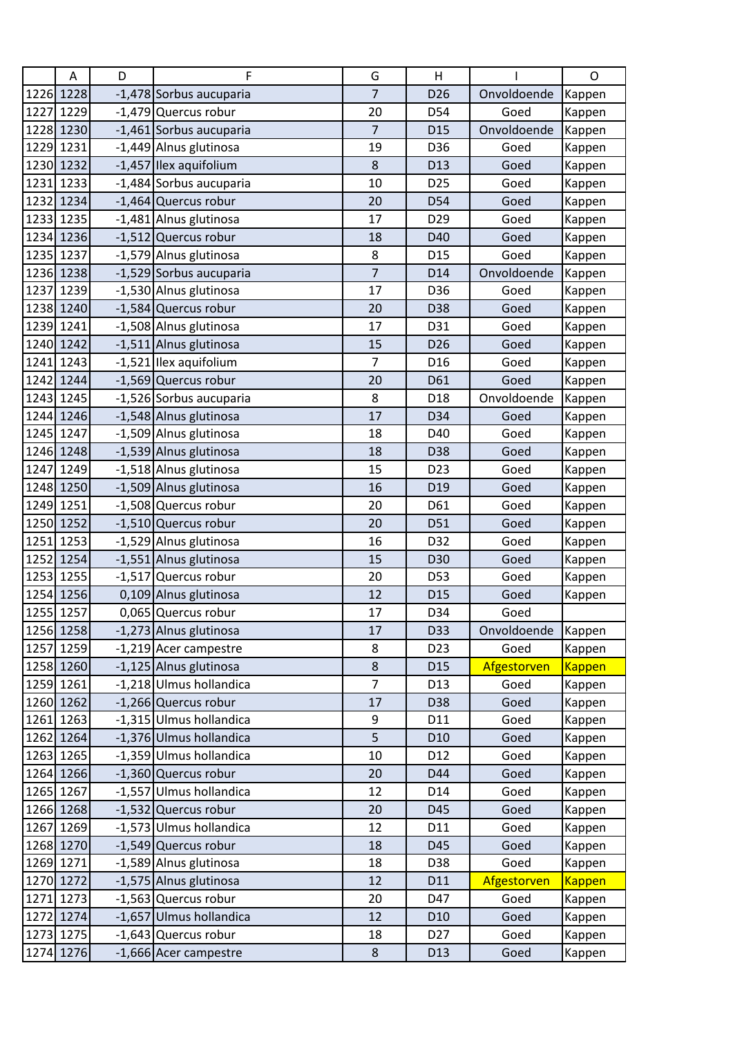|      | Α         | D | F                       | G              | H               |             | O             |
|------|-----------|---|-------------------------|----------------|-----------------|-------------|---------------|
|      | 1226 1228 |   | -1,478 Sorbus aucuparia | $\overline{7}$ | D <sub>26</sub> | Onvoldoende | Kappen        |
| 1227 | 1229      |   | -1,479 Quercus robur    | 20             | D54             | Goed        | Kappen        |
|      | 1228 1230 |   | -1,461 Sorbus aucuparia | $\overline{7}$ | D <sub>15</sub> | Onvoldoende | Kappen        |
|      | 1229 1231 |   | -1,449 Alnus glutinosa  | 19             | D36             | Goed        | Kappen        |
|      | 1230 1232 |   | -1,457 Ilex aquifolium  | 8              | D13             | Goed        | Kappen        |
|      | 1231 1233 |   | -1,484 Sorbus aucuparia | 10             | D <sub>25</sub> | Goed        | Kappen        |
| 1232 | 1234      |   | -1,464 Quercus robur    | 20             | D54             | Goed        | Kappen        |
|      | 1233 1235 |   | -1,481 Alnus glutinosa  | 17             | D29             | Goed        | Kappen        |
|      | 1234 1236 |   | -1,512 Quercus robur    | 18             | D40             | Goed        | Kappen        |
|      | 1235 1237 |   | -1,579 Alnus glutinosa  | 8              | D <sub>15</sub> | Goed        | Kappen        |
|      | 1236 1238 |   | -1,529 Sorbus aucuparia | $\overline{7}$ | D14             | Onvoldoende | Kappen        |
| 1237 | 1239      |   | -1,530 Alnus glutinosa  | 17             | D36             | Goed        | Kappen        |
|      | 1238 1240 |   | -1,584 Quercus robur    | 20             | D38             | Goed        | Kappen        |
| 1239 | 1241      |   | -1,508 Alnus glutinosa  | 17             | D31             | Goed        | Kappen        |
|      | 1240 1242 |   | -1,511 Alnus glutinosa  | 15             | D <sub>26</sub> | Goed        | Kappen        |
|      | 1241 1243 |   | -1,521 Ilex aquifolium  | $\overline{7}$ | D <sub>16</sub> | Goed        | Kappen        |
|      | 1242 1244 |   | -1,569 Quercus robur    | 20             | D61             | Goed        | Kappen        |
|      | 1243 1245 |   | -1,526 Sorbus aucuparia | 8              | D18             | Onvoldoende | Kappen        |
|      | 1244 1246 |   | -1,548 Alnus glutinosa  | 17             | D34             | Goed        | Kappen        |
|      | 1245 1247 |   | -1,509 Alnus glutinosa  | 18             | D40             | Goed        | Kappen        |
|      | 1246 1248 |   | -1,539 Alnus glutinosa  | 18             | D38             | Goed        | Kappen        |
|      | 1247 1249 |   | -1,518 Alnus glutinosa  | 15             | D <sub>23</sub> | Goed        | Kappen        |
|      | 1248 1250 |   | -1,509 Alnus glutinosa  | 16             | D <sub>19</sub> | Goed        | Kappen        |
|      | 1249 1251 |   | -1,508 Quercus robur    | 20             | D61             | Goed        | Kappen        |
|      | 1250 1252 |   | -1,510 Quercus robur    | 20             | D51             | Goed        | Kappen        |
| 1251 | 1253      |   | -1,529 Alnus glutinosa  | 16             | D32             | Goed        | Kappen        |
| 1252 | 1254      |   | -1,551 Alnus glutinosa  | 15             | D30             | Goed        | Kappen        |
| 1253 | 1255      |   | -1,517 Quercus robur    | 20             | D53             | Goed        | Kappen        |
|      | 1254 1256 |   | 0,109 Alnus glutinosa   | 12             | D <sub>15</sub> | Goed        | Kappen        |
|      | 1255 1257 |   | 0,065 Quercus robur     | 17             | D34             | Goed        |               |
|      | 1256 1258 |   | -1,273 Alnus glutinosa  | 17             | D33             | Onvoldoende | Kappen        |
|      | 1257 1259 |   | -1,219 Acer campestre   | 8              | D23             | Goed        | Kappen        |
|      | 1258 1260 |   | -1,125 Alnus glutinosa  | $\bf 8$        | D <sub>15</sub> | Afgestorven | <b>Kappen</b> |
|      | 1259 1261 |   | -1,218 Ulmus hollandica | $\overline{7}$ | D <sub>13</sub> | Goed        | Kappen        |
|      | 1260 1262 |   | -1,266 Quercus robur    | 17             | D38             | Goed        | Kappen        |
|      | 1261 1263 |   | -1,315 Ulmus hollandica | 9              | D11             | Goed        | Kappen        |
|      | 1262 1264 |   | -1,376 Ulmus hollandica | 5              | D <sub>10</sub> | Goed        | Kappen        |
|      | 1263 1265 |   | -1,359 Ulmus hollandica | 10             | D12             | Goed        | Kappen        |
|      | 1264 1266 |   | -1,360 Quercus robur    | 20             | D44             | Goed        | Kappen        |
|      | 1265 1267 |   | -1,557 Ulmus hollandica | 12             | D14             | Goed        | Kappen        |
|      | 1266 1268 |   | -1,532 Quercus robur    | 20             | D45             | Goed        | Kappen        |
|      | 1267 1269 |   | -1,573 Ulmus hollandica | 12             | D11             | Goed        | Kappen        |
|      | 1268 1270 |   | -1,549 Quercus robur    | 18             | D45             | Goed        | Kappen        |
|      | 1269 1271 |   | -1,589 Alnus glutinosa  | 18             | D38             | Goed        | Kappen        |
|      | 1270 1272 |   | -1,575 Alnus glutinosa  | 12             | D11             | Afgestorven | <b>Kappen</b> |
|      | 1271 1273 |   | -1,563 Quercus robur    | 20             | D47             | Goed        | Kappen        |
|      | 1272 1274 |   | -1,657 Ulmus hollandica | 12             | D <sub>10</sub> | Goed        | Kappen        |
|      | 1273 1275 |   | -1,643 Quercus robur    | 18             | D <sub>27</sub> | Goed        | Kappen        |
|      | 1274 1276 |   | -1,666 Acer campestre   | $\bf 8$        | D13             | Goed        | Kappen        |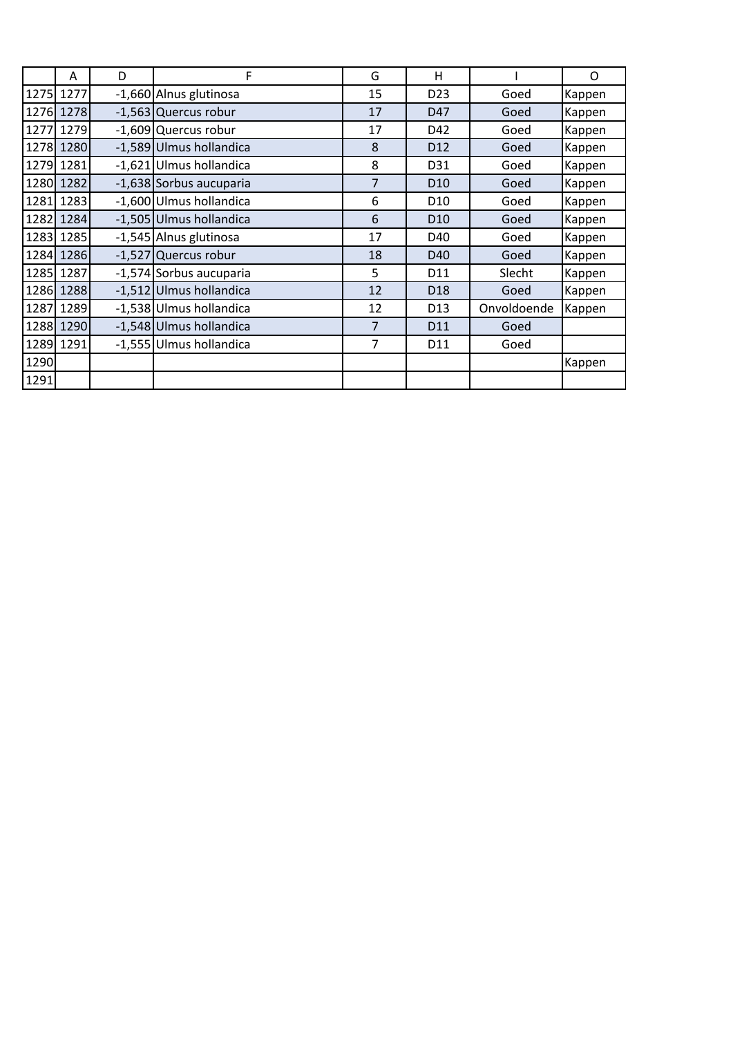|      | A         | D | F                       | G              | Н               |             | O      |
|------|-----------|---|-------------------------|----------------|-----------------|-------------|--------|
| 1275 | 1277      |   | -1,660 Alnus glutinosa  | 15             | D <sub>23</sub> | Goed        | Kappen |
|      | 1276 1278 |   | -1,563 Quercus robur    | 17             | D47             | Goed        | Kappen |
| 1277 | 1279      |   | -1,609 Quercus robur    | 17             | D42             | Goed        | Kappen |
| 1278 | 1280      |   | -1,589 Ulmus hollandica | 8              | D <sub>12</sub> | Goed        | Kappen |
|      | 1279 1281 |   | -1,621 Ulmus hollandica | 8              | D31             | Goed        | Kappen |
|      | 1280 1282 |   | -1,638 Sorbus aucuparia | $\overline{7}$ | D <sub>10</sub> | Goed        | Kappen |
|      | 1281 1283 |   | -1,600 Ulmus hollandica | 6              | D <sub>10</sub> | Goed        | Kappen |
|      | 1282 1284 |   | -1,505 Ulmus hollandica | 6              | D <sub>10</sub> | Goed        | Kappen |
|      | 1283 1285 |   | -1,545 Alnus glutinosa  | 17             | D40             | Goed        | Kappen |
|      | 1284 1286 |   | -1,527 Quercus robur    | 18             | D <sub>40</sub> | Goed        | Kappen |
|      | 1285 1287 |   | -1,574 Sorbus aucuparia | 5              | D11             | Slecht      | Kappen |
|      | 1286 1288 |   | -1,512 Ulmus hollandica | 12             | D <sub>18</sub> | Goed        | Kappen |
| 1287 | 1289      |   | -1,538 Ulmus hollandica | 12             | D <sub>13</sub> | Onvoldoende | Kappen |
|      | 1288 1290 |   | -1,548 Ulmus hollandica | 7              | D11             | Goed        |        |
|      | 1289 1291 |   | -1,555 Ulmus hollandica | $\overline{7}$ | D11             | Goed        |        |
| 1290 |           |   |                         |                |                 |             | Kappen |
| 1291 |           |   |                         |                |                 |             |        |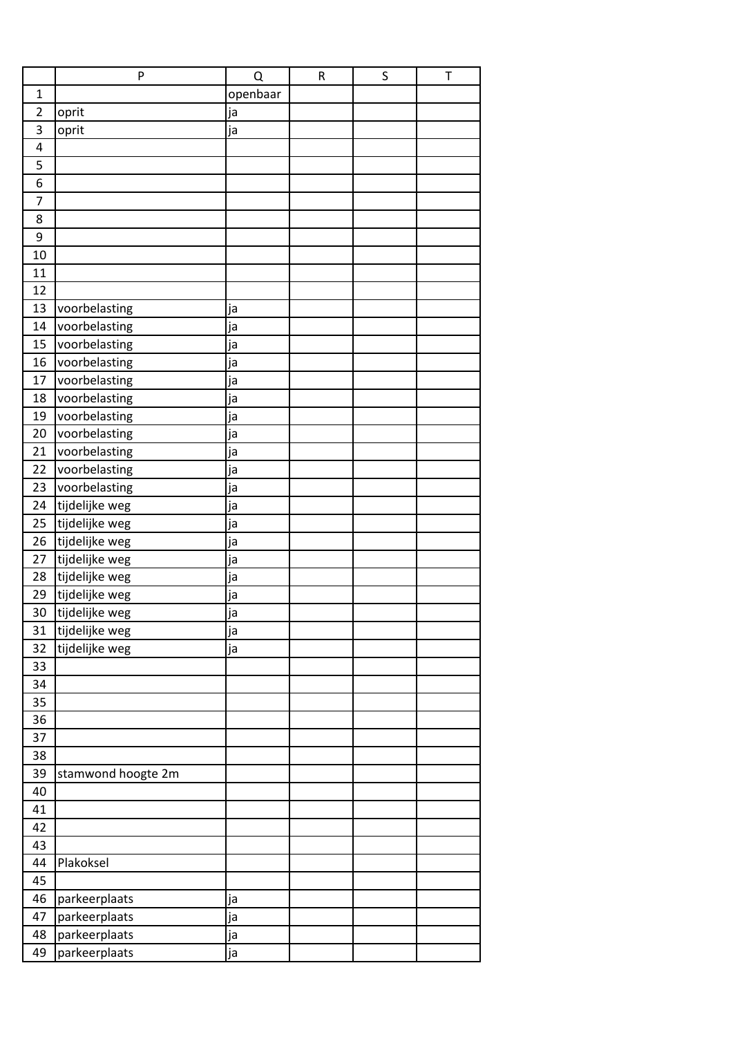|                | P                  | Q        | $\mathsf R$ | S | $\top$ |
|----------------|--------------------|----------|-------------|---|--------|
| $\mathbf{1}$   |                    | openbaar |             |   |        |
| $\overline{2}$ | oprit              | ja       |             |   |        |
| 3              | oprit              | ja       |             |   |        |
| 4              |                    |          |             |   |        |
| 5              |                    |          |             |   |        |
| 6              |                    |          |             |   |        |
| $\overline{7}$ |                    |          |             |   |        |
| 8              |                    |          |             |   |        |
| 9              |                    |          |             |   |        |
| 10             |                    |          |             |   |        |
| 11             |                    |          |             |   |        |
| 12             |                    |          |             |   |        |
| 13             | voorbelasting      | ja       |             |   |        |
| 14             | voorbelasting      | ja       |             |   |        |
| 15             | voorbelasting      | ja       |             |   |        |
| 16             | voorbelasting      | ja       |             |   |        |
| 17             | voorbelasting      | ja       |             |   |        |
| 18             | voorbelasting      | ja       |             |   |        |
| 19             | voorbelasting      | ja       |             |   |        |
| 20             | voorbelasting      | ja       |             |   |        |
| 21             | voorbelasting      | ja       |             |   |        |
| 22             | voorbelasting      | ja       |             |   |        |
| 23             | voorbelasting      | ja       |             |   |        |
| 24             | tijdelijke weg     | ja       |             |   |        |
| 25             | tijdelijke weg     | ja       |             |   |        |
| 26             | tijdelijke weg     | ja       |             |   |        |
| 27             | tijdelijke weg     | ja       |             |   |        |
| 28             | tijdelijke weg     | ja       |             |   |        |
| 29             | tijdelijke weg     | ja       |             |   |        |
| 30             | tijdelijke weg     | ja       |             |   |        |
| 31             | tijdelijke weg     | ja       |             |   |        |
| 32             | tijdelijke weg     | ja       |             |   |        |
| 33             |                    |          |             |   |        |
| 34             |                    |          |             |   |        |
| 35             |                    |          |             |   |        |
| 36             |                    |          |             |   |        |
| 37             |                    |          |             |   |        |
| 38             |                    |          |             |   |        |
| 39             | stamwond hoogte 2m |          |             |   |        |
| 40             |                    |          |             |   |        |
| 41             |                    |          |             |   |        |
| 42             |                    |          |             |   |        |
| 43             |                    |          |             |   |        |
| 44             | Plakoksel          |          |             |   |        |
| 45             |                    |          |             |   |        |
| 46             | parkeerplaats      | ja       |             |   |        |
| 47             | parkeerplaats      | ja       |             |   |        |
| 48             | parkeerplaats      | ja       |             |   |        |
| 49             | parkeerplaats      | ја       |             |   |        |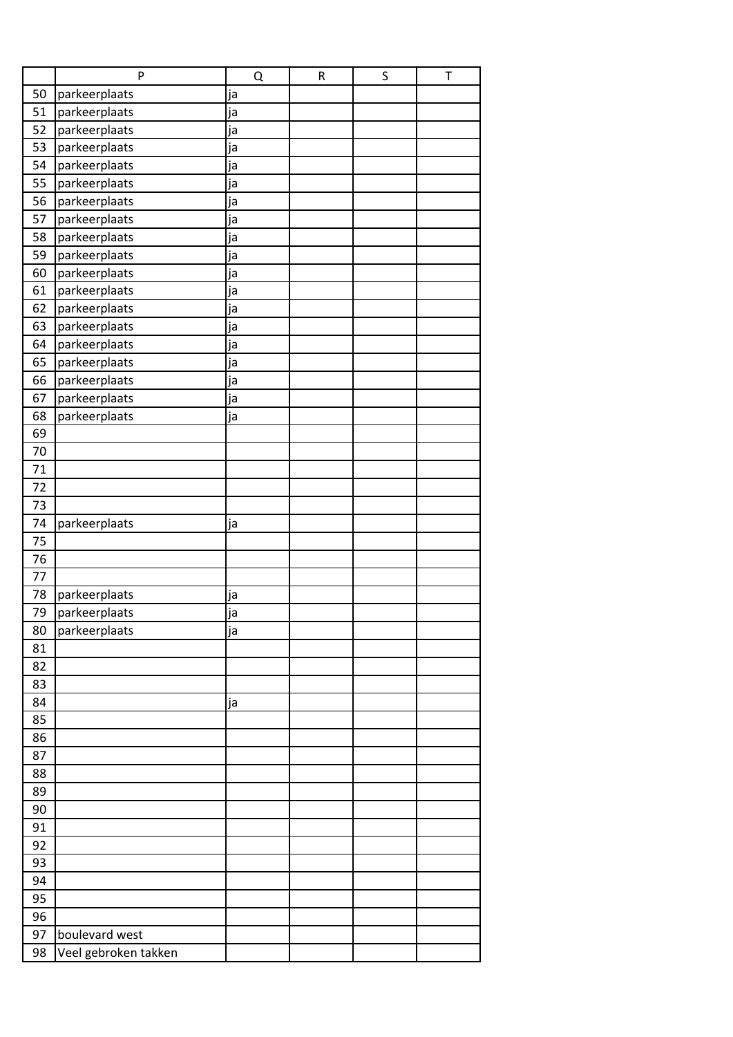|    | P                    | Q  | ${\sf R}$ | S | T |
|----|----------------------|----|-----------|---|---|
| 50 | parkeerplaats        | ja |           |   |   |
| 51 | parkeerplaats        | ja |           |   |   |
| 52 | parkeerplaats        | ja |           |   |   |
| 53 | parkeerplaats        | ja |           |   |   |
| 54 | parkeerplaats        | ja |           |   |   |
| 55 | parkeerplaats        | ja |           |   |   |
| 56 | parkeerplaats        | ja |           |   |   |
| 57 | parkeerplaats        | ja |           |   |   |
| 58 | parkeerplaats        | ja |           |   |   |
| 59 | parkeerplaats        | ja |           |   |   |
| 60 | parkeerplaats        | ja |           |   |   |
| 61 | parkeerplaats        | ja |           |   |   |
| 62 | parkeerplaats        | ja |           |   |   |
| 63 | parkeerplaats        | ja |           |   |   |
| 64 | parkeerplaats        | ja |           |   |   |
| 65 | parkeerplaats        | ja |           |   |   |
| 66 | parkeerplaats        | ja |           |   |   |
| 67 | parkeerplaats        | ja |           |   |   |
| 68 | parkeerplaats        | ja |           |   |   |
| 69 |                      |    |           |   |   |
| 70 |                      |    |           |   |   |
| 71 |                      |    |           |   |   |
| 72 |                      |    |           |   |   |
| 73 |                      |    |           |   |   |
| 74 | parkeerplaats        | ja |           |   |   |
| 75 |                      |    |           |   |   |
| 76 |                      |    |           |   |   |
| 77 |                      |    |           |   |   |
| 78 | parkeerplaats        | ја |           |   |   |
| 79 | parkeerplaats        | ja |           |   |   |
| 80 | parkeerplaats        | ja |           |   |   |
| 81 |                      |    |           |   |   |
| 82 |                      |    |           |   |   |
| 83 |                      |    |           |   |   |
| 84 |                      | ja |           |   |   |
| 85 |                      |    |           |   |   |
| 86 |                      |    |           |   |   |
| 87 |                      |    |           |   |   |
| 88 |                      |    |           |   |   |
| 89 |                      |    |           |   |   |
| 90 |                      |    |           |   |   |
| 91 |                      |    |           |   |   |
| 92 |                      |    |           |   |   |
| 93 |                      |    |           |   |   |
| 94 |                      |    |           |   |   |
| 95 |                      |    |           |   |   |
| 96 |                      |    |           |   |   |
| 97 | boulevard west       |    |           |   |   |
| 98 | Veel gebroken takken |    |           |   |   |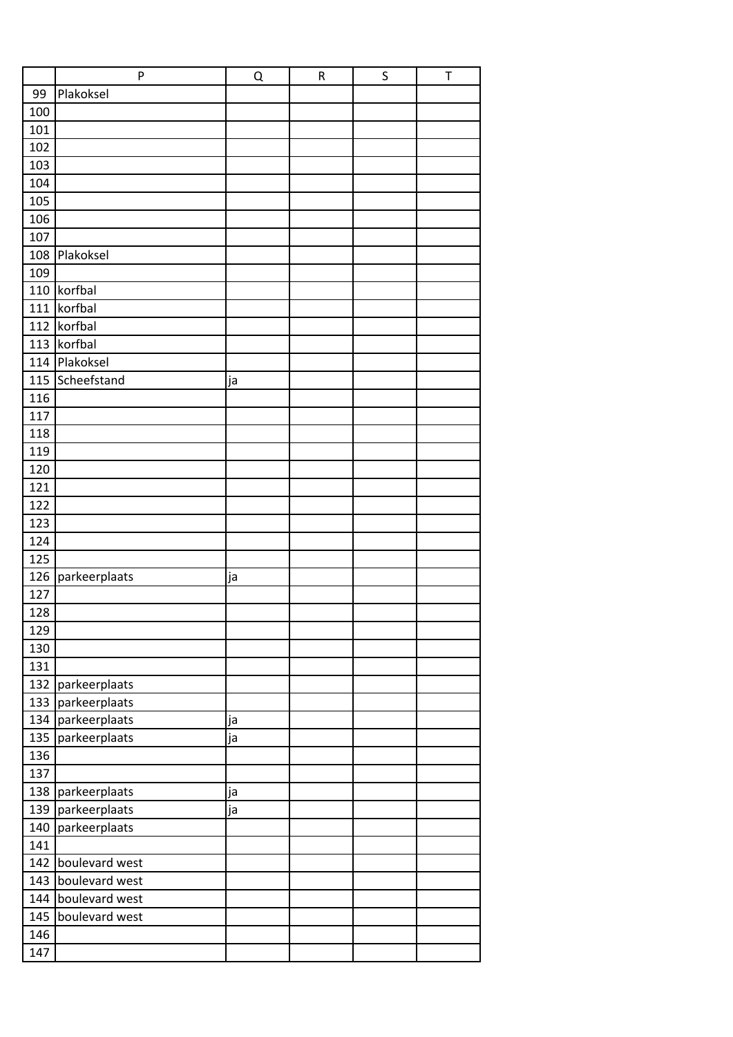|     | P                 | Q  | $\mathsf R$ | $\sf S$ | T |
|-----|-------------------|----|-------------|---------|---|
| 99  | Plakoksel         |    |             |         |   |
| 100 |                   |    |             |         |   |
| 101 |                   |    |             |         |   |
| 102 |                   |    |             |         |   |
| 103 |                   |    |             |         |   |
| 104 |                   |    |             |         |   |
| 105 |                   |    |             |         |   |
| 106 |                   |    |             |         |   |
| 107 |                   |    |             |         |   |
| 108 | Plakoksel         |    |             |         |   |
| 109 |                   |    |             |         |   |
| 110 | korfbal           |    |             |         |   |
| 111 | korfbal           |    |             |         |   |
| 112 | korfbal           |    |             |         |   |
| 113 | korfbal           |    |             |         |   |
|     | 114 Plakoksel     |    |             |         |   |
| 115 | Scheefstand       | ja |             |         |   |
| 116 |                   |    |             |         |   |
| 117 |                   |    |             |         |   |
| 118 |                   |    |             |         |   |
| 119 |                   |    |             |         |   |
| 120 |                   |    |             |         |   |
| 121 |                   |    |             |         |   |
| 122 |                   |    |             |         |   |
| 123 |                   |    |             |         |   |
| 124 |                   |    |             |         |   |
| 125 |                   |    |             |         |   |
| 126 |                   |    |             |         |   |
| 127 | parkeerplaats     | ja |             |         |   |
| 128 |                   |    |             |         |   |
| 129 |                   |    |             |         |   |
| 130 |                   |    |             |         |   |
| 131 |                   |    |             |         |   |
|     |                   |    |             |         |   |
| 132 | parkeerplaats     |    |             |         |   |
| 133 | parkeerplaats     |    |             |         |   |
|     | 134 parkeerplaats | ja |             |         |   |
| 135 | parkeerplaats     | ja |             |         |   |
| 136 |                   |    |             |         |   |
| 137 |                   |    |             |         |   |
| 138 | parkeerplaats     | ja |             |         |   |
| 139 | parkeerplaats     | ja |             |         |   |
| 140 | parkeerplaats     |    |             |         |   |
| 141 |                   |    |             |         |   |
| 142 | boulevard west    |    |             |         |   |
| 143 | boulevard west    |    |             |         |   |
| 144 | boulevard west    |    |             |         |   |
| 145 | boulevard west    |    |             |         |   |
| 146 |                   |    |             |         |   |
| 147 |                   |    |             |         |   |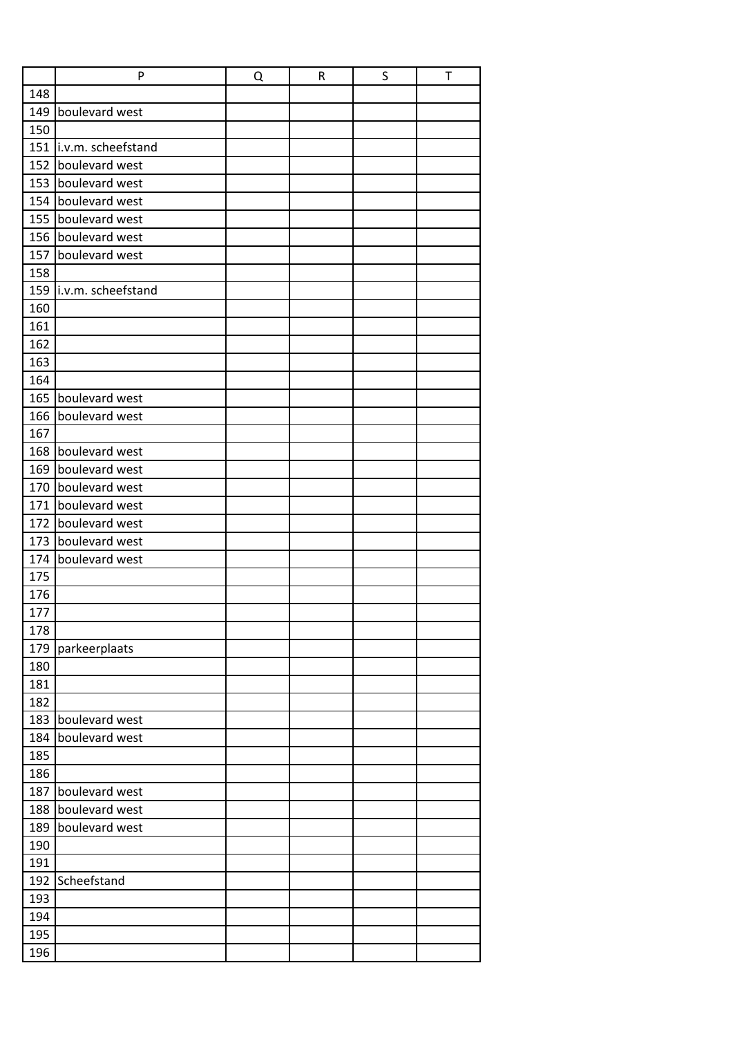|     | P                        | Q | ${\sf R}$ | S | T |
|-----|--------------------------|---|-----------|---|---|
| 148 |                          |   |           |   |   |
| 149 | boulevard west           |   |           |   |   |
| 150 |                          |   |           |   |   |
|     | 151   i.v.m. scheefstand |   |           |   |   |
| 152 | boulevard west           |   |           |   |   |
| 153 | boulevard west           |   |           |   |   |
| 154 | boulevard west           |   |           |   |   |
| 155 | boulevard west           |   |           |   |   |
| 156 | boulevard west           |   |           |   |   |
| 157 | boulevard west           |   |           |   |   |
| 158 |                          |   |           |   |   |
| 159 | i.v.m. scheefstand       |   |           |   |   |
| 160 |                          |   |           |   |   |
| 161 |                          |   |           |   |   |
| 162 |                          |   |           |   |   |
| 163 |                          |   |           |   |   |
| 164 |                          |   |           |   |   |
|     | 165 boulevard west       |   |           |   |   |
| 166 | boulevard west           |   |           |   |   |
| 167 |                          |   |           |   |   |
| 168 | boulevard west           |   |           |   |   |
| 169 | boulevard west           |   |           |   |   |
| 170 | boulevard west           |   |           |   |   |
| 171 | boulevard west           |   |           |   |   |
| 172 | boulevard west           |   |           |   |   |
| 173 | boulevard west           |   |           |   |   |
| 174 | boulevard west           |   |           |   |   |
| 175 |                          |   |           |   |   |
| 176 |                          |   |           |   |   |
| 177 |                          |   |           |   |   |
| 178 |                          |   |           |   |   |
| 179 | parkeerplaats            |   |           |   |   |
| 180 |                          |   |           |   |   |
| 181 |                          |   |           |   |   |
| 182 |                          |   |           |   |   |
|     | 183 boulevard west       |   |           |   |   |
| 184 | boulevard west           |   |           |   |   |
| 185 |                          |   |           |   |   |
| 186 |                          |   |           |   |   |
| 187 | boulevard west           |   |           |   |   |
| 188 | boulevard west           |   |           |   |   |
| 189 | boulevard west           |   |           |   |   |
| 190 |                          |   |           |   |   |
| 191 |                          |   |           |   |   |
| 192 | Scheefstand              |   |           |   |   |
| 193 |                          |   |           |   |   |
| 194 |                          |   |           |   |   |
| 195 |                          |   |           |   |   |
| 196 |                          |   |           |   |   |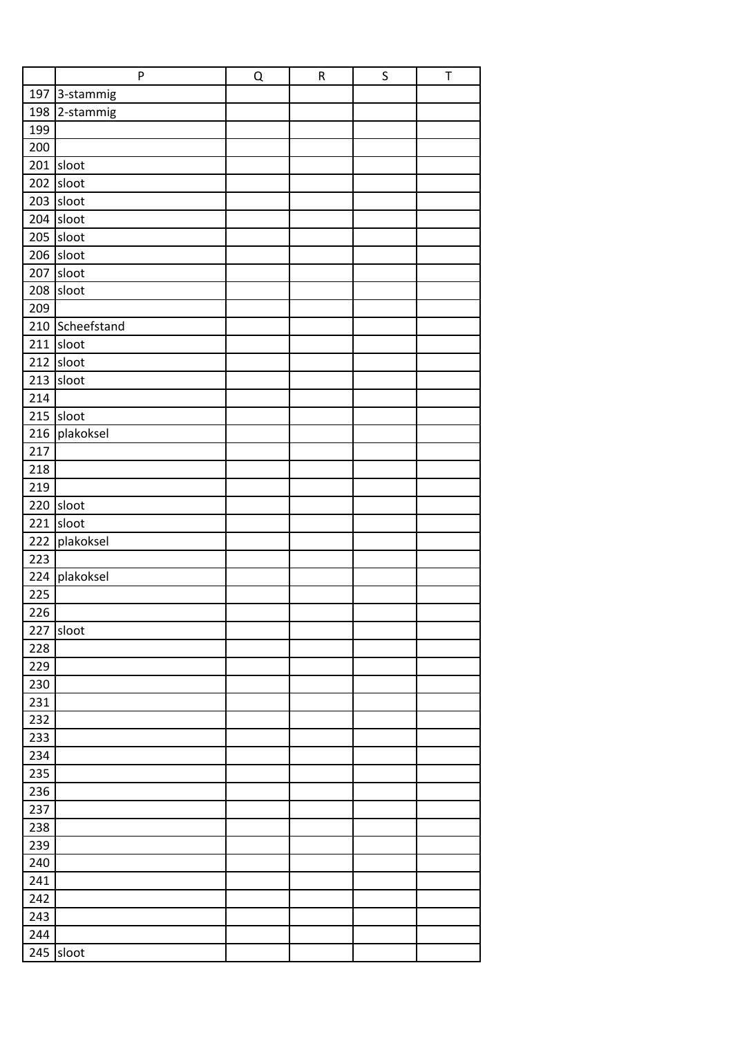|     | P               | Q | ${\sf R}$ | $\sf S$ | $\top$ |
|-----|-----------------|---|-----------|---------|--------|
|     | 197 3-stammig   |   |           |         |        |
| 198 | 2-stammig       |   |           |         |        |
| 199 |                 |   |           |         |        |
| 200 |                 |   |           |         |        |
|     | 201 sloot       |   |           |         |        |
| 202 | sloot           |   |           |         |        |
|     | $203$ sloot     |   |           |         |        |
| 204 | sloot           |   |           |         |        |
|     | 205 sloot       |   |           |         |        |
|     | $206$ sloot     |   |           |         |        |
| 207 | sloot           |   |           |         |        |
|     | 208 sloot       |   |           |         |        |
| 209 |                 |   |           |         |        |
|     | 210 Scheefstand |   |           |         |        |
| 211 | sloot           |   |           |         |        |
| 212 | sloot           |   |           |         |        |
| 213 | sloot           |   |           |         |        |
| 214 |                 |   |           |         |        |
|     | 215 sloot       |   |           |         |        |
| 216 | plakoksel       |   |           |         |        |
| 217 |                 |   |           |         |        |
| 218 |                 |   |           |         |        |
| 219 |                 |   |           |         |        |
|     | 220 sloot       |   |           |         |        |
| 221 | sloot           |   |           |         |        |
| 222 | plakoksel       |   |           |         |        |
| 223 |                 |   |           |         |        |
| 224 | plakoksel       |   |           |         |        |
| 225 |                 |   |           |         |        |
| 226 |                 |   |           |         |        |
|     | 227 sloot       |   |           |         |        |
| 228 |                 |   |           |         |        |
| 229 |                 |   |           |         |        |
| 230 |                 |   |           |         |        |
| 231 |                 |   |           |         |        |
| 232 |                 |   |           |         |        |
| 233 |                 |   |           |         |        |
| 234 |                 |   |           |         |        |
| 235 |                 |   |           |         |        |
| 236 |                 |   |           |         |        |
| 237 |                 |   |           |         |        |
| 238 |                 |   |           |         |        |
| 239 |                 |   |           |         |        |
| 240 |                 |   |           |         |        |
| 241 |                 |   |           |         |        |
| 242 |                 |   |           |         |        |
| 243 |                 |   |           |         |        |
| 244 |                 |   |           |         |        |
| 245 | sloot           |   |           |         |        |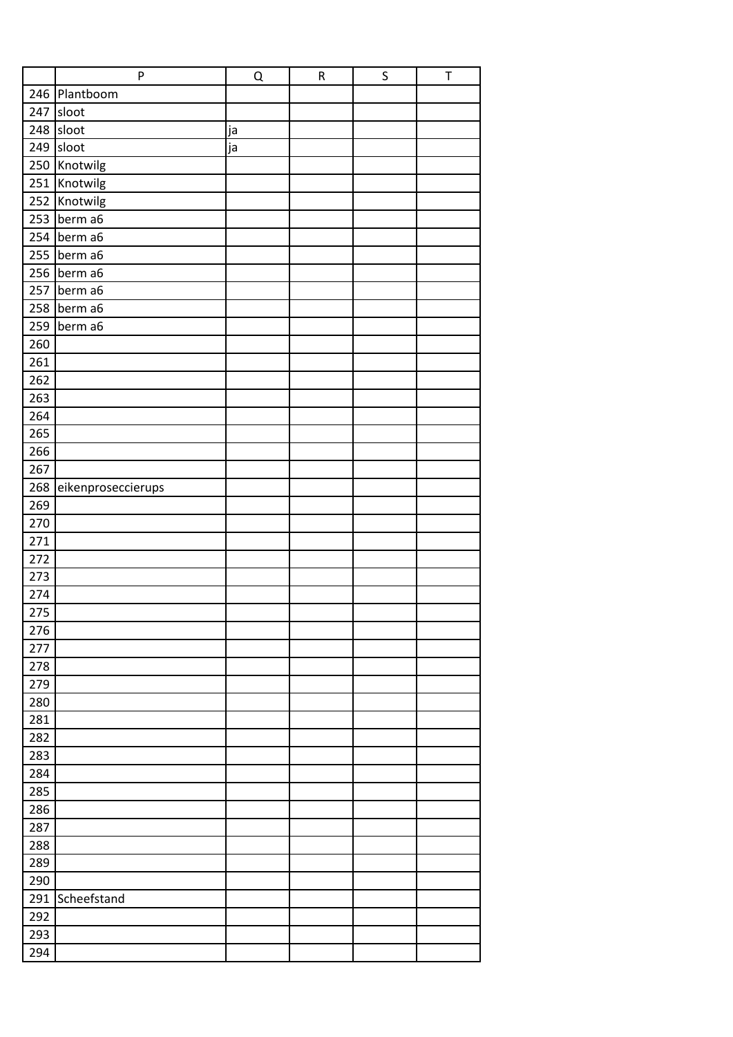|            | $\mathsf{P}$       | Q  | ${\sf R}$ | $\sf S$ | T |
|------------|--------------------|----|-----------|---------|---|
|            | 246 Plantboom      |    |           |         |   |
| 247        | sloot              |    |           |         |   |
| 248        | sloot              | ja |           |         |   |
| 249        | sloot              | ja |           |         |   |
|            | 250 Knotwilg       |    |           |         |   |
| 251        | Knotwilg           |    |           |         |   |
| 252        | Knotwilg           |    |           |         |   |
| 253        | berm a6            |    |           |         |   |
| 254        | berm a6            |    |           |         |   |
| 255        | berm a6            |    |           |         |   |
| 256        | berm a6            |    |           |         |   |
| 257        | berm a6            |    |           |         |   |
| 258        | berm a6            |    |           |         |   |
| 259        | berm a6            |    |           |         |   |
| 260        |                    |    |           |         |   |
| 261        |                    |    |           |         |   |
| 262        |                    |    |           |         |   |
| 263        |                    |    |           |         |   |
| 264        |                    |    |           |         |   |
| 265        |                    |    |           |         |   |
| 266        |                    |    |           |         |   |
| 267        |                    |    |           |         |   |
| 268        | eikenproseccierups |    |           |         |   |
| 269        |                    |    |           |         |   |
| 270        |                    |    |           |         |   |
| 271        |                    |    |           |         |   |
| 272        |                    |    |           |         |   |
| 273        |                    |    |           |         |   |
| 274        |                    |    |           |         |   |
| 275        |                    |    |           |         |   |
| 276        |                    |    |           |         |   |
| 277        |                    |    |           |         |   |
| 278        |                    |    |           |         |   |
| 279        |                    |    |           |         |   |
| 280        |                    |    |           |         |   |
| 281<br>282 |                    |    |           |         |   |
| 283        |                    |    |           |         |   |
| 284        |                    |    |           |         |   |
| 285        |                    |    |           |         |   |
| 286        |                    |    |           |         |   |
| 287        |                    |    |           |         |   |
| 288        |                    |    |           |         |   |
| 289        |                    |    |           |         |   |
| 290        |                    |    |           |         |   |
| 291        | Scheefstand        |    |           |         |   |
| 292        |                    |    |           |         |   |
| 293        |                    |    |           |         |   |
| 294        |                    |    |           |         |   |
|            |                    |    |           |         |   |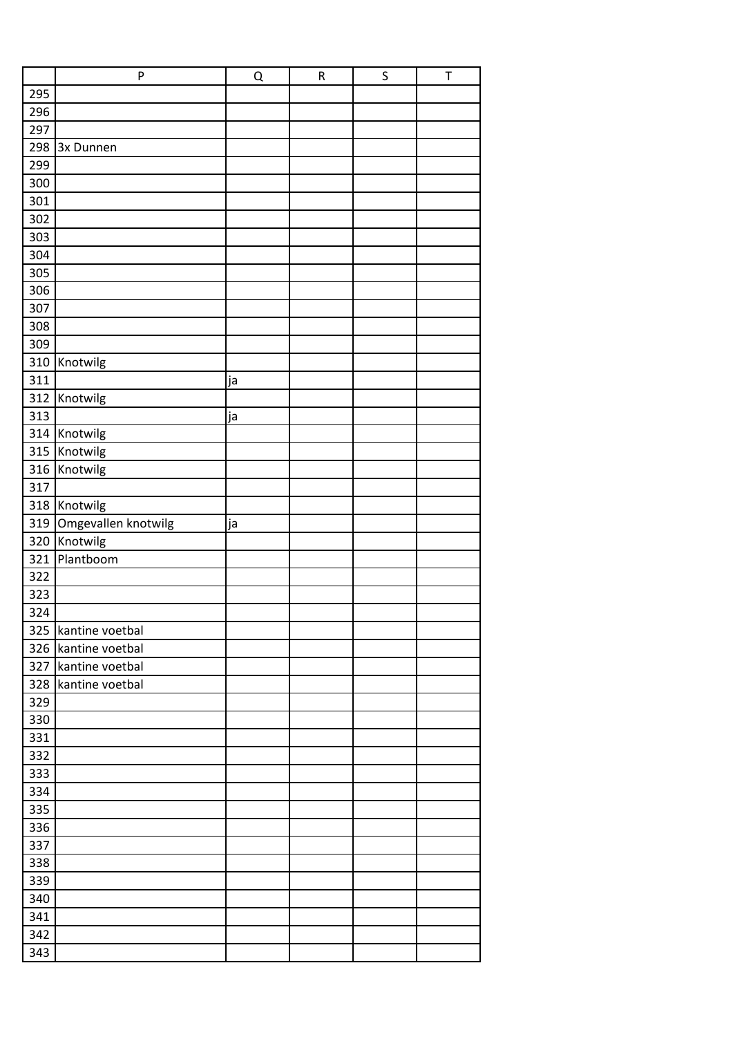| 295<br>296<br>297<br>298<br>3x Dunnen<br>299<br>300<br>301<br>302<br>303<br>304<br>305<br>306<br>307<br>308<br>309<br>310<br>Knotwilg<br>311<br>ja<br>312<br>Knotwilg<br>313<br>ja<br>314<br>Knotwilg<br>315<br>Knotwilg<br>316<br>Knotwilg<br>317<br>Knotwilg<br>318<br>Omgevallen knotwilg<br>319<br>ja<br>Knotwilg<br>320<br>321<br>Plantboom<br>322<br>323<br>324<br>325 kantine voetbal<br>326<br>kantine voetbal<br>327<br>kantine voetbal<br>328<br>kantine voetbal<br>329<br>330<br>331<br>332<br>333<br>334<br>335<br>336<br>337<br>338<br>339<br>340<br>341<br>342<br>343 | $\mathsf{P}$ | Q | ${\sf R}$ | S | T |
|-------------------------------------------------------------------------------------------------------------------------------------------------------------------------------------------------------------------------------------------------------------------------------------------------------------------------------------------------------------------------------------------------------------------------------------------------------------------------------------------------------------------------------------------------------------------------------------|--------------|---|-----------|---|---|
|                                                                                                                                                                                                                                                                                                                                                                                                                                                                                                                                                                                     |              |   |           |   |   |
|                                                                                                                                                                                                                                                                                                                                                                                                                                                                                                                                                                                     |              |   |           |   |   |
|                                                                                                                                                                                                                                                                                                                                                                                                                                                                                                                                                                                     |              |   |           |   |   |
|                                                                                                                                                                                                                                                                                                                                                                                                                                                                                                                                                                                     |              |   |           |   |   |
|                                                                                                                                                                                                                                                                                                                                                                                                                                                                                                                                                                                     |              |   |           |   |   |
|                                                                                                                                                                                                                                                                                                                                                                                                                                                                                                                                                                                     |              |   |           |   |   |
|                                                                                                                                                                                                                                                                                                                                                                                                                                                                                                                                                                                     |              |   |           |   |   |
|                                                                                                                                                                                                                                                                                                                                                                                                                                                                                                                                                                                     |              |   |           |   |   |
|                                                                                                                                                                                                                                                                                                                                                                                                                                                                                                                                                                                     |              |   |           |   |   |
|                                                                                                                                                                                                                                                                                                                                                                                                                                                                                                                                                                                     |              |   |           |   |   |
|                                                                                                                                                                                                                                                                                                                                                                                                                                                                                                                                                                                     |              |   |           |   |   |
|                                                                                                                                                                                                                                                                                                                                                                                                                                                                                                                                                                                     |              |   |           |   |   |
|                                                                                                                                                                                                                                                                                                                                                                                                                                                                                                                                                                                     |              |   |           |   |   |
|                                                                                                                                                                                                                                                                                                                                                                                                                                                                                                                                                                                     |              |   |           |   |   |
|                                                                                                                                                                                                                                                                                                                                                                                                                                                                                                                                                                                     |              |   |           |   |   |
|                                                                                                                                                                                                                                                                                                                                                                                                                                                                                                                                                                                     |              |   |           |   |   |
|                                                                                                                                                                                                                                                                                                                                                                                                                                                                                                                                                                                     |              |   |           |   |   |
|                                                                                                                                                                                                                                                                                                                                                                                                                                                                                                                                                                                     |              |   |           |   |   |
|                                                                                                                                                                                                                                                                                                                                                                                                                                                                                                                                                                                     |              |   |           |   |   |
|                                                                                                                                                                                                                                                                                                                                                                                                                                                                                                                                                                                     |              |   |           |   |   |
|                                                                                                                                                                                                                                                                                                                                                                                                                                                                                                                                                                                     |              |   |           |   |   |
|                                                                                                                                                                                                                                                                                                                                                                                                                                                                                                                                                                                     |              |   |           |   |   |
|                                                                                                                                                                                                                                                                                                                                                                                                                                                                                                                                                                                     |              |   |           |   |   |
|                                                                                                                                                                                                                                                                                                                                                                                                                                                                                                                                                                                     |              |   |           |   |   |
|                                                                                                                                                                                                                                                                                                                                                                                                                                                                                                                                                                                     |              |   |           |   |   |
|                                                                                                                                                                                                                                                                                                                                                                                                                                                                                                                                                                                     |              |   |           |   |   |
|                                                                                                                                                                                                                                                                                                                                                                                                                                                                                                                                                                                     |              |   |           |   |   |
|                                                                                                                                                                                                                                                                                                                                                                                                                                                                                                                                                                                     |              |   |           |   |   |
|                                                                                                                                                                                                                                                                                                                                                                                                                                                                                                                                                                                     |              |   |           |   |   |
|                                                                                                                                                                                                                                                                                                                                                                                                                                                                                                                                                                                     |              |   |           |   |   |
|                                                                                                                                                                                                                                                                                                                                                                                                                                                                                                                                                                                     |              |   |           |   |   |
|                                                                                                                                                                                                                                                                                                                                                                                                                                                                                                                                                                                     |              |   |           |   |   |
|                                                                                                                                                                                                                                                                                                                                                                                                                                                                                                                                                                                     |              |   |           |   |   |
|                                                                                                                                                                                                                                                                                                                                                                                                                                                                                                                                                                                     |              |   |           |   |   |
|                                                                                                                                                                                                                                                                                                                                                                                                                                                                                                                                                                                     |              |   |           |   |   |
|                                                                                                                                                                                                                                                                                                                                                                                                                                                                                                                                                                                     |              |   |           |   |   |
|                                                                                                                                                                                                                                                                                                                                                                                                                                                                                                                                                                                     |              |   |           |   |   |
|                                                                                                                                                                                                                                                                                                                                                                                                                                                                                                                                                                                     |              |   |           |   |   |
|                                                                                                                                                                                                                                                                                                                                                                                                                                                                                                                                                                                     |              |   |           |   |   |
|                                                                                                                                                                                                                                                                                                                                                                                                                                                                                                                                                                                     |              |   |           |   |   |
|                                                                                                                                                                                                                                                                                                                                                                                                                                                                                                                                                                                     |              |   |           |   |   |
|                                                                                                                                                                                                                                                                                                                                                                                                                                                                                                                                                                                     |              |   |           |   |   |
|                                                                                                                                                                                                                                                                                                                                                                                                                                                                                                                                                                                     |              |   |           |   |   |
|                                                                                                                                                                                                                                                                                                                                                                                                                                                                                                                                                                                     |              |   |           |   |   |
|                                                                                                                                                                                                                                                                                                                                                                                                                                                                                                                                                                                     |              |   |           |   |   |
|                                                                                                                                                                                                                                                                                                                                                                                                                                                                                                                                                                                     |              |   |           |   |   |
|                                                                                                                                                                                                                                                                                                                                                                                                                                                                                                                                                                                     |              |   |           |   |   |
|                                                                                                                                                                                                                                                                                                                                                                                                                                                                                                                                                                                     |              |   |           |   |   |
|                                                                                                                                                                                                                                                                                                                                                                                                                                                                                                                                                                                     |              |   |           |   |   |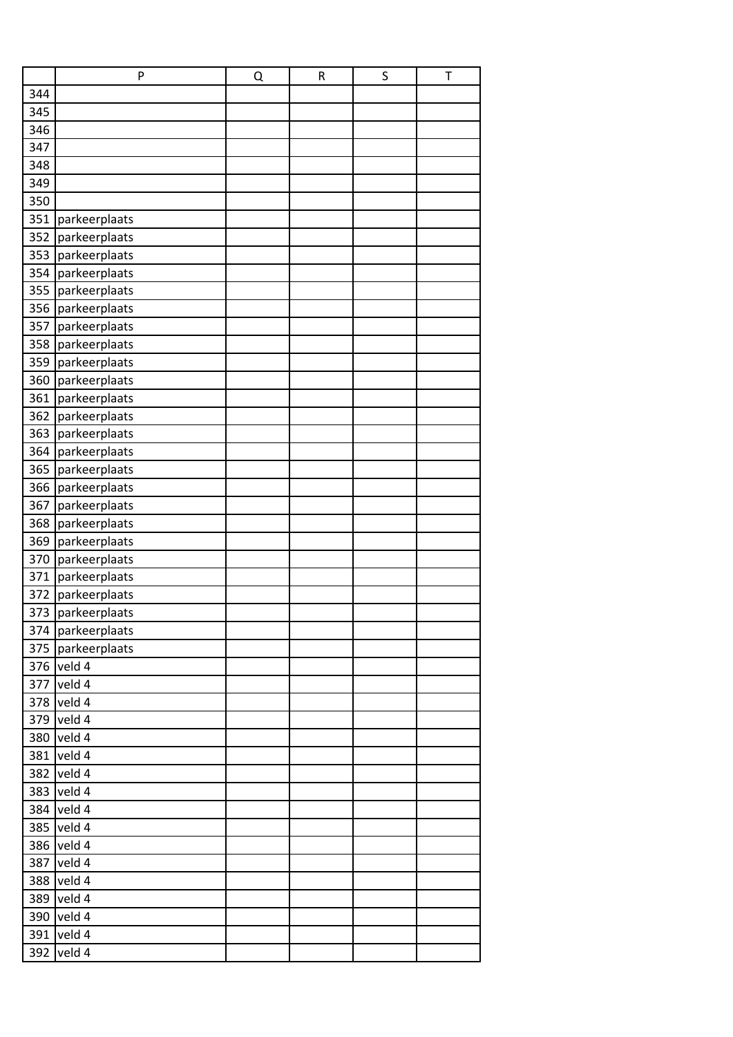|     | P                 | Q | ${\sf R}$ | S | Τ |
|-----|-------------------|---|-----------|---|---|
| 344 |                   |   |           |   |   |
| 345 |                   |   |           |   |   |
| 346 |                   |   |           |   |   |
| 347 |                   |   |           |   |   |
| 348 |                   |   |           |   |   |
| 349 |                   |   |           |   |   |
| 350 |                   |   |           |   |   |
| 351 | parkeerplaats     |   |           |   |   |
| 352 | parkeerplaats     |   |           |   |   |
| 353 | parkeerplaats     |   |           |   |   |
| 354 | parkeerplaats     |   |           |   |   |
| 355 | parkeerplaats     |   |           |   |   |
| 356 | parkeerplaats     |   |           |   |   |
| 357 | parkeerplaats     |   |           |   |   |
| 358 | parkeerplaats     |   |           |   |   |
| 359 | parkeerplaats     |   |           |   |   |
| 360 | parkeerplaats     |   |           |   |   |
| 361 | parkeerplaats     |   |           |   |   |
| 362 | parkeerplaats     |   |           |   |   |
| 363 | parkeerplaats     |   |           |   |   |
| 364 | parkeerplaats     |   |           |   |   |
| 365 | parkeerplaats     |   |           |   |   |
| 366 | parkeerplaats     |   |           |   |   |
| 367 | parkeerplaats     |   |           |   |   |
| 368 | parkeerplaats     |   |           |   |   |
| 369 | parkeerplaats     |   |           |   |   |
| 370 | parkeerplaats     |   |           |   |   |
| 371 | parkeerplaats     |   |           |   |   |
| 372 | parkeerplaats     |   |           |   |   |
|     | 373 parkeerplaats |   |           |   |   |
|     | 374 parkeerplaats |   |           |   |   |
| 375 | parkeerplaats     |   |           |   |   |
| 376 | veld 4            |   |           |   |   |
| 377 | veld 4            |   |           |   |   |
| 378 | veld 4            |   |           |   |   |
| 379 | veld 4            |   |           |   |   |
| 380 | veld 4            |   |           |   |   |
| 381 | veld 4            |   |           |   |   |
| 382 | veld 4            |   |           |   |   |
| 383 | veld 4            |   |           |   |   |
| 384 | veld 4            |   |           |   |   |
| 385 | veld 4            |   |           |   |   |
| 386 | veld 4            |   |           |   |   |
| 387 | veld 4            |   |           |   |   |
| 388 | veld 4            |   |           |   |   |
| 389 | veld 4            |   |           |   |   |
| 390 | veld 4            |   |           |   |   |
| 391 | veld 4            |   |           |   |   |
| 392 | veld 4            |   |           |   |   |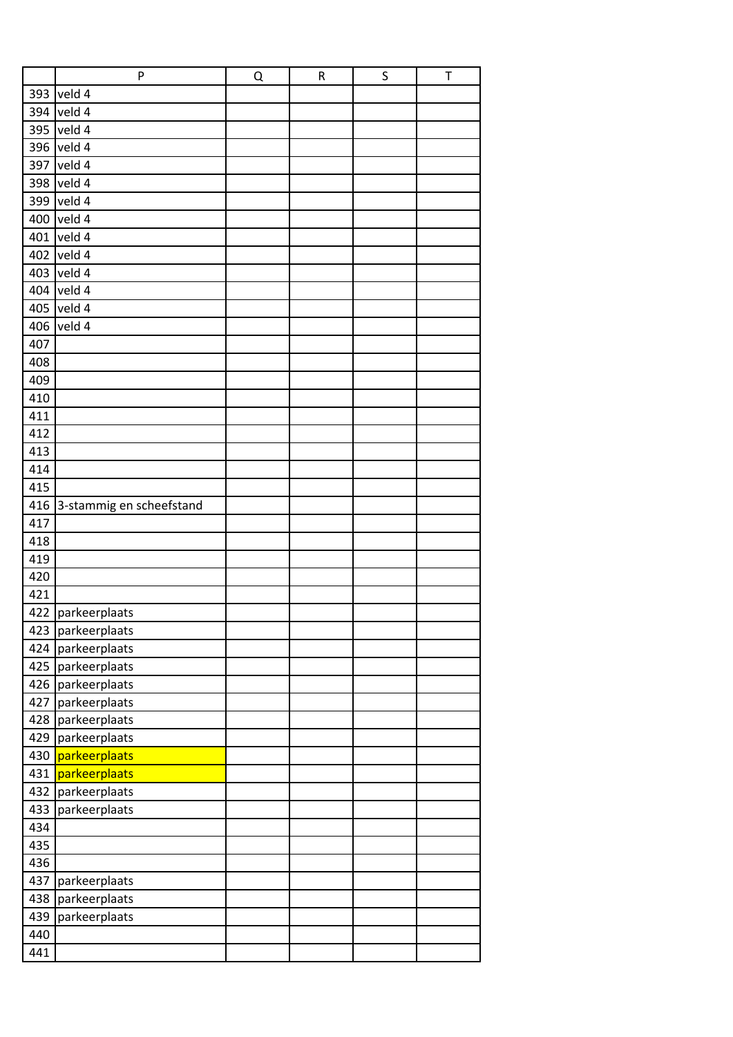|     | P                        | Q | ${\sf R}$ | S | T |
|-----|--------------------------|---|-----------|---|---|
| 393 | veld 4                   |   |           |   |   |
|     | 394 veld 4               |   |           |   |   |
| 395 | veld 4                   |   |           |   |   |
|     | 396 veld 4               |   |           |   |   |
|     | 397 veld 4               |   |           |   |   |
|     | 398 veld 4               |   |           |   |   |
| 399 | veld 4                   |   |           |   |   |
| 400 | veld 4                   |   |           |   |   |
|     | 401 veld 4               |   |           |   |   |
|     | 402 veld 4               |   |           |   |   |
|     | 403 veld 4               |   |           |   |   |
|     | 404 veld 4               |   |           |   |   |
|     | 405 veld 4               |   |           |   |   |
|     | 406 veld 4               |   |           |   |   |
| 407 |                          |   |           |   |   |
| 408 |                          |   |           |   |   |
| 409 |                          |   |           |   |   |
| 410 |                          |   |           |   |   |
| 411 |                          |   |           |   |   |
| 412 |                          |   |           |   |   |
| 413 |                          |   |           |   |   |
| 414 |                          |   |           |   |   |
| 415 |                          |   |           |   |   |
| 416 | 3-stammig en scheefstand |   |           |   |   |
| 417 |                          |   |           |   |   |
| 418 |                          |   |           |   |   |
| 419 |                          |   |           |   |   |
| 420 |                          |   |           |   |   |
| 421 |                          |   |           |   |   |
|     | 422 parkeerplaats        |   |           |   |   |
| 423 | parkeerplaats            |   |           |   |   |
| 424 | parkeerplaats            |   |           |   |   |
| 425 | parkeerplaats            |   |           |   |   |
| 426 | parkeerplaats            |   |           |   |   |
| 427 | parkeerplaats            |   |           |   |   |
| 428 | parkeerplaats            |   |           |   |   |
| 429 | parkeerplaats            |   |           |   |   |
| 430 | parkeerplaats            |   |           |   |   |
| 431 | parkeerplaats            |   |           |   |   |
| 432 | parkeerplaats            |   |           |   |   |
| 433 | parkeerplaats            |   |           |   |   |
| 434 |                          |   |           |   |   |
| 435 |                          |   |           |   |   |
| 436 |                          |   |           |   |   |
| 437 | parkeerplaats            |   |           |   |   |
| 438 | parkeerplaats            |   |           |   |   |
| 439 | parkeerplaats            |   |           |   |   |
| 440 |                          |   |           |   |   |
| 441 |                          |   |           |   |   |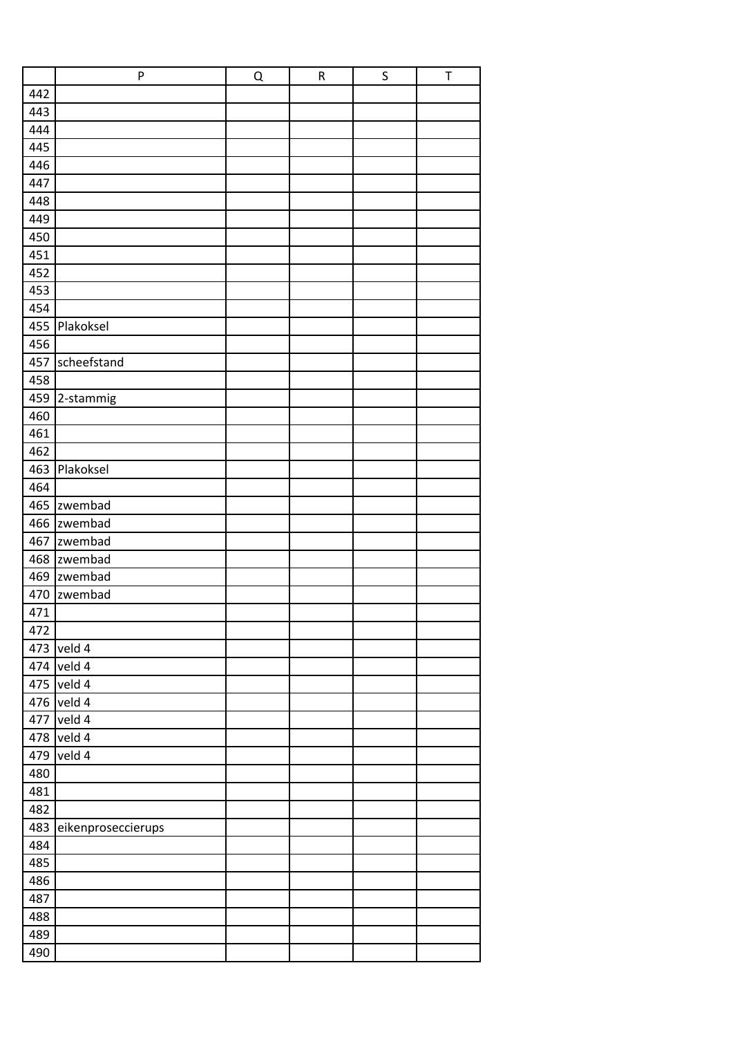|     | $\mathsf{P}$       | Q | ${\sf R}$ | S | T |
|-----|--------------------|---|-----------|---|---|
| 442 |                    |   |           |   |   |
| 443 |                    |   |           |   |   |
| 444 |                    |   |           |   |   |
| 445 |                    |   |           |   |   |
| 446 |                    |   |           |   |   |
| 447 |                    |   |           |   |   |
| 448 |                    |   |           |   |   |
| 449 |                    |   |           |   |   |
| 450 |                    |   |           |   |   |
| 451 |                    |   |           |   |   |
| 452 |                    |   |           |   |   |
| 453 |                    |   |           |   |   |
| 454 |                    |   |           |   |   |
| 455 | Plakoksel          |   |           |   |   |
| 456 |                    |   |           |   |   |
| 457 | scheefstand        |   |           |   |   |
| 458 |                    |   |           |   |   |
| 459 | 2-stammig          |   |           |   |   |
| 460 |                    |   |           |   |   |
| 461 |                    |   |           |   |   |
| 462 |                    |   |           |   |   |
| 463 | Plakoksel          |   |           |   |   |
| 464 |                    |   |           |   |   |
| 465 | zwembad            |   |           |   |   |
| 466 | zwembad            |   |           |   |   |
| 467 | zwembad            |   |           |   |   |
| 468 | zwembad            |   |           |   |   |
| 469 | zwembad            |   |           |   |   |
| 470 | zwembad            |   |           |   |   |
| 471 |                    |   |           |   |   |
| 472 |                    |   |           |   |   |
| 473 | veld 4             |   |           |   |   |
| 474 | veld 4             |   |           |   |   |
| 475 | veld 4             |   |           |   |   |
| 476 | veld 4             |   |           |   |   |
| 477 | veld 4             |   |           |   |   |
| 478 | veld 4             |   |           |   |   |
| 479 | veld 4             |   |           |   |   |
| 480 |                    |   |           |   |   |
| 481 |                    |   |           |   |   |
| 482 |                    |   |           |   |   |
| 483 | eikenproseccierups |   |           |   |   |
| 484 |                    |   |           |   |   |
| 485 |                    |   |           |   |   |
| 486 |                    |   |           |   |   |
| 487 |                    |   |           |   |   |
| 488 |                    |   |           |   |   |
| 489 |                    |   |           |   |   |
| 490 |                    |   |           |   |   |
|     |                    |   |           |   |   |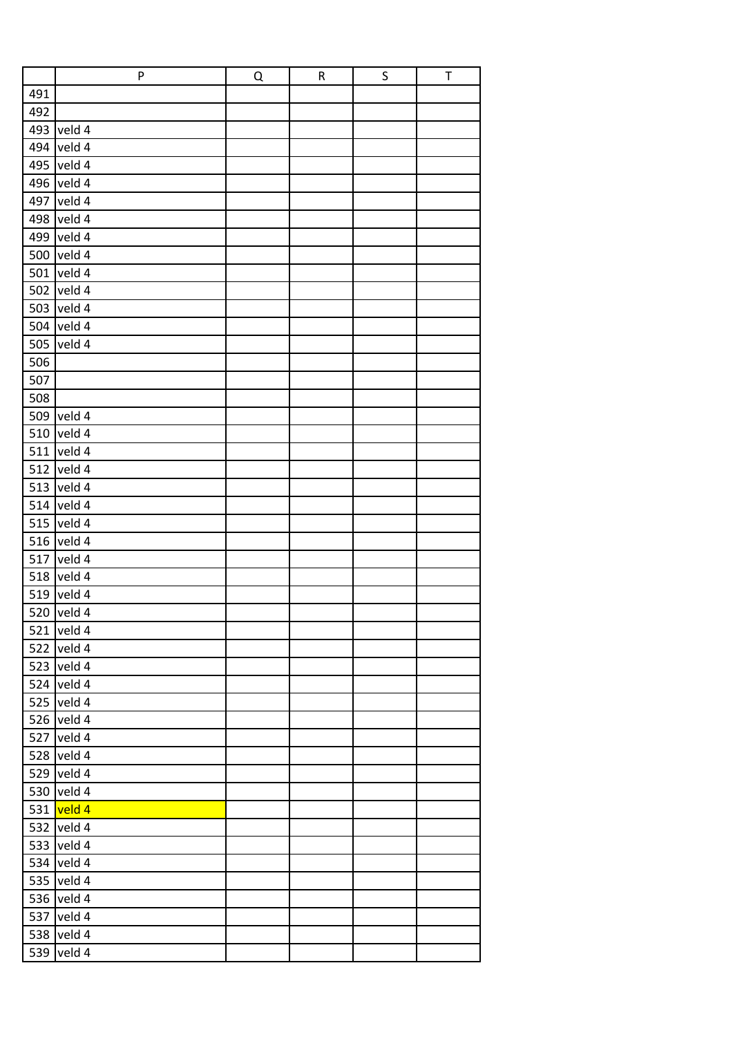|     | P          | Q | ${\sf R}$ | S | $\top$ |
|-----|------------|---|-----------|---|--------|
| 491 |            |   |           |   |        |
| 492 |            |   |           |   |        |
| 493 | veld 4     |   |           |   |        |
| 494 | veld 4     |   |           |   |        |
| 495 | veld 4     |   |           |   |        |
| 496 | veld 4     |   |           |   |        |
| 497 | veld 4     |   |           |   |        |
| 498 | veld 4     |   |           |   |        |
| 499 | veld 4     |   |           |   |        |
| 500 | veld 4     |   |           |   |        |
| 501 | veld 4     |   |           |   |        |
| 502 | veld 4     |   |           |   |        |
| 503 | veld 4     |   |           |   |        |
|     | 504 veld 4 |   |           |   |        |
| 505 | veld 4     |   |           |   |        |
| 506 |            |   |           |   |        |
| 507 |            |   |           |   |        |
| 508 |            |   |           |   |        |
| 509 | veld 4     |   |           |   |        |
| 510 | veld 4     |   |           |   |        |
| 511 | veld 4     |   |           |   |        |
| 512 | veld 4     |   |           |   |        |
| 513 | veld 4     |   |           |   |        |
| 514 | veld 4     |   |           |   |        |
| 515 | veld 4     |   |           |   |        |
| 516 | veld 4     |   |           |   |        |
| 517 | veld 4     |   |           |   |        |
| 518 | veld 4     |   |           |   |        |
|     | 519 veld 4 |   |           |   |        |
|     | 520 veld 4 |   |           |   |        |
| 521 | veld 4     |   |           |   |        |
| 522 | veld 4     |   |           |   |        |
| 523 | veld 4     |   |           |   |        |
| 524 | veld 4     |   |           |   |        |
| 525 | veld 4     |   |           |   |        |
| 526 | veld 4     |   |           |   |        |
| 527 | veld 4     |   |           |   |        |
| 528 | veld 4     |   |           |   |        |
| 529 | veld 4     |   |           |   |        |
| 530 | veld 4     |   |           |   |        |
| 531 | veld 4     |   |           |   |        |
| 532 | veld 4     |   |           |   |        |
| 533 | veld 4     |   |           |   |        |
| 534 | veld 4     |   |           |   |        |
| 535 | veld 4     |   |           |   |        |
| 536 | veld 4     |   |           |   |        |
| 537 | veld 4     |   |           |   |        |
| 538 | veld 4     |   |           |   |        |
| 539 | veld 4     |   |           |   |        |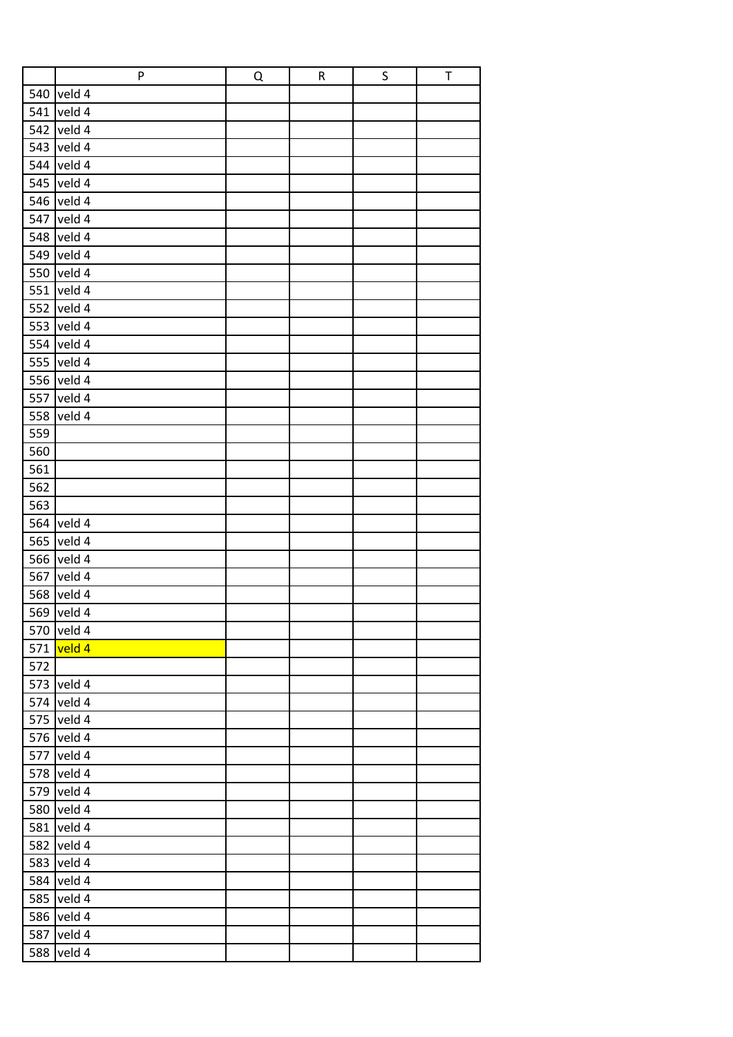|     | P          | Q | ${\sf R}$ | S | $\top$ |
|-----|------------|---|-----------|---|--------|
| 540 | veld 4     |   |           |   |        |
| 541 | veld 4     |   |           |   |        |
| 542 | veld 4     |   |           |   |        |
|     | 543 veld 4 |   |           |   |        |
|     | 544 veld 4 |   |           |   |        |
|     | 545 veld 4 |   |           |   |        |
| 546 | veld 4     |   |           |   |        |
| 547 | veld 4     |   |           |   |        |
|     | 548 veld 4 |   |           |   |        |
|     | 549 veld 4 |   |           |   |        |
|     | 550 veld 4 |   |           |   |        |
| 551 | veld 4     |   |           |   |        |
|     | 552 veld 4 |   |           |   |        |
|     | 553 veld 4 |   |           |   |        |
|     | 554 veld 4 |   |           |   |        |
| 555 | veld 4     |   |           |   |        |
|     | 556 veld 4 |   |           |   |        |
| 557 | veld 4     |   |           |   |        |
| 558 | veld 4     |   |           |   |        |
| 559 |            |   |           |   |        |
| 560 |            |   |           |   |        |
| 561 |            |   |           |   |        |
| 562 |            |   |           |   |        |
| 563 |            |   |           |   |        |
| 564 | veld 4     |   |           |   |        |
| 565 | veld 4     |   |           |   |        |
| 566 | veld 4     |   |           |   |        |
| 567 | veld 4     |   |           |   |        |
|     | 568 veld 4 |   |           |   |        |
|     | 569 veld 4 |   |           |   |        |
|     | 570 veld 4 |   |           |   |        |
| 571 | veld 4     |   |           |   |        |
| 572 |            |   |           |   |        |
| 573 | veld 4     |   |           |   |        |
|     | 574 veld 4 |   |           |   |        |
|     | 575 veld 4 |   |           |   |        |
| 576 | veld 4     |   |           |   |        |
| 577 | veld 4     |   |           |   |        |
| 578 | veld 4     |   |           |   |        |
| 579 | veld 4     |   |           |   |        |
| 580 | veld 4     |   |           |   |        |
| 581 | veld 4     |   |           |   |        |
| 582 | veld 4     |   |           |   |        |
| 583 | veld 4     |   |           |   |        |
| 584 | veld 4     |   |           |   |        |
| 585 | veld 4     |   |           |   |        |
| 586 | veld 4     |   |           |   |        |
| 587 | veld 4     |   |           |   |        |
| 588 | veld 4     |   |           |   |        |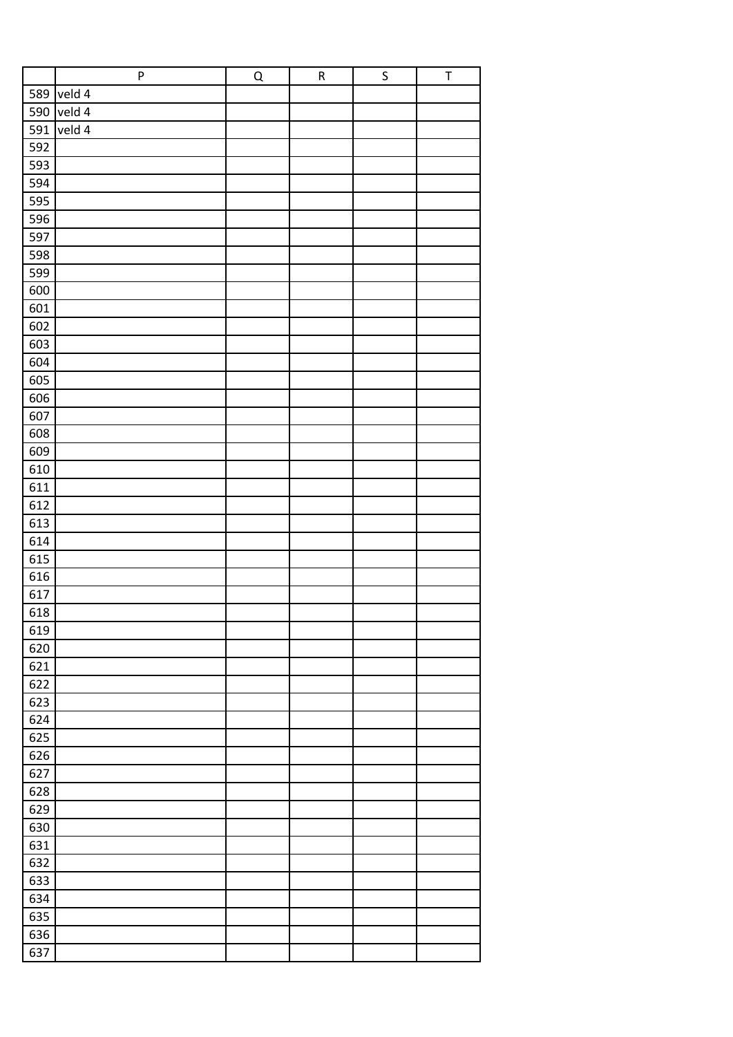|     | ${\sf P}$ | $\overline{Q}$ | ${\sf R}$ | $\sf S$ | $\sf T$ |
|-----|-----------|----------------|-----------|---------|---------|
| 589 | veld 4    |                |           |         |         |
| 590 | veld 4    |                |           |         |         |
| 591 | veld 4    |                |           |         |         |
|     |           |                |           |         |         |
| 592 |           |                |           |         |         |
| 593 |           |                |           |         |         |
| 594 |           |                |           |         |         |
| 595 |           |                |           |         |         |
| 596 |           |                |           |         |         |
| 597 |           |                |           |         |         |
| 598 |           |                |           |         |         |
| 599 |           |                |           |         |         |
| 600 |           |                |           |         |         |
| 601 |           |                |           |         |         |
| 602 |           |                |           |         |         |
| 603 |           |                |           |         |         |
| 604 |           |                |           |         |         |
| 605 |           |                |           |         |         |
| 606 |           |                |           |         |         |
| 607 |           |                |           |         |         |
| 608 |           |                |           |         |         |
| 609 |           |                |           |         |         |
| 610 |           |                |           |         |         |
| 611 |           |                |           |         |         |
| 612 |           |                |           |         |         |
|     |           |                |           |         |         |
| 613 |           |                |           |         |         |
| 614 |           |                |           |         |         |
| 615 |           |                |           |         |         |
| 616 |           |                |           |         |         |
| 617 |           |                |           |         |         |
| 618 |           |                |           |         |         |
| 619 |           |                |           |         |         |
| 620 |           |                |           |         |         |
| 621 |           |                |           |         |         |
| 622 |           |                |           |         |         |
| 623 |           |                |           |         |         |
| 624 |           |                |           |         |         |
| 625 |           |                |           |         |         |
| 626 |           |                |           |         |         |
| 627 |           |                |           |         |         |
| 628 |           |                |           |         |         |
| 629 |           |                |           |         |         |
| 630 |           |                |           |         |         |
| 631 |           |                |           |         |         |
| 632 |           |                |           |         |         |
| 633 |           |                |           |         |         |
|     |           |                |           |         |         |
| 634 |           |                |           |         |         |
| 635 |           |                |           |         |         |
| 636 |           |                |           |         |         |
| 637 |           |                |           |         |         |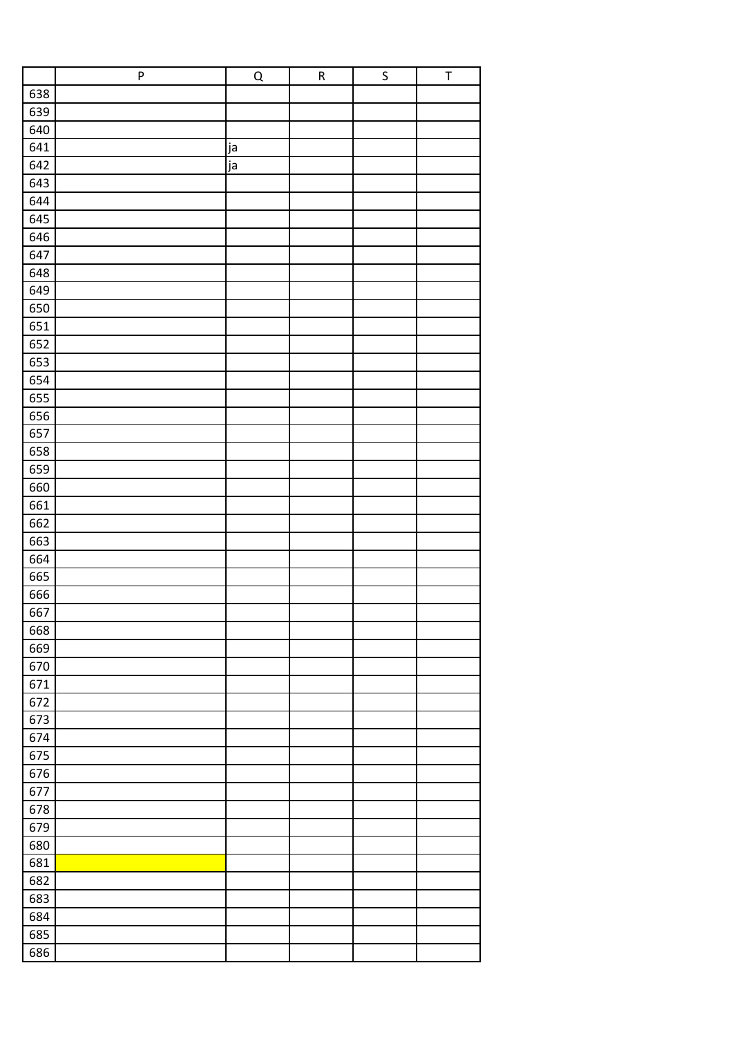| 638<br>639<br>640<br>641<br>ja<br>642<br>ja<br>643<br>644<br>645<br>646<br>647<br>648<br>649<br>650<br>651<br>652<br>653<br>654<br>655<br>656<br>657<br>658<br>659<br>660<br>661<br>662<br>663<br>664<br>665<br>666<br>667<br>668<br>669<br>670<br>671<br>672<br>673<br>674<br>675<br>676<br>677<br>678<br>679<br>680<br>681<br>682<br>683<br>684<br>685<br>686 | ${\sf P}$ | $\overline{Q}$ | ${\sf R}$ | $\sf S$ | $\sf T$ |
|-----------------------------------------------------------------------------------------------------------------------------------------------------------------------------------------------------------------------------------------------------------------------------------------------------------------------------------------------------------------|-----------|----------------|-----------|---------|---------|
|                                                                                                                                                                                                                                                                                                                                                                 |           |                |           |         |         |
|                                                                                                                                                                                                                                                                                                                                                                 |           |                |           |         |         |
|                                                                                                                                                                                                                                                                                                                                                                 |           |                |           |         |         |
|                                                                                                                                                                                                                                                                                                                                                                 |           |                |           |         |         |
|                                                                                                                                                                                                                                                                                                                                                                 |           |                |           |         |         |
|                                                                                                                                                                                                                                                                                                                                                                 |           |                |           |         |         |
|                                                                                                                                                                                                                                                                                                                                                                 |           |                |           |         |         |
|                                                                                                                                                                                                                                                                                                                                                                 |           |                |           |         |         |
|                                                                                                                                                                                                                                                                                                                                                                 |           |                |           |         |         |
|                                                                                                                                                                                                                                                                                                                                                                 |           |                |           |         |         |
|                                                                                                                                                                                                                                                                                                                                                                 |           |                |           |         |         |
|                                                                                                                                                                                                                                                                                                                                                                 |           |                |           |         |         |
|                                                                                                                                                                                                                                                                                                                                                                 |           |                |           |         |         |
|                                                                                                                                                                                                                                                                                                                                                                 |           |                |           |         |         |
|                                                                                                                                                                                                                                                                                                                                                                 |           |                |           |         |         |
|                                                                                                                                                                                                                                                                                                                                                                 |           |                |           |         |         |
|                                                                                                                                                                                                                                                                                                                                                                 |           |                |           |         |         |
|                                                                                                                                                                                                                                                                                                                                                                 |           |                |           |         |         |
|                                                                                                                                                                                                                                                                                                                                                                 |           |                |           |         |         |
|                                                                                                                                                                                                                                                                                                                                                                 |           |                |           |         |         |
|                                                                                                                                                                                                                                                                                                                                                                 |           |                |           |         |         |
|                                                                                                                                                                                                                                                                                                                                                                 |           |                |           |         |         |
|                                                                                                                                                                                                                                                                                                                                                                 |           |                |           |         |         |
|                                                                                                                                                                                                                                                                                                                                                                 |           |                |           |         |         |
|                                                                                                                                                                                                                                                                                                                                                                 |           |                |           |         |         |
|                                                                                                                                                                                                                                                                                                                                                                 |           |                |           |         |         |
|                                                                                                                                                                                                                                                                                                                                                                 |           |                |           |         |         |
|                                                                                                                                                                                                                                                                                                                                                                 |           |                |           |         |         |
|                                                                                                                                                                                                                                                                                                                                                                 |           |                |           |         |         |
|                                                                                                                                                                                                                                                                                                                                                                 |           |                |           |         |         |
|                                                                                                                                                                                                                                                                                                                                                                 |           |                |           |         |         |
|                                                                                                                                                                                                                                                                                                                                                                 |           |                |           |         |         |
|                                                                                                                                                                                                                                                                                                                                                                 |           |                |           |         |         |
|                                                                                                                                                                                                                                                                                                                                                                 |           |                |           |         |         |
|                                                                                                                                                                                                                                                                                                                                                                 |           |                |           |         |         |
|                                                                                                                                                                                                                                                                                                                                                                 |           |                |           |         |         |
|                                                                                                                                                                                                                                                                                                                                                                 |           |                |           |         |         |
|                                                                                                                                                                                                                                                                                                                                                                 |           |                |           |         |         |
|                                                                                                                                                                                                                                                                                                                                                                 |           |                |           |         |         |
|                                                                                                                                                                                                                                                                                                                                                                 |           |                |           |         |         |
|                                                                                                                                                                                                                                                                                                                                                                 |           |                |           |         |         |
|                                                                                                                                                                                                                                                                                                                                                                 |           |                |           |         |         |
|                                                                                                                                                                                                                                                                                                                                                                 |           |                |           |         |         |
|                                                                                                                                                                                                                                                                                                                                                                 |           |                |           |         |         |
|                                                                                                                                                                                                                                                                                                                                                                 |           |                |           |         |         |
|                                                                                                                                                                                                                                                                                                                                                                 |           |                |           |         |         |
|                                                                                                                                                                                                                                                                                                                                                                 |           |                |           |         |         |
|                                                                                                                                                                                                                                                                                                                                                                 |           |                |           |         |         |
|                                                                                                                                                                                                                                                                                                                                                                 |           |                |           |         |         |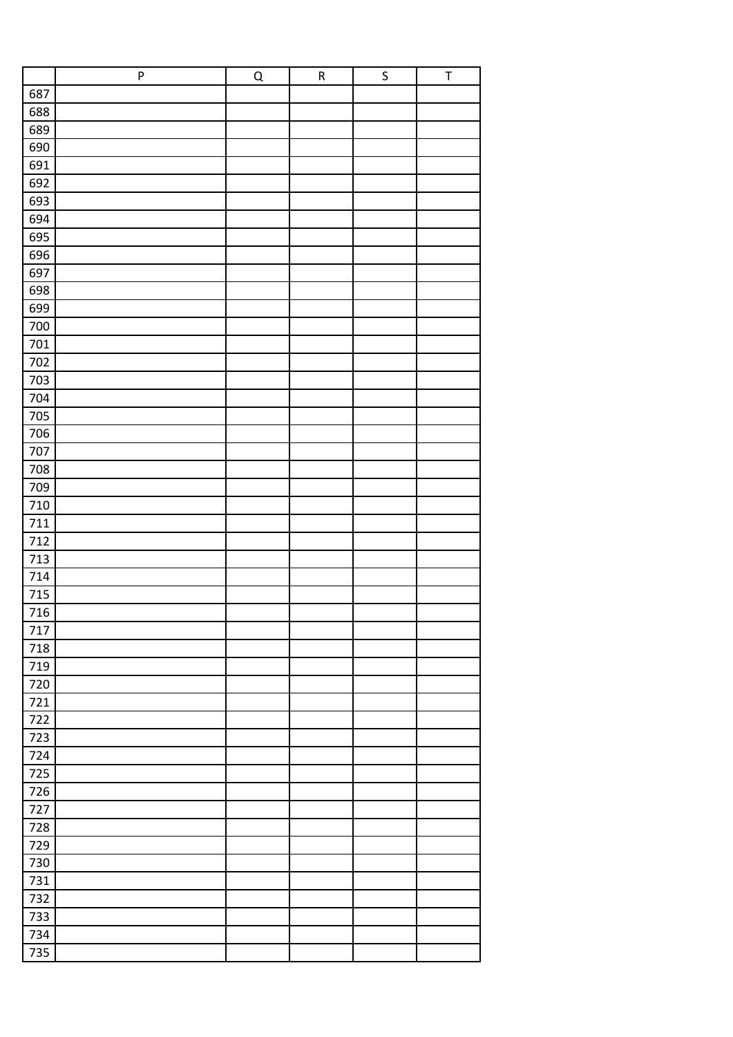|         | ${\sf P}$ | $\overline{Q}$ | ${\sf R}$ | $\sf S$ | $\sf T$ |
|---------|-----------|----------------|-----------|---------|---------|
| 687     |           |                |           |         |         |
| 688     |           |                |           |         |         |
| 689     |           |                |           |         |         |
| 690     |           |                |           |         |         |
| 691     |           |                |           |         |         |
| 692     |           |                |           |         |         |
| 693     |           |                |           |         |         |
| 694     |           |                |           |         |         |
| 695     |           |                |           |         |         |
| 696     |           |                |           |         |         |
| 697     |           |                |           |         |         |
| 698     |           |                |           |         |         |
| 699     |           |                |           |         |         |
| 700     |           |                |           |         |         |
| 701     |           |                |           |         |         |
| 702     |           |                |           |         |         |
| 703     |           |                |           |         |         |
| 704     |           |                |           |         |         |
| 705     |           |                |           |         |         |
| 706     |           |                |           |         |         |
| 707     |           |                |           |         |         |
| 708     |           |                |           |         |         |
| 709     |           |                |           |         |         |
| $710\,$ |           |                |           |         |         |
| 711     |           |                |           |         |         |
| 712     |           |                |           |         |         |
| 713     |           |                |           |         |         |
| 714     |           |                |           |         |         |
| 715     |           |                |           |         |         |
| 716     |           |                |           |         |         |
| 717     |           |                |           |         |         |
| 718     |           |                |           |         |         |
| 719     |           |                |           |         |         |
| 720     |           |                |           |         |         |
| 721     |           |                |           |         |         |
| 722     |           |                |           |         |         |
| 723     |           |                |           |         |         |
| 724     |           |                |           |         |         |
| 725     |           |                |           |         |         |
| 726     |           |                |           |         |         |
| 727     |           |                |           |         |         |
| 728     |           |                |           |         |         |
| 729     |           |                |           |         |         |
| 730     |           |                |           |         |         |
| 731     |           |                |           |         |         |
| 732     |           |                |           |         |         |
| 733     |           |                |           |         |         |
| 734     |           |                |           |         |         |
| 735     |           |                |           |         |         |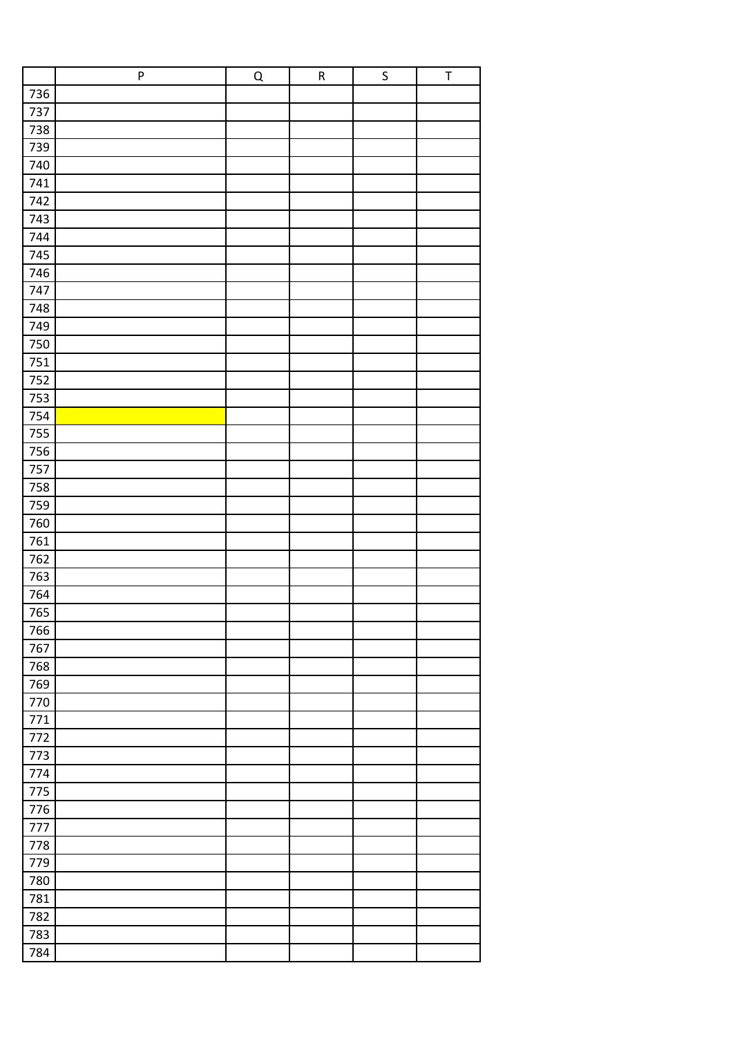|         | ${\sf P}$ | $\overline{Q}$ | ${\sf R}$ | $\sf S$ | $\sf T$ |
|---------|-----------|----------------|-----------|---------|---------|
| 736     |           |                |           |         |         |
| 737     |           |                |           |         |         |
| 738     |           |                |           |         |         |
| 739     |           |                |           |         |         |
| 740     |           |                |           |         |         |
| 741     |           |                |           |         |         |
| 742     |           |                |           |         |         |
| 743     |           |                |           |         |         |
| 744     |           |                |           |         |         |
| 745     |           |                |           |         |         |
| 746     |           |                |           |         |         |
| 747     |           |                |           |         |         |
| 748     |           |                |           |         |         |
| 749     |           |                |           |         |         |
| 750     |           |                |           |         |         |
| 751     |           |                |           |         |         |
| 752     |           |                |           |         |         |
| 753     |           |                |           |         |         |
| 754     |           |                |           |         |         |
| 755     |           |                |           |         |         |
| 756     |           |                |           |         |         |
| 757     |           |                |           |         |         |
| 758     |           |                |           |         |         |
| 759     |           |                |           |         |         |
| 760     |           |                |           |         |         |
| 761     |           |                |           |         |         |
| 762     |           |                |           |         |         |
| 763     |           |                |           |         |         |
| 764     |           |                |           |         |         |
| 765     |           |                |           |         |         |
| 766     |           |                |           |         |         |
| 767     |           |                |           |         |         |
| 768     |           |                |           |         |         |
| 769     |           |                |           |         |         |
| 770     |           |                |           |         |         |
| $771\,$ |           |                |           |         |         |
| 772     |           |                |           |         |         |
| 773     |           |                |           |         |         |
| 774     |           |                |           |         |         |
| 775     |           |                |           |         |         |
| 776     |           |                |           |         |         |
| 777     |           |                |           |         |         |
| 778     |           |                |           |         |         |
| 779     |           |                |           |         |         |
| 780     |           |                |           |         |         |
| 781     |           |                |           |         |         |
| 782     |           |                |           |         |         |
| 783     |           |                |           |         |         |
| 784     |           |                |           |         |         |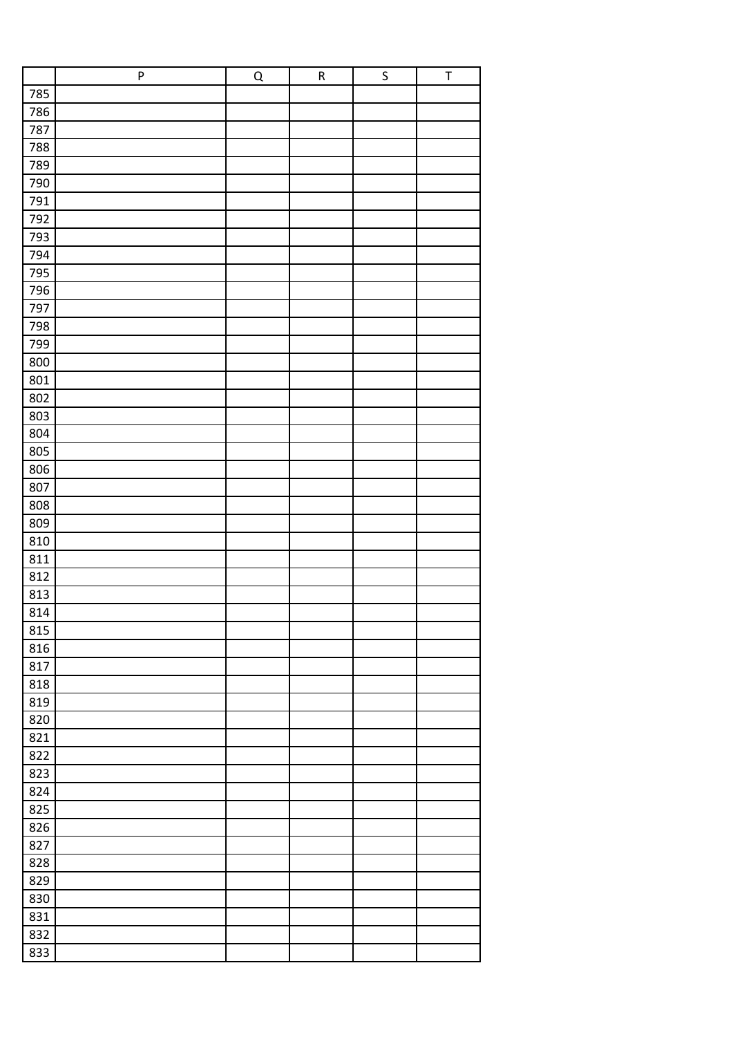|     | ${\sf P}$ | $\overline{Q}$ | ${\sf R}$ | $\sf S$ | $\sf T$ |
|-----|-----------|----------------|-----------|---------|---------|
| 785 |           |                |           |         |         |
| 786 |           |                |           |         |         |
| 787 |           |                |           |         |         |
| 788 |           |                |           |         |         |
| 789 |           |                |           |         |         |
| 790 |           |                |           |         |         |
| 791 |           |                |           |         |         |
| 792 |           |                |           |         |         |
| 793 |           |                |           |         |         |
| 794 |           |                |           |         |         |
| 795 |           |                |           |         |         |
| 796 |           |                |           |         |         |
| 797 |           |                |           |         |         |
| 798 |           |                |           |         |         |
| 799 |           |                |           |         |         |
| 800 |           |                |           |         |         |
| 801 |           |                |           |         |         |
| 802 |           |                |           |         |         |
| 803 |           |                |           |         |         |
| 804 |           |                |           |         |         |
| 805 |           |                |           |         |         |
| 806 |           |                |           |         |         |
| 807 |           |                |           |         |         |
| 808 |           |                |           |         |         |
| 809 |           |                |           |         |         |
| 810 |           |                |           |         |         |
| 811 |           |                |           |         |         |
| 812 |           |                |           |         |         |
| 813 |           |                |           |         |         |
| 814 |           |                |           |         |         |
| 815 |           |                |           |         |         |
| 816 |           |                |           |         |         |
| 817 |           |                |           |         |         |
| 818 |           |                |           |         |         |
| 819 |           |                |           |         |         |
| 820 |           |                |           |         |         |
| 821 |           |                |           |         |         |
| 822 |           |                |           |         |         |
| 823 |           |                |           |         |         |
| 824 |           |                |           |         |         |
| 825 |           |                |           |         |         |
| 826 |           |                |           |         |         |
| 827 |           |                |           |         |         |
| 828 |           |                |           |         |         |
| 829 |           |                |           |         |         |
| 830 |           |                |           |         |         |
| 831 |           |                |           |         |         |
| 832 |           |                |           |         |         |
| 833 |           |                |           |         |         |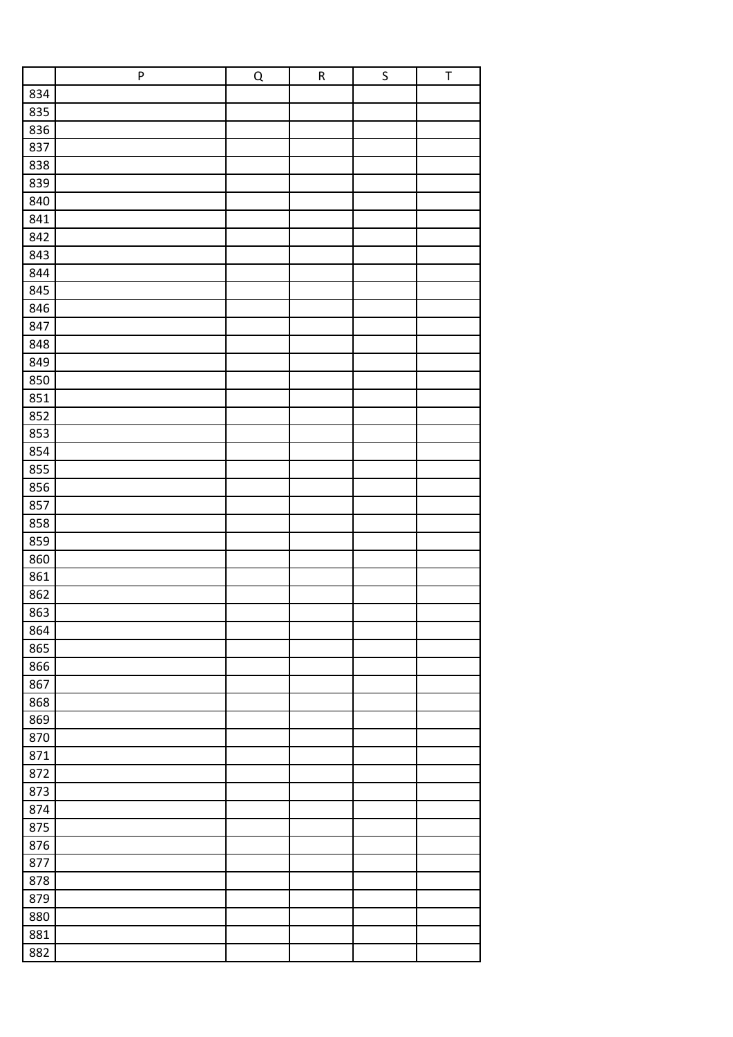|     | ${\sf P}$ | $\overline{Q}$ | ${\sf R}$ | $\sf S$ | $\sf T$ |
|-----|-----------|----------------|-----------|---------|---------|
| 834 |           |                |           |         |         |
| 835 |           |                |           |         |         |
| 836 |           |                |           |         |         |
| 837 |           |                |           |         |         |
| 838 |           |                |           |         |         |
| 839 |           |                |           |         |         |
| 840 |           |                |           |         |         |
| 841 |           |                |           |         |         |
| 842 |           |                |           |         |         |
| 843 |           |                |           |         |         |
| 844 |           |                |           |         |         |
| 845 |           |                |           |         |         |
| 846 |           |                |           |         |         |
| 847 |           |                |           |         |         |
| 848 |           |                |           |         |         |
| 849 |           |                |           |         |         |
| 850 |           |                |           |         |         |
| 851 |           |                |           |         |         |
| 852 |           |                |           |         |         |
| 853 |           |                |           |         |         |
| 854 |           |                |           |         |         |
| 855 |           |                |           |         |         |
| 856 |           |                |           |         |         |
| 857 |           |                |           |         |         |
| 858 |           |                |           |         |         |
| 859 |           |                |           |         |         |
| 860 |           |                |           |         |         |
| 861 |           |                |           |         |         |
| 862 |           |                |           |         |         |
| 863 |           |                |           |         |         |
| 864 |           |                |           |         |         |
| 865 |           |                |           |         |         |
| 866 |           |                |           |         |         |
| 867 |           |                |           |         |         |
| 868 |           |                |           |         |         |
| 869 |           |                |           |         |         |
| 870 |           |                |           |         |         |
| 871 |           |                |           |         |         |
| 872 |           |                |           |         |         |
| 873 |           |                |           |         |         |
| 874 |           |                |           |         |         |
| 875 |           |                |           |         |         |
| 876 |           |                |           |         |         |
| 877 |           |                |           |         |         |
| 878 |           |                |           |         |         |
| 879 |           |                |           |         |         |
| 880 |           |                |           |         |         |
| 881 |           |                |           |         |         |
| 882 |           |                |           |         |         |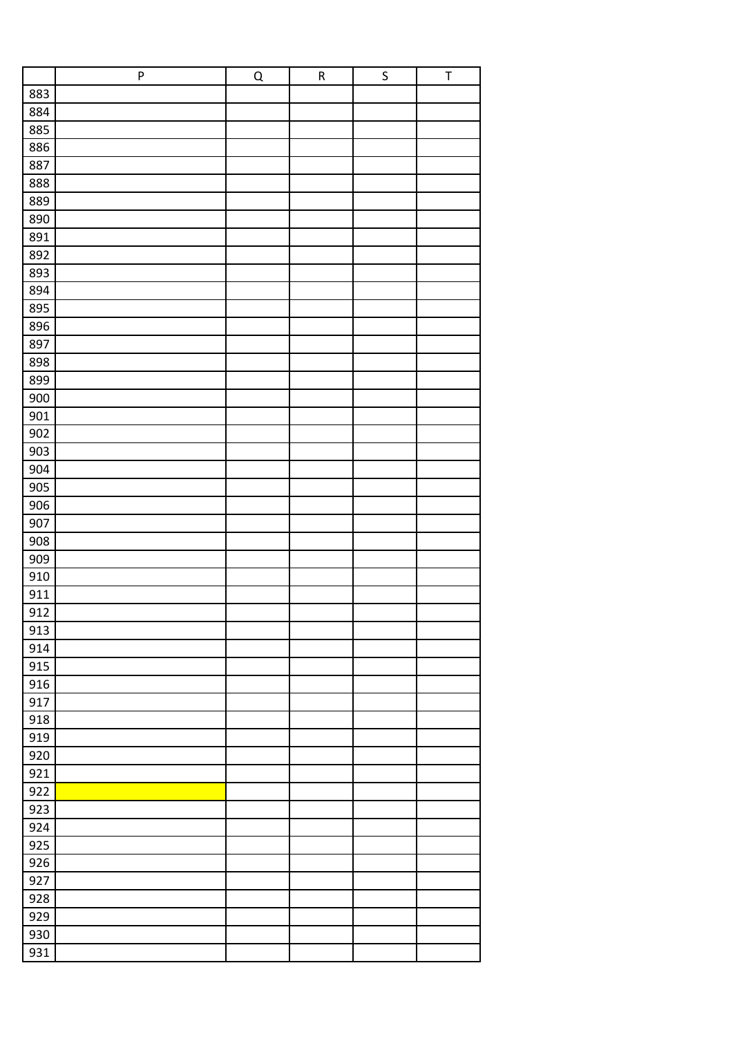|     | ${\sf P}$ | $\overline{Q}$ | $\sf R$ | $\sf S$ | $\sf T$ |
|-----|-----------|----------------|---------|---------|---------|
| 883 |           |                |         |         |         |
| 884 |           |                |         |         |         |
| 885 |           |                |         |         |         |
| 886 |           |                |         |         |         |
| 887 |           |                |         |         |         |
| 888 |           |                |         |         |         |
| 889 |           |                |         |         |         |
| 890 |           |                |         |         |         |
| 891 |           |                |         |         |         |
| 892 |           |                |         |         |         |
| 893 |           |                |         |         |         |
| 894 |           |                |         |         |         |
| 895 |           |                |         |         |         |
| 896 |           |                |         |         |         |
| 897 |           |                |         |         |         |
| 898 |           |                |         |         |         |
| 899 |           |                |         |         |         |
|     |           |                |         |         |         |
| 900 |           |                |         |         |         |
| 901 |           |                |         |         |         |
| 902 |           |                |         |         |         |
| 903 |           |                |         |         |         |
| 904 |           |                |         |         |         |
| 905 |           |                |         |         |         |
| 906 |           |                |         |         |         |
| 907 |           |                |         |         |         |
| 908 |           |                |         |         |         |
| 909 |           |                |         |         |         |
| 910 |           |                |         |         |         |
| 911 |           |                |         |         |         |
| 912 |           |                |         |         |         |
| 913 |           |                |         |         |         |
| 914 |           |                |         |         |         |
| 915 |           |                |         |         |         |
| 916 |           |                |         |         |         |
| 917 |           |                |         |         |         |
| 918 |           |                |         |         |         |
| 919 |           |                |         |         |         |
| 920 |           |                |         |         |         |
| 921 |           |                |         |         |         |
| 922 |           |                |         |         |         |
| 923 |           |                |         |         |         |
| 924 |           |                |         |         |         |
| 925 |           |                |         |         |         |
| 926 |           |                |         |         |         |
| 927 |           |                |         |         |         |
| 928 |           |                |         |         |         |
| 929 |           |                |         |         |         |
| 930 |           |                |         |         |         |
| 931 |           |                |         |         |         |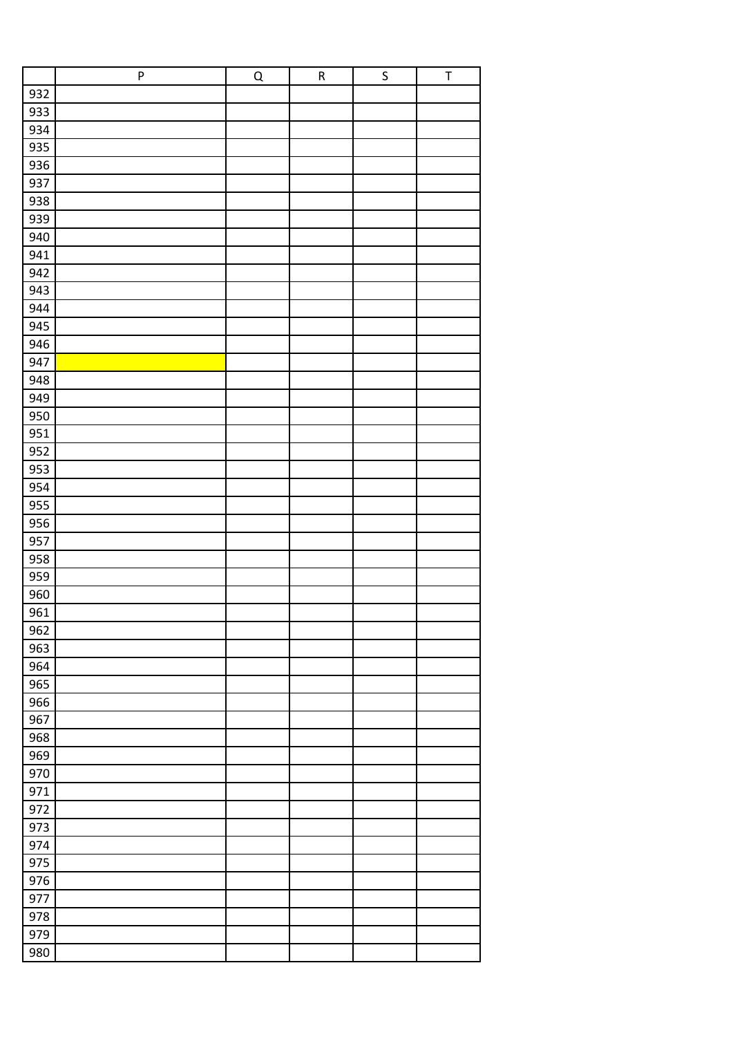|     | ${\sf P}$ | $\overline{Q}$ | ${\sf R}$ | $\sf S$ | $\sf T$ |
|-----|-----------|----------------|-----------|---------|---------|
| 932 |           |                |           |         |         |
| 933 |           |                |           |         |         |
| 934 |           |                |           |         |         |
| 935 |           |                |           |         |         |
| 936 |           |                |           |         |         |
| 937 |           |                |           |         |         |
| 938 |           |                |           |         |         |
| 939 |           |                |           |         |         |
| 940 |           |                |           |         |         |
| 941 |           |                |           |         |         |
| 942 |           |                |           |         |         |
| 943 |           |                |           |         |         |
| 944 |           |                |           |         |         |
| 945 |           |                |           |         |         |
| 946 |           |                |           |         |         |
| 947 |           |                |           |         |         |
| 948 |           |                |           |         |         |
| 949 |           |                |           |         |         |
| 950 |           |                |           |         |         |
| 951 |           |                |           |         |         |
| 952 |           |                |           |         |         |
| 953 |           |                |           |         |         |
| 954 |           |                |           |         |         |
| 955 |           |                |           |         |         |
| 956 |           |                |           |         |         |
| 957 |           |                |           |         |         |
| 958 |           |                |           |         |         |
| 959 |           |                |           |         |         |
| 960 |           |                |           |         |         |
| 961 |           |                |           |         |         |
| 962 |           |                |           |         |         |
| 963 |           |                |           |         |         |
| 964 |           |                |           |         |         |
| 965 |           |                |           |         |         |
| 966 |           |                |           |         |         |
| 967 |           |                |           |         |         |
| 968 |           |                |           |         |         |
| 969 |           |                |           |         |         |
| 970 |           |                |           |         |         |
| 971 |           |                |           |         |         |
| 972 |           |                |           |         |         |
| 973 |           |                |           |         |         |
| 974 |           |                |           |         |         |
| 975 |           |                |           |         |         |
| 976 |           |                |           |         |         |
| 977 |           |                |           |         |         |
| 978 |           |                |           |         |         |
| 979 |           |                |           |         |         |
| 980 |           |                |           |         |         |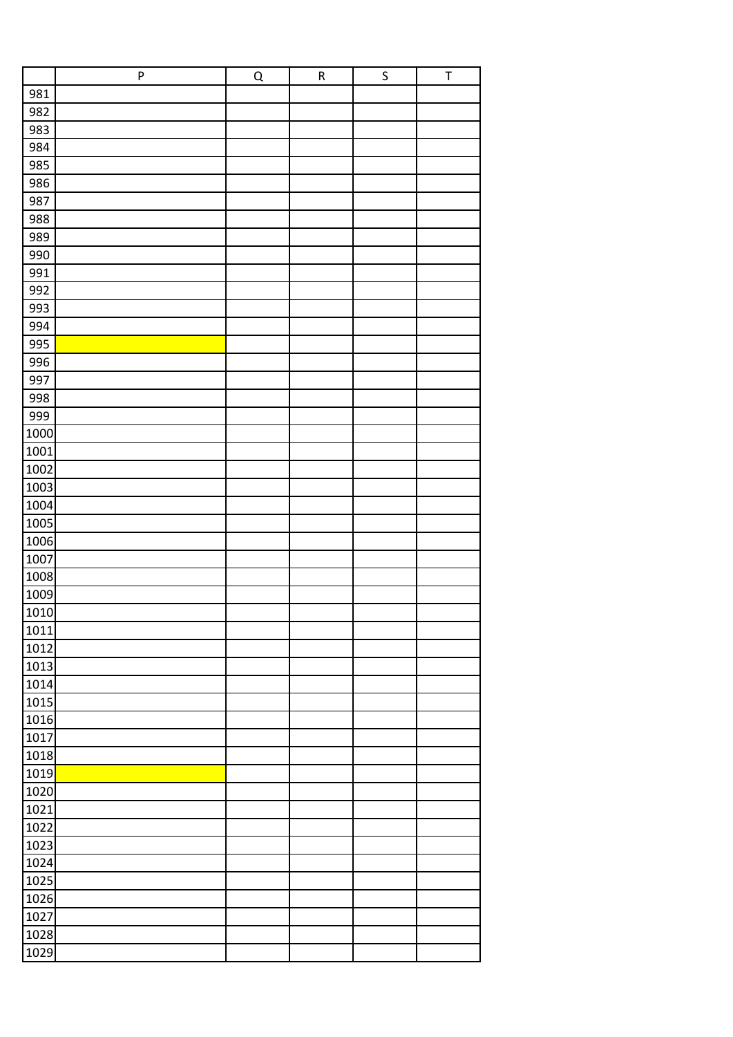|      | P | $\overline{Q}$ | ${\sf R}$ | $\sf S$ | $\sf T$ |
|------|---|----------------|-----------|---------|---------|
| 981  |   |                |           |         |         |
| 982  |   |                |           |         |         |
| 983  |   |                |           |         |         |
| 984  |   |                |           |         |         |
| 985  |   |                |           |         |         |
| 986  |   |                |           |         |         |
| 987  |   |                |           |         |         |
| 988  |   |                |           |         |         |
| 989  |   |                |           |         |         |
| 990  |   |                |           |         |         |
| 991  |   |                |           |         |         |
| 992  |   |                |           |         |         |
| 993  |   |                |           |         |         |
| 994  |   |                |           |         |         |
| 995  |   |                |           |         |         |
| 996  |   |                |           |         |         |
| 997  |   |                |           |         |         |
| 998  |   |                |           |         |         |
| 999  |   |                |           |         |         |
| 1000 |   |                |           |         |         |
| 1001 |   |                |           |         |         |
| 1002 |   |                |           |         |         |
| 1003 |   |                |           |         |         |
| 1004 |   |                |           |         |         |
| 1005 |   |                |           |         |         |
| 1006 |   |                |           |         |         |
| 1007 |   |                |           |         |         |
| 1008 |   |                |           |         |         |
| 1009 |   |                |           |         |         |
| 1010 |   |                |           |         |         |
| 1011 |   |                |           |         |         |
| 1012 |   |                |           |         |         |
| 1013 |   |                |           |         |         |
| 1014 |   |                |           |         |         |
| 1015 |   |                |           |         |         |
| 1016 |   |                |           |         |         |
| 1017 |   |                |           |         |         |
| 1018 |   |                |           |         |         |
| 1019 |   |                |           |         |         |
| 1020 |   |                |           |         |         |
| 1021 |   |                |           |         |         |
| 1022 |   |                |           |         |         |
| 1023 |   |                |           |         |         |
| 1024 |   |                |           |         |         |
| 1025 |   |                |           |         |         |
| 1026 |   |                |           |         |         |
| 1027 |   |                |           |         |         |
| 1028 |   |                |           |         |         |
| 1029 |   |                |           |         |         |
|      |   |                |           |         |         |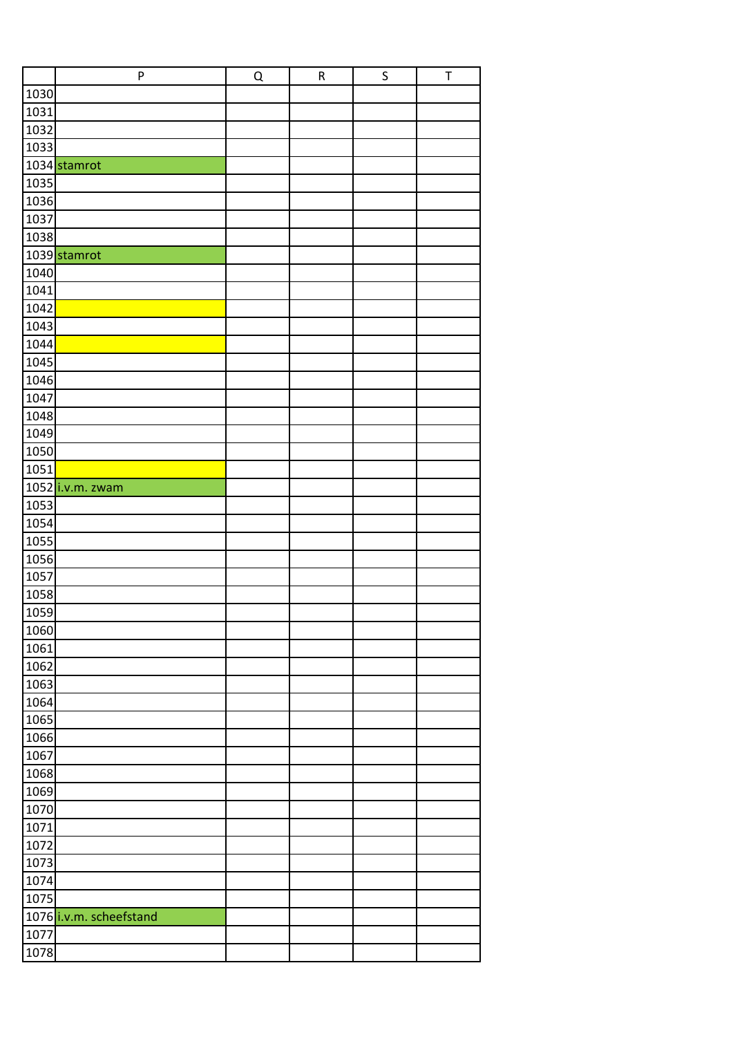|      | P                       | Q | $\mathsf R$ | $\sf S$ | $\sf T$ |
|------|-------------------------|---|-------------|---------|---------|
| 1030 |                         |   |             |         |         |
| 1031 |                         |   |             |         |         |
| 1032 |                         |   |             |         |         |
| 1033 |                         |   |             |         |         |
|      | 1034 stamrot            |   |             |         |         |
| 1035 |                         |   |             |         |         |
| 1036 |                         |   |             |         |         |
| 1037 |                         |   |             |         |         |
| 1038 |                         |   |             |         |         |
|      | 1039 stamrot            |   |             |         |         |
| 1040 |                         |   |             |         |         |
| 1041 |                         |   |             |         |         |
| 1042 |                         |   |             |         |         |
| 1043 |                         |   |             |         |         |
| 1044 |                         |   |             |         |         |
| 1045 |                         |   |             |         |         |
| 1046 |                         |   |             |         |         |
| 1047 |                         |   |             |         |         |
| 1048 |                         |   |             |         |         |
| 1049 |                         |   |             |         |         |
| 1050 |                         |   |             |         |         |
| 1051 |                         |   |             |         |         |
|      | 1052 i.v.m. zwam        |   |             |         |         |
| 1053 |                         |   |             |         |         |
| 1054 |                         |   |             |         |         |
| 1055 |                         |   |             |         |         |
| 1056 |                         |   |             |         |         |
| 1057 |                         |   |             |         |         |
| 1058 |                         |   |             |         |         |
| 1059 |                         |   |             |         |         |
| 1060 |                         |   |             |         |         |
| 1061 |                         |   |             |         |         |
| 1062 |                         |   |             |         |         |
| 1063 |                         |   |             |         |         |
| 1064 |                         |   |             |         |         |
| 1065 |                         |   |             |         |         |
| 1066 |                         |   |             |         |         |
| 1067 |                         |   |             |         |         |
| 1068 |                         |   |             |         |         |
| 1069 |                         |   |             |         |         |
| 1070 |                         |   |             |         |         |
| 1071 |                         |   |             |         |         |
| 1072 |                         |   |             |         |         |
| 1073 |                         |   |             |         |         |
| 1074 |                         |   |             |         |         |
| 1075 |                         |   |             |         |         |
|      | 1076 i.v.m. scheefstand |   |             |         |         |
| 1077 |                         |   |             |         |         |
| 1078 |                         |   |             |         |         |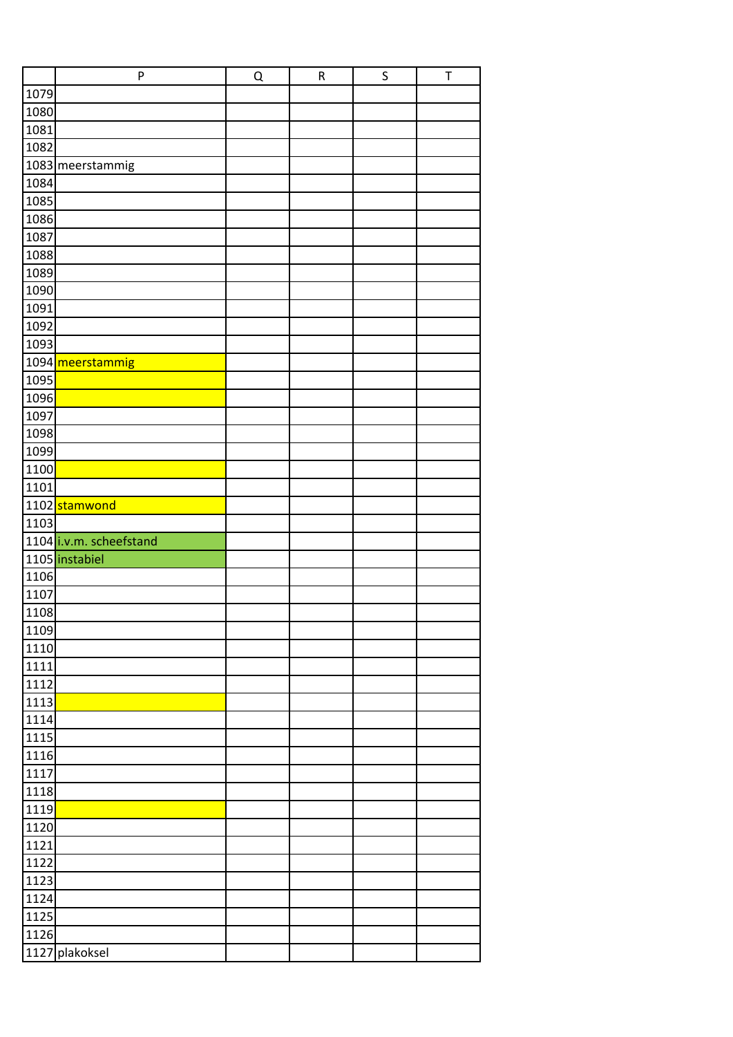|      | P                       | Q | ${\sf R}$ | $\mathsf S$ | $\top$ |
|------|-------------------------|---|-----------|-------------|--------|
| 1079 |                         |   |           |             |        |
| 1080 |                         |   |           |             |        |
| 1081 |                         |   |           |             |        |
| 1082 |                         |   |           |             |        |
|      | 1083 meerstammig        |   |           |             |        |
| 1084 |                         |   |           |             |        |
| 1085 |                         |   |           |             |        |
| 1086 |                         |   |           |             |        |
| 1087 |                         |   |           |             |        |
| 1088 |                         |   |           |             |        |
| 1089 |                         |   |           |             |        |
| 1090 |                         |   |           |             |        |
| 1091 |                         |   |           |             |        |
| 1092 |                         |   |           |             |        |
| 1093 |                         |   |           |             |        |
|      | 1094 meerstammig        |   |           |             |        |
| 1095 |                         |   |           |             |        |
| 1096 |                         |   |           |             |        |
| 1097 |                         |   |           |             |        |
| 1098 |                         |   |           |             |        |
| 1099 |                         |   |           |             |        |
| 1100 |                         |   |           |             |        |
| 1101 |                         |   |           |             |        |
|      | 1102 stamwond           |   |           |             |        |
| 1103 |                         |   |           |             |        |
|      | 1104 i.v.m. scheefstand |   |           |             |        |
|      | 1105 instabiel          |   |           |             |        |
| 1106 |                         |   |           |             |        |
| 1107 |                         |   |           |             |        |
| 1108 |                         |   |           |             |        |
| 1109 |                         |   |           |             |        |
| 1110 |                         |   |           |             |        |
| 1111 |                         |   |           |             |        |
| 1112 |                         |   |           |             |        |
| 1113 |                         |   |           |             |        |
| 1114 |                         |   |           |             |        |
| 1115 |                         |   |           |             |        |
| 1116 |                         |   |           |             |        |
| 1117 |                         |   |           |             |        |
| 1118 |                         |   |           |             |        |
| 1119 |                         |   |           |             |        |
| 1120 |                         |   |           |             |        |
| 1121 |                         |   |           |             |        |
| 1122 |                         |   |           |             |        |
| 1123 |                         |   |           |             |        |
| 1124 |                         |   |           |             |        |
| 1125 |                         |   |           |             |        |
| 1126 |                         |   |           |             |        |
|      | 1127 plakoksel          |   |           |             |        |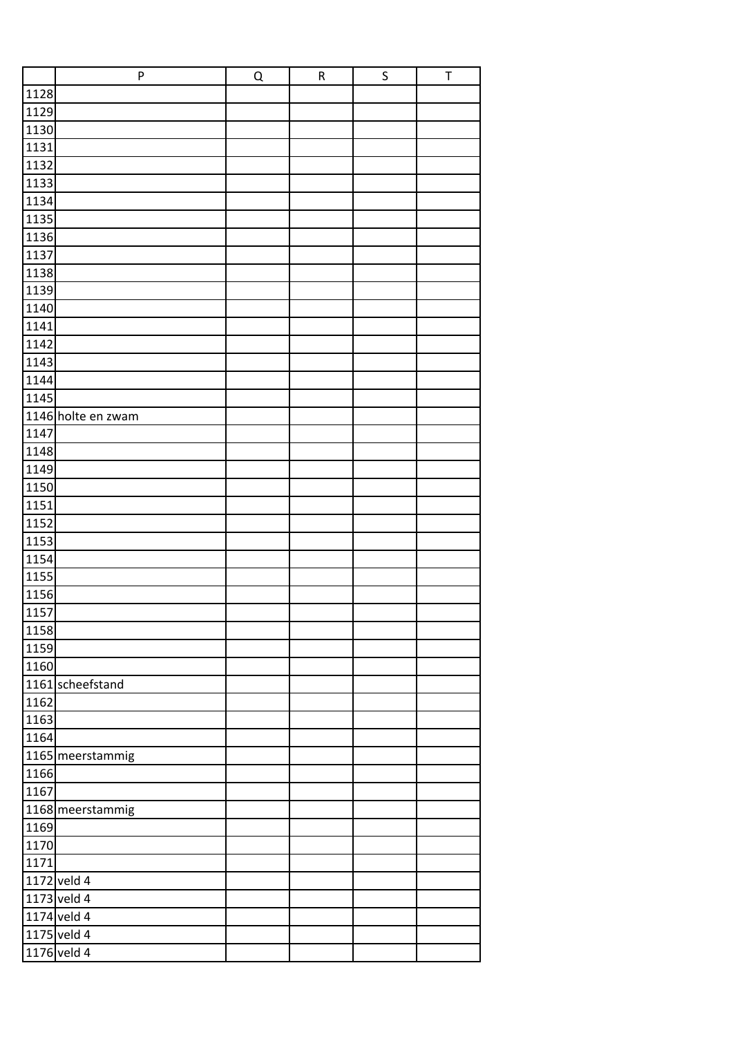|      | P                  | Q | ${\sf R}$ | $\sf S$ | $\sf T$ |
|------|--------------------|---|-----------|---------|---------|
| 1128 |                    |   |           |         |         |
| 1129 |                    |   |           |         |         |
| 1130 |                    |   |           |         |         |
| 1131 |                    |   |           |         |         |
| 1132 |                    |   |           |         |         |
| 1133 |                    |   |           |         |         |
| 1134 |                    |   |           |         |         |
| 1135 |                    |   |           |         |         |
| 1136 |                    |   |           |         |         |
| 1137 |                    |   |           |         |         |
| 1138 |                    |   |           |         |         |
| 1139 |                    |   |           |         |         |
| 1140 |                    |   |           |         |         |
| 1141 |                    |   |           |         |         |
| 1142 |                    |   |           |         |         |
| 1143 |                    |   |           |         |         |
| 1144 |                    |   |           |         |         |
| 1145 |                    |   |           |         |         |
|      | 1146 holte en zwam |   |           |         |         |
| 1147 |                    |   |           |         |         |
| 1148 |                    |   |           |         |         |
| 1149 |                    |   |           |         |         |
| 1150 |                    |   |           |         |         |
| 1151 |                    |   |           |         |         |
| 1152 |                    |   |           |         |         |
| 1153 |                    |   |           |         |         |
| 1154 |                    |   |           |         |         |
| 1155 |                    |   |           |         |         |
| 1156 |                    |   |           |         |         |
| 1157 |                    |   |           |         |         |
| 1158 |                    |   |           |         |         |
| 1159 |                    |   |           |         |         |
| 1160 |                    |   |           |         |         |
|      | 1161 scheefstand   |   |           |         |         |
| 1162 |                    |   |           |         |         |
| 1163 |                    |   |           |         |         |
| 1164 |                    |   |           |         |         |
|      | 1165 meerstammig   |   |           |         |         |
| 1166 |                    |   |           |         |         |
| 1167 |                    |   |           |         |         |
|      | 1168 meerstammig   |   |           |         |         |
| 1169 |                    |   |           |         |         |
| 1170 |                    |   |           |         |         |
| 1171 |                    |   |           |         |         |
|      | 1172 veld 4        |   |           |         |         |
|      | 1173 veld 4        |   |           |         |         |
|      | $1174$ veld 4      |   |           |         |         |
|      | 1175 veld $4$      |   |           |         |         |
|      | 1176 veld 4        |   |           |         |         |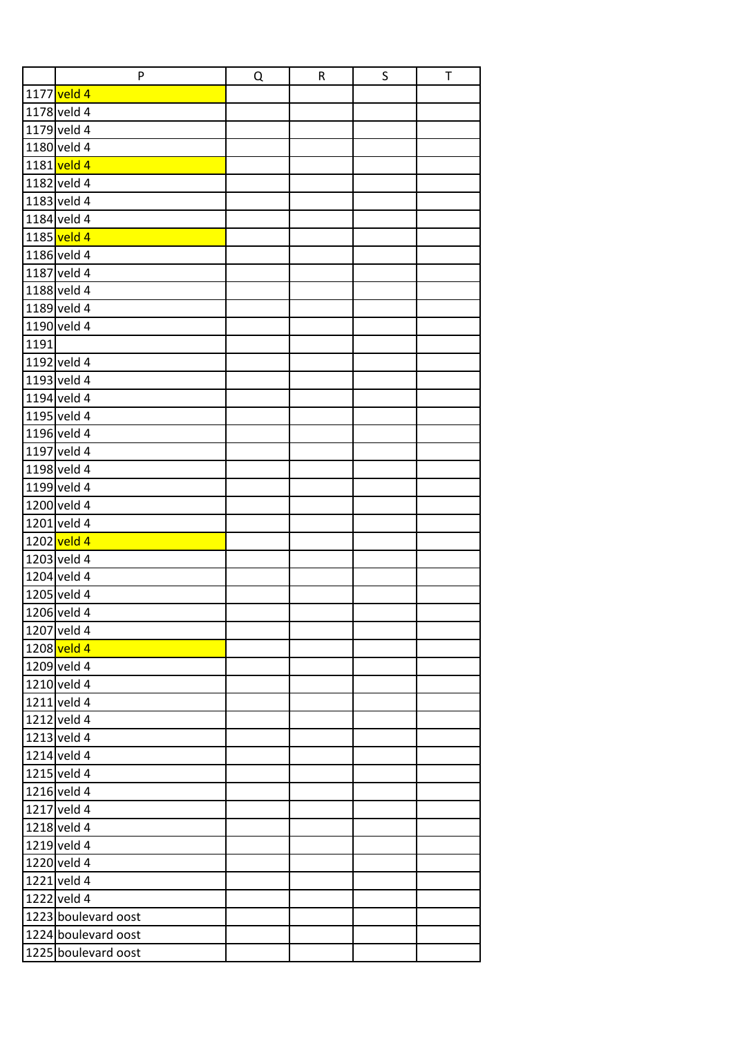|      | P                   | Q | ${\sf R}$ | S | T |
|------|---------------------|---|-----------|---|---|
|      | 1177 veld 4         |   |           |   |   |
|      | 1178 veld 4         |   |           |   |   |
|      | 1179 veld 4         |   |           |   |   |
|      | 1180 veld 4         |   |           |   |   |
|      | 1181 veld 4         |   |           |   |   |
|      | 1182 veld 4         |   |           |   |   |
|      | 1183 veld 4         |   |           |   |   |
|      | 1184 veld 4         |   |           |   |   |
|      | 1185 veld 4         |   |           |   |   |
|      | 1186 veld 4         |   |           |   |   |
|      | 1187 veld 4         |   |           |   |   |
|      | 1188 veld 4         |   |           |   |   |
|      | 1189 veld 4         |   |           |   |   |
|      | 1190 veld 4         |   |           |   |   |
| 1191 |                     |   |           |   |   |
|      | 1192 veld 4         |   |           |   |   |
|      | 1193 veld 4         |   |           |   |   |
|      | 1194 veld 4         |   |           |   |   |
|      | 1195 veld 4         |   |           |   |   |
|      | 1196 veld 4         |   |           |   |   |
|      | 1197 veld 4         |   |           |   |   |
|      | 1198 veld 4         |   |           |   |   |
|      | 1199 veld 4         |   |           |   |   |
|      | 1200 veld 4         |   |           |   |   |
|      | 1201 veld 4         |   |           |   |   |
|      | 1202 veld 4         |   |           |   |   |
|      | 1203 veld 4         |   |           |   |   |
|      | 1204 veld 4         |   |           |   |   |
|      | 1205 veld 4         |   |           |   |   |
|      | 1206 veld 4         |   |           |   |   |
|      | 1207 veld 4         |   |           |   |   |
|      | 1208 veld 4         |   |           |   |   |
|      | 1209 veld 4         |   |           |   |   |
|      | 1210 veld 4         |   |           |   |   |
|      | 1211 veld 4         |   |           |   |   |
|      | 1212 veld 4         |   |           |   |   |
|      | 1213 veld 4         |   |           |   |   |
|      | 1214 veld 4         |   |           |   |   |
|      | 1215 veld 4         |   |           |   |   |
|      | 1216 veld 4         |   |           |   |   |
|      | 1217 veld 4         |   |           |   |   |
|      | 1218 veld 4         |   |           |   |   |
|      | 1219 veld 4         |   |           |   |   |
|      | 1220 veld 4         |   |           |   |   |
|      | 1221 veld 4         |   |           |   |   |
|      | 1222 veld 4         |   |           |   |   |
|      | 1223 boulevard oost |   |           |   |   |
|      | 1224 boulevard oost |   |           |   |   |
|      | 1225 boulevard oost |   |           |   |   |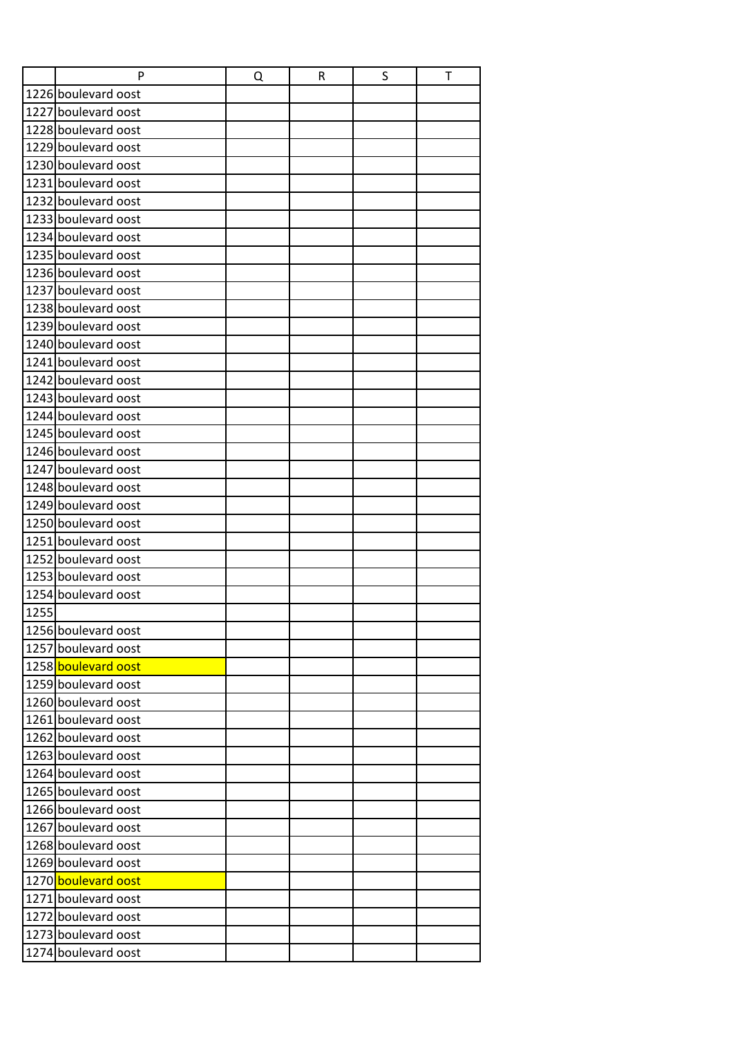|      | P                   | Q | R | S | T |
|------|---------------------|---|---|---|---|
|      | 1226 boulevard oost |   |   |   |   |
|      | 1227 boulevard oost |   |   |   |   |
|      | 1228 boulevard oost |   |   |   |   |
|      | 1229 boulevard oost |   |   |   |   |
|      | 1230 boulevard oost |   |   |   |   |
|      | 1231 boulevard oost |   |   |   |   |
|      | 1232 boulevard oost |   |   |   |   |
|      | 1233 boulevard oost |   |   |   |   |
|      | 1234 boulevard oost |   |   |   |   |
|      | 1235 boulevard oost |   |   |   |   |
|      | 1236 boulevard oost |   |   |   |   |
|      | 1237 boulevard oost |   |   |   |   |
|      | 1238 boulevard oost |   |   |   |   |
|      | 1239 boulevard oost |   |   |   |   |
|      | 1240 boulevard oost |   |   |   |   |
|      | 1241 boulevard oost |   |   |   |   |
|      | 1242 boulevard oost |   |   |   |   |
|      | 1243 boulevard oost |   |   |   |   |
|      | 1244 boulevard oost |   |   |   |   |
|      | 1245 boulevard oost |   |   |   |   |
|      | 1246 boulevard oost |   |   |   |   |
|      | 1247 boulevard oost |   |   |   |   |
|      | 1248 boulevard oost |   |   |   |   |
|      | 1249 boulevard oost |   |   |   |   |
|      | 1250 boulevard oost |   |   |   |   |
|      | 1251 boulevard oost |   |   |   |   |
|      | 1252 boulevard oost |   |   |   |   |
|      | 1253 boulevard oost |   |   |   |   |
|      | 1254 boulevard oost |   |   |   |   |
| 1255 |                     |   |   |   |   |
|      | 1256 boulevard oost |   |   |   |   |
|      | 1257 boulevard oost |   |   |   |   |
|      | 1258 boulevard oost |   |   |   |   |
|      | 1259 boulevard oost |   |   |   |   |
|      | 1260 boulevard oost |   |   |   |   |
|      | 1261 boulevard oost |   |   |   |   |
|      | 1262 boulevard oost |   |   |   |   |
|      | 1263 boulevard oost |   |   |   |   |
|      | 1264 boulevard oost |   |   |   |   |
|      | 1265 boulevard oost |   |   |   |   |
|      | 1266 boulevard oost |   |   |   |   |
|      | 1267 boulevard oost |   |   |   |   |
|      | 1268 boulevard oost |   |   |   |   |
|      | 1269 boulevard oost |   |   |   |   |
|      | 1270 boulevard oost |   |   |   |   |
|      | 1271 boulevard oost |   |   |   |   |
|      | 1272 boulevard oost |   |   |   |   |
|      | 1273 boulevard oost |   |   |   |   |
|      | 1274 boulevard oost |   |   |   |   |